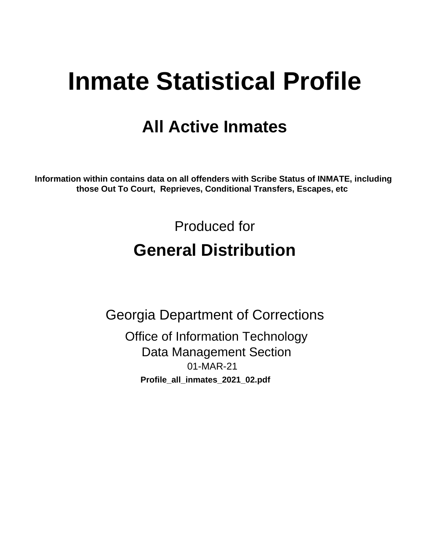# **Inmate Statistical Profile**

# **All Active Inmates**

Information within contains data on all offenders with Scribe Status of INMATE, including those Out To Court, Reprieves, Conditional Transfers, Escapes, etc

> Produced for **General Distribution**

**Georgia Department of Corrections Office of Information Technology Data Management Section** 01-MAR-21 Profile\_all\_inmates\_2021\_02.pdf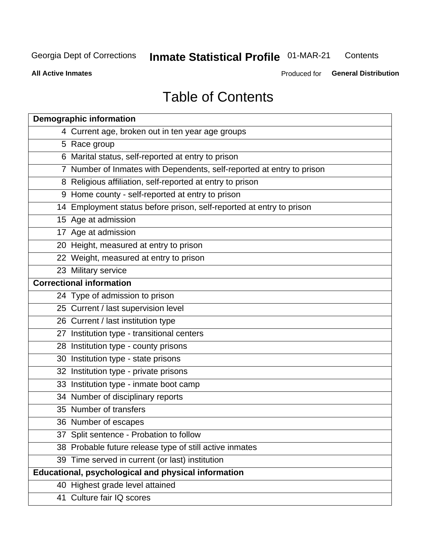#### **Inmate Statistical Profile 01-MAR-21** Contents

**All Active Inmates** 

Produced for General Distribution

# **Table of Contents**

| <b>Demographic information</b>                                        |
|-----------------------------------------------------------------------|
| 4 Current age, broken out in ten year age groups                      |
| 5 Race group                                                          |
| 6 Marital status, self-reported at entry to prison                    |
| 7 Number of Inmates with Dependents, self-reported at entry to prison |
| 8 Religious affiliation, self-reported at entry to prison             |
| 9 Home county - self-reported at entry to prison                      |
| 14 Employment status before prison, self-reported at entry to prison  |
| 15 Age at admission                                                   |
| 17 Age at admission                                                   |
| 20 Height, measured at entry to prison                                |
| 22 Weight, measured at entry to prison                                |
| 23 Military service                                                   |
| <b>Correctional information</b>                                       |
| 24 Type of admission to prison                                        |
| 25 Current / last supervision level                                   |
| 26 Current / last institution type                                    |
| 27 Institution type - transitional centers                            |
| 28 Institution type - county prisons                                  |
| 30 Institution type - state prisons                                   |
| 32 Institution type - private prisons                                 |
| 33 Institution type - inmate boot camp                                |
| 34 Number of disciplinary reports                                     |
| 35 Number of transfers                                                |
| 36 Number of escapes                                                  |
| 37 Split sentence - Probation to follow                               |
| 38 Probable future release type of still active inmates               |
| 39 Time served in current (or last) institution                       |
| Educational, psychological and physical information                   |
| 40 Highest grade level attained                                       |
| 41 Culture fair IQ scores                                             |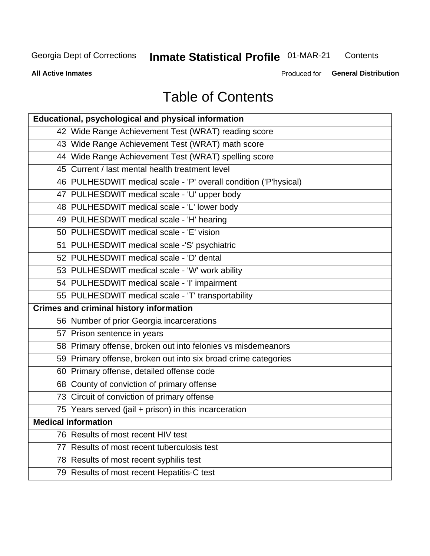# **Inmate Statistical Profile 01-MAR-21**

Contents

**All Active Inmates** 

Produced for General Distribution

# **Table of Contents**

| Educational, psychological and physical information              |
|------------------------------------------------------------------|
| 42 Wide Range Achievement Test (WRAT) reading score              |
| 43 Wide Range Achievement Test (WRAT) math score                 |
| 44 Wide Range Achievement Test (WRAT) spelling score             |
| 45 Current / last mental health treatment level                  |
| 46 PULHESDWIT medical scale - 'P' overall condition ('P'hysical) |
| 47 PULHESDWIT medical scale - 'U' upper body                     |
| 48 PULHESDWIT medical scale - 'L' lower body                     |
| 49 PULHESDWIT medical scale - 'H' hearing                        |
| 50 PULHESDWIT medical scale - 'E' vision                         |
| 51 PULHESDWIT medical scale -'S' psychiatric                     |
| 52 PULHESDWIT medical scale - 'D' dental                         |
| 53 PULHESDWIT medical scale - 'W' work ability                   |
| 54 PULHESDWIT medical scale - 'I' impairment                     |
| 55 PULHESDWIT medical scale - 'T' transportability               |
| <b>Crimes and criminal history information</b>                   |
| 56 Number of prior Georgia incarcerations                        |
| 57 Prison sentence in years                                      |
| 58 Primary offense, broken out into felonies vs misdemeanors     |
| 59 Primary offense, broken out into six broad crime categories   |
| 60 Primary offense, detailed offense code                        |
| 68 County of conviction of primary offense                       |
| 73 Circuit of conviction of primary offense                      |
| 75 Years served (jail + prison) in this incarceration            |
| <b>Medical information</b>                                       |
| 76 Results of most recent HIV test                               |
| 77 Results of most recent tuberculosis test                      |
| 78 Results of most recent syphilis test                          |
| 79 Results of most recent Hepatitis-C test                       |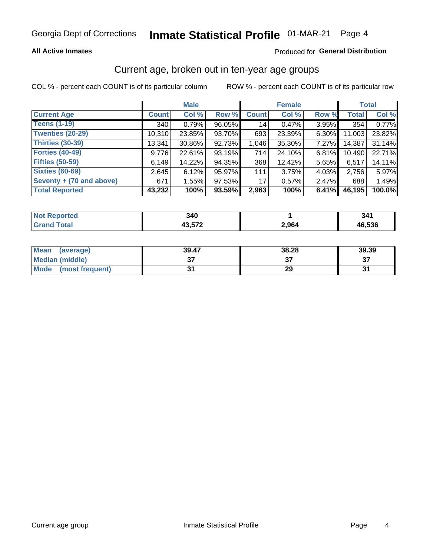#### **All Active Inmates**

#### Produced for General Distribution

### Current age, broken out in ten-year age groups

COL % - percent each COUNT is of its particular column

|                          |              | <b>Male</b> |        |                 | <b>Female</b> |          |              | <b>Total</b> |  |
|--------------------------|--------------|-------------|--------|-----------------|---------------|----------|--------------|--------------|--|
| <b>Current Age</b>       | <b>Count</b> | Col %       | Row %  | <b>Count</b>    | Col %         | Row %    | <b>Total</b> | Col %        |  |
| <b>Teens (1-19)</b>      | 340          | 0.79%       | 96.05% | 14              | 0.47%         | 3.95%    | 354          | 0.77%        |  |
| <b>Twenties (20-29)</b>  | 10,310       | 23.85%      | 93.70% | 693             | 23.39%        | $6.30\%$ | 11,003       | 23.82%       |  |
| <b>Thirties (30-39)</b>  | 13,341       | 30.86%      | 92.73% | 1,046           | 35.30%        | $7.27\%$ | 14,387       | 31.14%       |  |
| <b>Forties (40-49)</b>   | 9,776        | 22.61%      | 93.19% | 714             | 24.10%        | 6.81%    | 10,490       | 22.71%       |  |
| <b>Fifties (50-59)</b>   | 6,149        | 14.22%      | 94.35% | 368             | 12.42%        | 5.65%    | 6,517        | 14.11%       |  |
| <b>Sixties (60-69)</b>   | 2,645        | 6.12%       | 95.97% | 111             | 3.75%         | 4.03%    | 2,756        | 5.97%        |  |
| Seventy + (70 and above) | 671          | 1.55%       | 97.53% | 17 <sup>1</sup> | 0.57%         | $2.47\%$ | 688          | 1.49%        |  |
| <b>Total Reported</b>    | 43,232       | 100%        | 93.59% | 2,963           | 100%          | 6.41%    | 46,195       | 100.0%       |  |

| ----<br><b>NO</b><br>ueo | 340    |                  | 21 ·   |
|--------------------------|--------|------------------|--------|
| $T0+0'$                  | 10 F70 | ⊿ מם פ<br>-, YO4 | 46.536 |

| <b>Mean</b><br>(average) | 39.47         | 38.28 | 39.39    |
|--------------------------|---------------|-------|----------|
| Median (middle)          | $\sim$<br>ا پ |       | ^¬<br>o. |
| Mode<br>(most frequent)  |               | 29    |          |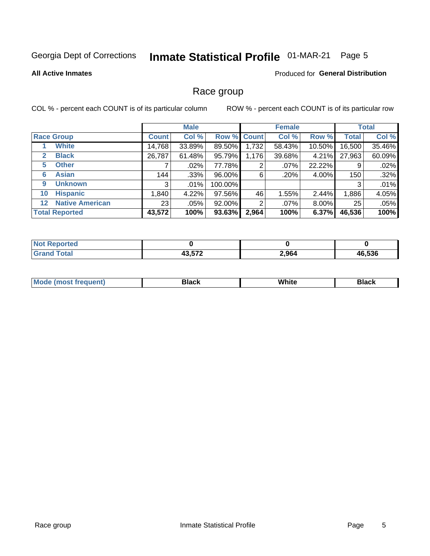#### **Inmate Statistical Profile 01-MAR-21** Page 5

#### **All Active Inmates**

#### Produced for General Distribution

#### Race group

COL % - percent each COUNT is of its particular column

|                                   |                 | <b>Male</b> |         |             | <b>Female</b> |          |              | <b>Total</b> |  |
|-----------------------------------|-----------------|-------------|---------|-------------|---------------|----------|--------------|--------------|--|
| <b>Race Group</b>                 | <b>Count</b>    | Col %       |         | Row % Count | Col %         | Row %    | <b>Total</b> | Col %        |  |
| <b>White</b>                      | 14,768          | 33.89%      | 89.50%  | 1,732       | 58.43%        | 10.50%   | 16,500       | 35.46%       |  |
| <b>Black</b><br>2                 | 26,787          | 61.48%      | 95.79%  | 1,176       | 39.68%        | $4.21\%$ | 27,963       | 60.09%       |  |
| <b>Other</b><br>5.                |                 | $.02\%$     | 77.78%  | 2           | $.07\%$       | 22.22%   | 9            | .02%         |  |
| <b>Asian</b><br>6                 | 144             | .33%        | 96.00%  | 6           | .20%          | 4.00%    | 150          | .32%         |  |
| <b>Unknown</b><br>9               | 3               | $.01\%$     | 100.00% |             |               |          | 3            | .01%         |  |
| <b>Hispanic</b><br>10             | 1,840           | 4.22%       | 97.56%  | 46          | 1.55%         | 2.44%    | 1,886        | 4.05%        |  |
| <b>Native American</b><br>$12 \,$ | 23 <sub>1</sub> | $.05\%$     | 92.00%  | 2           | $.07\%$       | $8.00\%$ | 25           | .05%         |  |
| <b>Total Reported</b>             | 43,572          | 100%        | 93.63%  | 2,964       | 100%          | 6.37%    | 46,536       | 100%         |  |

| orted<br>NO. |        |       |        |
|--------------|--------|-------|--------|
| <b>Total</b> | オク ビブク | 2,964 | 16.536 |
| <b>Grand</b> | 40.JIZ |       | 46     |

| m | <br>w |  |
|---|-------|--|
|   |       |  |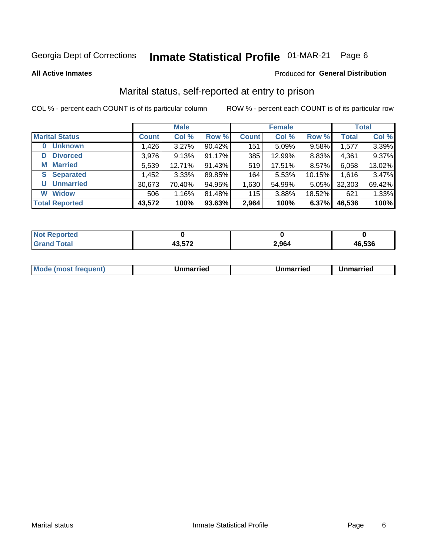#### **Inmate Statistical Profile 01-MAR-21** Page 6

**All Active Inmates** 

#### **Produced for General Distribution**

### Marital status, self-reported at entry to prison

COL % - percent each COUNT is of its particular column

|                            | <b>Male</b>  |        |        |              | <b>Female</b> | <b>Total</b> |              |        |
|----------------------------|--------------|--------|--------|--------------|---------------|--------------|--------------|--------|
| <b>Marital Status</b>      | <b>Count</b> | Col %  | Row %  | <b>Count</b> | Col %         | Row %        | <b>Total</b> | Col %  |
| <b>Unknown</b><br>$\bf{0}$ | 1,426        | 3.27%  | 90.42% | 151          | 5.09%         | 9.58%        | 1,577        | 3.39%  |
| <b>Divorced</b><br>D       | 3,976        | 9.13%  | 91.17% | 385          | 12.99%        | 8.83%        | 4,361        | 9.37%  |
| <b>Married</b><br>М        | 5,539        | 12.71% | 91.43% | 519          | 17.51%        | 8.57%        | 6,058        | 13.02% |
| <b>Separated</b><br>S.     | 1,452        | 3.33%  | 89.85% | 164          | 5.53%         | 10.15%       | 1,616        | 3.47%  |
| <b>Unmarried</b><br>U      | 30,673       | 70.40% | 94.95% | 1,630        | 54.99%        | 5.05%        | 32,303       | 69.42% |
| <b>Widow</b><br>W          | 506          | 1.16%  | 81.48% | 115          | 3.88%         | 18.52%       | 621          | 1.33%  |
| <b>Total Reported</b>      | 43,572       | 100%   | 93.63% | 2,964        | 100%          | 6.37%        | 46,536       | 100%   |

| NO<br>тес. |               |                      |        |
|------------|---------------|----------------------|--------|
|            | $\sim$ $\sim$ | 2 964<br>՝<br>$\sim$ | 46.536 |

|--|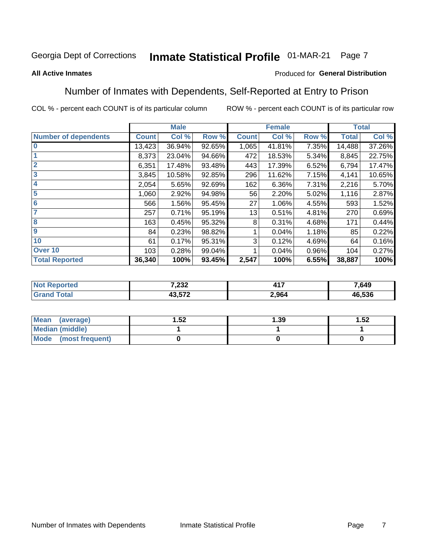#### Inmate Statistical Profile 01-MAR-21 Page 7

#### **All Active Inmates**

#### Produced for General Distribution

### Number of Inmates with Dependents, Self-Reported at Entry to Prison

COL % - percent each COUNT is of its particular column

|                             |              | <b>Male</b> |        |              | <b>Female</b> |       |              | <b>Total</b> |
|-----------------------------|--------------|-------------|--------|--------------|---------------|-------|--------------|--------------|
| <b>Number of dependents</b> | <b>Count</b> | Col %       | Row %  | <b>Count</b> | Col %         | Row % | <b>Total</b> | Col %        |
| l 0                         | 13,423       | 36.94%      | 92.65% | 1,065        | 41.81%        | 7.35% | 14,488       | 37.26%       |
|                             | 8,373        | 23.04%      | 94.66% | 472          | 18.53%        | 5.34% | 8,845        | 22.75%       |
| $\overline{2}$              | 6,351        | 17.48%      | 93.48% | 443          | 17.39%        | 6.52% | 6,794        | 17.47%       |
| $\overline{\mathbf{3}}$     | 3,845        | 10.58%      | 92.85% | 296          | 11.62%        | 7.15% | 4,141        | 10.65%       |
| 4                           | 2,054        | 5.65%       | 92.69% | 162          | 6.36%         | 7.31% | 2,216        | 5.70%        |
| 5                           | 1,060        | 2.92%       | 94.98% | 56           | 2.20%         | 5.02% | 1,116        | 2.87%        |
| 6                           | 566          | 1.56%       | 95.45% | 27           | 1.06%         | 4.55% | 593          | 1.52%        |
| 7                           | 257          | 0.71%       | 95.19% | 13           | 0.51%         | 4.81% | 270          | 0.69%        |
| 8                           | 163          | 0.45%       | 95.32% | 8            | 0.31%         | 4.68% | 171          | 0.44%        |
| 9                           | 84           | 0.23%       | 98.82% |              | 0.04%         | 1.18% | 85           | 0.22%        |
| 10                          | 61           | 0.17%       | 95.31% | 3            | 0.12%         | 4.69% | 64           | 0.16%        |
| Over 10                     | 103          | 0.28%       | 99.04% |              | 0.04%         | 0.96% | 104          | 0.27%        |
| <b>Total Reported</b>       | 36,340       | 100%        | 93.45% | 2,547        | 100%          | 6.55% | 38,887       | 100%         |

| 722<br>202. | .<br>– II. | 7,649      |
|-------------|------------|------------|
| ,, ,,,      | 2,964      | .536<br>46 |

| Mean (average)          | .52 | 1.39 | 1.52 |  |
|-------------------------|-----|------|------|--|
| <b>Median (middle)</b>  |     |      |      |  |
| Mode<br>(most frequent) |     |      |      |  |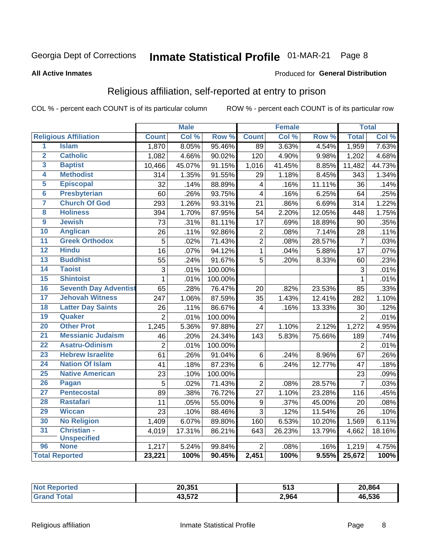#### **Inmate Statistical Profile 01-MAR-21** Page 8

#### **All Active Inmates**

#### Produced for General Distribution

### Religious affiliation, self-reported at entry to prison

COL % - percent each COUNT is of its particular column

|                 |                              |                 | <b>Male</b> |         |                         | <b>Female</b> |                  |                 | <b>Total</b> |
|-----------------|------------------------------|-----------------|-------------|---------|-------------------------|---------------|------------------|-----------------|--------------|
|                 | <b>Religious Affiliation</b> | <b>Count</b>    | Col %       | Row %   | <b>Count</b>            | Col %         | Row <sup>%</sup> | <b>Total</b>    | Col %        |
| 1               | <b>Islam</b>                 | 1,870           | 8.05%       | 95.46%  | $\overline{89}$         | 3.63%         | 4.54%            | 1,959           | 7.63%        |
| $\overline{2}$  | <b>Catholic</b>              | 1,082           | 4.66%       | 90.02%  | 120                     | 4.90%         | 9.98%            | 1,202           | 4.68%        |
| 3               | <b>Baptist</b>               | 10,466          | 45.07%      | 91.15%  | 1,016                   | 41.45%        | 8.85%            | 11,482          | 44.73%       |
| 4               | <b>Methodist</b>             | 314             | 1.35%       | 91.55%  | 29                      | 1.18%         | 8.45%            | 343             | 1.34%        |
| 5               | <b>Episcopal</b>             | 32              | .14%        | 88.89%  | $\overline{\mathbf{4}}$ | .16%          | 11.11%           | 36              | .14%         |
| $\overline{6}$  | <b>Presbyterian</b>          | 60              | .26%        | 93.75%  | $\overline{4}$          | .16%          | 6.25%            | 64              | .25%         |
| 7               | <b>Church Of God</b>         | 293             | 1.26%       | 93.31%  | 21                      | .86%          | 6.69%            | 314             | 1.22%        |
| 8               | <b>Holiness</b>              | 394             | 1.70%       | 87.95%  | 54                      | 2.20%         | 12.05%           | 448             | 1.75%        |
| $\overline{9}$  | <b>Jewish</b>                | $\overline{73}$ | .31%        | 81.11%  | 17                      | .69%          | 18.89%           | 90              | .35%         |
| 10              | <b>Anglican</b>              | 26              | .11%        | 92.86%  | $\mathbf 2$             | .08%          | 7.14%            | 28              | .11%         |
| 11              | <b>Greek Orthodox</b>        | $\overline{5}$  | .02%        | 71.43%  | $\overline{2}$          | .08%          | 28.57%           | $\overline{7}$  | .03%         |
| 12              | <b>Hindu</b>                 | $\overline{16}$ | .07%        | 94.12%  | $\mathbf{1}$            | .04%          | 5.88%            | $\overline{17}$ | .07%         |
| 13              | <b>Buddhist</b>              | 55              | .24%        | 91.67%  | 5                       | .20%          | 8.33%            | 60              | .23%         |
| $\overline{14}$ | <b>Taoist</b>                | 3               | .01%        | 100.00% |                         |               |                  | 3               | .01%         |
| 15              | <b>Shintoist</b>             | $\mathbf{1}$    | .01%        | 100.00% |                         |               |                  | 1               | .01%         |
| 16              | <b>Seventh Day Adventist</b> | 65              | .28%        | 76.47%  | 20                      | .82%          | 23.53%           | 85              | .33%         |
| 17              | <b>Jehovah Witness</b>       | 247             | 1.06%       | 87.59%  | 35                      | 1.43%         | 12.41%           | 282             | 1.10%        |
| 18              | <b>Latter Day Saints</b>     | 26              | .11%        | 86.67%  | 4                       | .16%          | 13.33%           | 30              | .12%         |
| 19              | Quaker                       | $\overline{2}$  | .01%        | 100.00% |                         |               |                  | $\overline{2}$  | $.01\%$      |
| 20              | <b>Other Prot</b>            | 1,245           | 5.36%       | 97.88%  | 27                      | 1.10%         | 2.12%            | 1,272           | 4.95%        |
| 21              | <b>Messianic Judaism</b>     | 46              | .20%        | 24.34%  | $\overline{1}$ 43       | 5.83%         | 75.66%           | 189             | .74%         |
| 22              | <b>Asatru-Odinism</b>        | $\overline{2}$  | .01%        | 100.00% |                         |               |                  | $\overline{2}$  | .01%         |
| 23              | <b>Hebrew Israelite</b>      | 61              | .26%        | 91.04%  | 6                       | .24%          | 8.96%            | 67              | .26%         |
| 24              | <b>Nation Of Islam</b>       | 41              | .18%        | 87.23%  | 6                       | .24%          | 12.77%           | 47              | .18%         |
| 25              | <b>Native American</b>       | 23              | .10%        | 100.00% |                         |               |                  | 23              | .09%         |
| 26              | Pagan                        | 5               | .02%        | 71.43%  | $\overline{2}$          | .08%          | 28.57%           | $\overline{7}$  | .03%         |
| 27              | <b>Pentecostal</b>           | 89              | .38%        | 76.72%  | 27                      | 1.10%         | 23.28%           | 116             | .45%         |
| 28              | <b>Rastafari</b>             | 11              | .05%        | 55.00%  | $\boldsymbol{9}$        | .37%          | 45.00%           | 20              | .08%         |
| 29              | <b>Wiccan</b>                | $\overline{23}$ | .10%        | 88.46%  | $\overline{3}$          | .12%          | 11.54%           | 26              | .10%         |
| 30              | <b>No Religion</b>           | 1,409           | 6.07%       | 89.80%  | 160                     | 6.53%         | 10.20%           | 1,569           | $6.11\%$     |
| 31              | Christian -                  | 4,019           | 17.31%      | 86.21%  | 643                     | 26.23%        | 13.79%           | 4,662           | 18.16%       |
|                 | <b>Unspecified</b>           |                 |             |         |                         |               |                  |                 |              |
| 96              | <b>None</b>                  | 1,217           | 5.24%       | 99.84%  | $\overline{2}$          | .08%          | .16%             | 1,219           | 4.75%        |
|                 | <b>Total Reported</b>        | 23,221          | 100%        | 90.45%  | 2,451                   | 100%          | 9.55%            | 25,672          | 100%         |

| 20,351                | EA 2<br>JIJ | 20.864 |
|-----------------------|-------------|--------|
| $\sqrt{2}$<br>13.JI Z | 2,964       | 46.536 |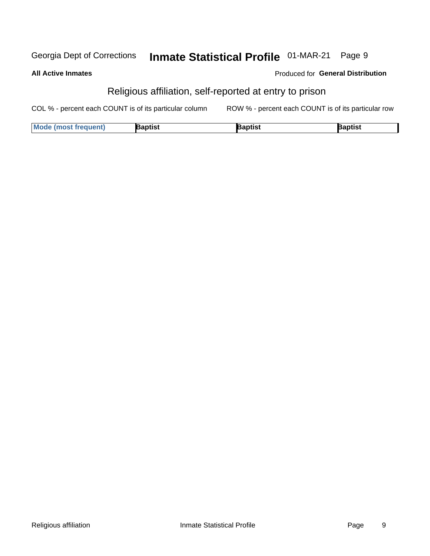#### **Inmate Statistical Profile 01-MAR-21** Georgia Dept of Corrections Page 9

| <b>All Active Inmates</b> |  |  |
|---------------------------|--|--|
|                           |  |  |

#### Produced for General Distribution

### Religious affiliation, self-reported at entry to prison

COL % - percent each COUNT is of its particular column ROW % - percent each COUNT is of its particular row

| <b>Mode (most frequent)</b> | Baptist | Japtist | Baptist |
|-----------------------------|---------|---------|---------|
|-----------------------------|---------|---------|---------|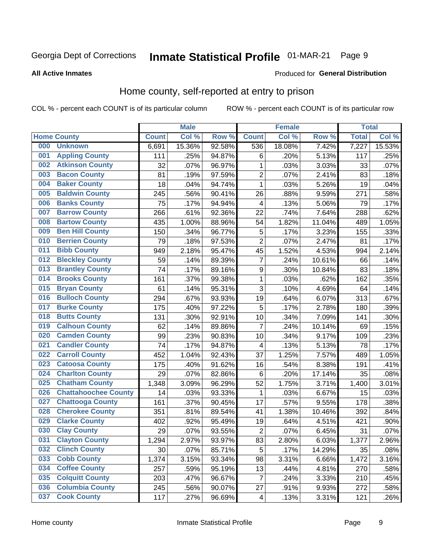#### Inmate Statistical Profile 01-MAR-21 Page 9

#### **All Active Inmates**

#### Produced for General Distribution

### Home county, self-reported at entry to prison

COL % - percent each COUNT is of its particular column

|     |                             |                    | <b>Male</b> |        |                         | <b>Female</b> |        | <b>Total</b> |        |
|-----|-----------------------------|--------------------|-------------|--------|-------------------------|---------------|--------|--------------|--------|
|     | <b>Home County</b>          | <b>Count</b>       | Col %       | Row %  | <b>Count</b>            | Col %         | Row %  | <b>Total</b> | Col %  |
| 000 | <b>Unknown</b>              | 6,691              | 15.36%      | 92.58% | 536                     | 18.08%        | 7.42%  | 7,227        | 15.53% |
| 001 | <b>Appling County</b>       | 111                | .25%        | 94.87% | $\,6$                   | .20%          | 5.13%  | 117          | .25%   |
| 002 | <b>Atkinson County</b>      | 32                 | .07%        | 96.97% | 1                       | .03%          | 3.03%  | 33           | .07%   |
| 003 | <b>Bacon County</b>         | 81                 | .19%        | 97.59% | $\overline{2}$          | .07%          | 2.41%  | 83           | .18%   |
| 004 | <b>Baker County</b>         | 18                 | .04%        | 94.74% | $\mathbf{1}$            | .03%          | 5.26%  | 19           | .04%   |
| 005 | <b>Baldwin County</b>       | 245                | .56%        | 90.41% | 26                      | .88%          | 9.59%  | 271          | .58%   |
| 006 | <b>Banks County</b>         | 75                 | .17%        | 94.94% | $\overline{4}$          | .13%          | 5.06%  | 79           | .17%   |
| 007 | <b>Barrow County</b>        | 266                | .61%        | 92.36% | 22                      | .74%          | 7.64%  | 288          | .62%   |
| 008 | <b>Bartow County</b>        | 435                | 1.00%       | 88.96% | 54                      | 1.82%         | 11.04% | 489          | 1.05%  |
| 009 | <b>Ben Hill County</b>      | 150                | .34%        | 96.77% | 5                       | .17%          | 3.23%  | 155          | .33%   |
| 010 | <b>Berrien County</b>       | 79                 | .18%        | 97.53% | $\overline{2}$          | .07%          | 2.47%  | 81           | .17%   |
| 011 | <b>Bibb County</b>          | 949                | 2.18%       | 95.47% | 45                      | 1.52%         | 4.53%  | 994          | 2.14%  |
| 012 | <b>Bleckley County</b>      | 59                 | .14%        | 89.39% | $\overline{7}$          | .24%          | 10.61% | 66           | .14%   |
| 013 | <b>Brantley County</b>      | 74                 | .17%        | 89.16% | 9                       | .30%          | 10.84% | 83           | .18%   |
| 014 | <b>Brooks County</b>        | 161                | .37%        | 99.38% | $\mathbf{1}$            | .03%          | .62%   | 162          | .35%   |
| 015 | <b>Bryan County</b>         | 61                 | .14%        | 95.31% | 3                       | .10%          | 4.69%  | 64           | .14%   |
| 016 | <b>Bulloch County</b>       | 294                | .67%        | 93.93% | 19                      | .64%          | 6.07%  | 313          | .67%   |
| 017 | <b>Burke County</b>         | 175                | .40%        | 97.22% | 5                       | .17%          | 2.78%  | 180          | .39%   |
| 018 | <b>Butts County</b>         | 131                | .30%        | 92.91% | 10                      | .34%          | 7.09%  | 141          | .30%   |
| 019 | <b>Calhoun County</b>       | 62                 | .14%        | 89.86% | $\overline{7}$          | .24%          | 10.14% | 69           | .15%   |
| 020 | <b>Camden County</b>        | 99                 | .23%        | 90.83% | 10                      | .34%          | 9.17%  | 109          | .23%   |
| 021 | <b>Candler County</b>       | 74                 | .17%        | 94.87% | 4                       | .13%          | 5.13%  | 78           | .17%   |
| 022 | <b>Carroll County</b>       | 452                | 1.04%       | 92.43% | 37                      | 1.25%         | 7.57%  | 489          | 1.05%  |
| 023 | <b>Catoosa County</b>       | 175                | .40%        | 91.62% | 16                      | .54%          | 8.38%  | 191          | .41%   |
| 024 | <b>Charlton County</b>      | 29                 | .07%        | 82.86% | 6                       | .20%          | 17.14% | 35           | .08%   |
| 025 | <b>Chatham County</b>       | $\overline{1,}348$ | 3.09%       | 96.29% | 52                      | 1.75%         | 3.71%  | 1,400        | 3.01%  |
| 026 | <b>Chattahoochee County</b> | 14                 | .03%        | 93.33% | 1                       | .03%          | 6.67%  | 15           | .03%   |
| 027 | <b>Chattooga County</b>     | 161                | .37%        | 90.45% | 17                      | .57%          | 9.55%  | 178          | .38%   |
| 028 | <b>Cherokee County</b>      | 351                | .81%        | 89.54% | 41                      | 1.38%         | 10.46% | 392          | .84%   |
| 029 | <b>Clarke County</b>        | 402                | .92%        | 95.49% | 19                      | .64%          | 4.51%  | 421          | .90%   |
| 030 | <b>Clay County</b>          | 29                 | .07%        | 93.55% | $\mathbf 2$             | .07%          | 6.45%  | 31           | .07%   |
| 031 | <b>Clayton County</b>       | 1,294              | 2.97%       | 93.97% | 83                      | 2.80%         | 6.03%  | 1,377        | 2.96%  |
| 032 | <b>Clinch County</b>        | 30                 | .07%        | 85.71% | 5                       | .17%          | 14.29% | 35           | .08%   |
| 033 | <b>Cobb County</b>          | 1,374              | 3.15%       | 93.34% | 98                      | 3.31%         | 6.66%  | 1,472        | 3.16%  |
| 034 | <b>Coffee County</b>        | 257                | .59%        | 95.19% | 13                      | .44%          | 4.81%  | 270          | .58%   |
| 035 | <b>Colquitt County</b>      | 203                | .47%        | 96.67% | $\overline{7}$          | .24%          | 3.33%  | 210          | .45%   |
| 036 | <b>Columbia County</b>      | 245                | .56%        | 90.07% | 27                      | .91%          | 9.93%  | 272          | .58%   |
| 037 | <b>Cook County</b>          | 117                | .27%        | 96.69% | $\overline{\mathbf{4}}$ | .13%          | 3.31%  | 121          | .26%   |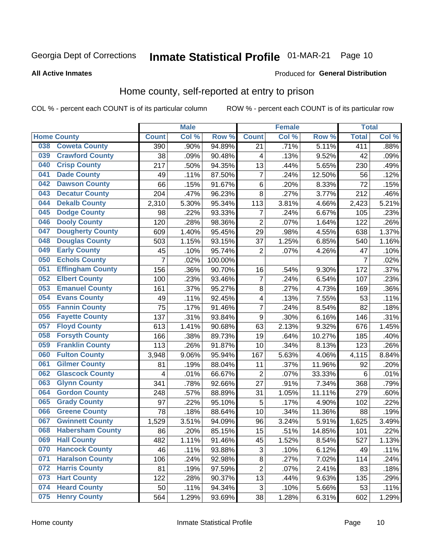### Inmate Statistical Profile 01-MAR-21 Page 10

**All Active Inmates** 

#### **Produced for General Distribution**

#### Home county, self-reported at entry to prison

COL % - percent each COUNT is of its particular column

|     |                         |                | <b>Male</b> |         |                  | <b>Female</b> |        | <b>Total</b>   |       |
|-----|-------------------------|----------------|-------------|---------|------------------|---------------|--------|----------------|-------|
|     | <b>Home County</b>      | <b>Count</b>   | Col %       | Row %   | <b>Count</b>     | Col %         | Row %  | <b>Total</b>   | Col % |
| 038 | <b>Coweta County</b>    | 390            | $.90\%$     | 94.89%  | 21               | .71%          | 5.11%  | 411            | .88%  |
| 039 | <b>Crawford County</b>  | 38             | .09%        | 90.48%  | 4                | .13%          | 9.52%  | 42             | .09%  |
| 040 | <b>Crisp County</b>     | 217            | .50%        | 94.35%  | 13               | .44%          | 5.65%  | 230            | .49%  |
| 041 | <b>Dade County</b>      | 49             | .11%        | 87.50%  | $\overline{7}$   | .24%          | 12.50% | 56             | .12%  |
| 042 | <b>Dawson County</b>    | 66             | .15%        | 91.67%  | $\,6$            | .20%          | 8.33%  | 72             | .15%  |
| 043 | <b>Decatur County</b>   | 204            | .47%        | 96.23%  | 8                | .27%          | 3.77%  | 212            | .46%  |
| 044 | <b>Dekalb County</b>    | 2,310          | 5.30%       | 95.34%  | 113              | 3.81%         | 4.66%  | 2,423          | 5.21% |
| 045 | <b>Dodge County</b>     | 98             | .22%        | 93.33%  | $\overline{7}$   | .24%          | 6.67%  | 105            | .23%  |
| 046 | <b>Dooly County</b>     | 120            | .28%        | 98.36%  | $\overline{2}$   | .07%          | 1.64%  | 122            | .26%  |
| 047 | <b>Dougherty County</b> | 609            | 1.40%       | 95.45%  | 29               | .98%          | 4.55%  | 638            | 1.37% |
| 048 | <b>Douglas County</b>   | 503            | 1.15%       | 93.15%  | 37               | 1.25%         | 6.85%  | 540            | 1.16% |
| 049 | <b>Early County</b>     | 45             | .10%        | 95.74%  | $\overline{2}$   | .07%          | 4.26%  | 47             | .10%  |
| 050 | <b>Echols County</b>    | $\overline{7}$ | .02%        | 100.00% |                  |               |        | $\overline{7}$ | .02%  |
| 051 | <b>Effingham County</b> | 156            | .36%        | 90.70%  | 16               | .54%          | 9.30%  | 172            | .37%  |
| 052 | <b>Elbert County</b>    | 100            | .23%        | 93.46%  | $\overline{7}$   | .24%          | 6.54%  | 107            | .23%  |
| 053 | <b>Emanuel County</b>   | 161            | .37%        | 95.27%  | 8                | .27%          | 4.73%  | 169            | .36%  |
| 054 | <b>Evans County</b>     | 49             | .11%        | 92.45%  | 4                | .13%          | 7.55%  | 53             | .11%  |
| 055 | <b>Fannin County</b>    | 75             | .17%        | 91.46%  | $\overline{7}$   | .24%          | 8.54%  | 82             | .18%  |
| 056 | <b>Fayette County</b>   | 137            | .31%        | 93.84%  | $\boldsymbol{9}$ | .30%          | 6.16%  | 146            | .31%  |
| 057 | <b>Floyd County</b>     | 613            | 1.41%       | 90.68%  | 63               | 2.13%         | 9.32%  | 676            | 1.45% |
| 058 | <b>Forsyth County</b>   | 166            | .38%        | 89.73%  | 19               | .64%          | 10.27% | 185            | .40%  |
| 059 | <b>Franklin County</b>  | 113            | .26%        | 91.87%  | 10               | .34%          | 8.13%  | 123            | .26%  |
| 060 | <b>Fulton County</b>    | 3,948          | 9.06%       | 95.94%  | 167              | 5.63%         | 4.06%  | 4,115          | 8.84% |
| 061 | <b>Gilmer County</b>    | 81             | .19%        | 88.04%  | 11               | .37%          | 11.96% | 92             | .20%  |
| 062 | <b>Glascock County</b>  | 4              | .01%        | 66.67%  | $\overline{2}$   | .07%          | 33.33% | 6              | .01%  |
| 063 | <b>Glynn County</b>     | 341            | .78%        | 92.66%  | 27               | .91%          | 7.34%  | 368            | .79%  |
| 064 | <b>Gordon County</b>    | 248            | .57%        | 88.89%  | 31               | 1.05%         | 11.11% | 279            | .60%  |
| 065 | <b>Grady County</b>     | 97             | .22%        | 95.10%  | 5                | .17%          | 4.90%  | 102            | .22%  |
| 066 | <b>Greene County</b>    | 78             | .18%        | 88.64%  | 10               | .34%          | 11.36% | 88             | .19%  |
| 067 | <b>Gwinnett County</b>  | 1,529          | 3.51%       | 94.09%  | 96               | 3.24%         | 5.91%  | 1,625          | 3.49% |
| 068 | <b>Habersham County</b> | 86             | .20%        | 85.15%  | 15               | .51%          | 14.85% | 101            | .22%  |
| 069 | <b>Hall County</b>      | 482            | 1.11%       | 91.46%  | 45               | 1.52%         | 8.54%  | 527            | 1.13% |
| 070 | <b>Hancock County</b>   | 46             | .11%        | 93.88%  | 3                | .10%          | 6.12%  | 49             | .11%  |
| 071 | <b>Haralson County</b>  | 106            | .24%        | 92.98%  | $\bf8$           | .27%          | 7.02%  | 114            | .24%  |
| 072 | <b>Harris County</b>    | 81             | .19%        | 97.59%  | $\overline{2}$   | .07%          | 2.41%  | 83             | .18%  |
| 073 | <b>Hart County</b>      | 122            | .28%        | 90.37%  | 13               | .44%          | 9.63%  | 135            | .29%  |
| 074 | <b>Heard County</b>     | 50             | .11%        | 94.34%  | 3                | .10%          | 5.66%  | 53             | .11%  |
| 075 | <b>Henry County</b>     | 564            | 1.29%       | 93.69%  | 38               | 1.28%         | 6.31%  | 602            | 1.29% |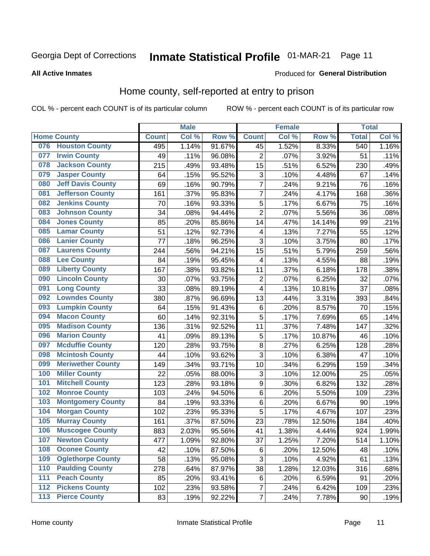### Inmate Statistical Profile 01-MAR-21 Page 11

#### **All Active Inmates**

#### **Produced for General Distribution**

#### Home county, self-reported at entry to prison

COL % - percent each COUNT is of its particular column

|     |                          |              | <b>Male</b> |                  |                         | <b>Female</b> |        | <b>Total</b> |       |
|-----|--------------------------|--------------|-------------|------------------|-------------------------|---------------|--------|--------------|-------|
|     | <b>Home County</b>       | <b>Count</b> | Col %       | Row <sup>%</sup> | <b>Count</b>            | Col %         | Row %  | <b>Total</b> | Col % |
|     | 076 Houston County       | 495          | 1.14%       | 91.67%           | 45                      | 1.52%         | 8.33%  | 540          | 1.16% |
| 077 | <b>Irwin County</b>      | 49           | .11%        | 96.08%           | $\overline{2}$          | .07%          | 3.92%  | 51           | .11%  |
| 078 | <b>Jackson County</b>    | 215          | .49%        | 93.48%           | 15                      | .51%          | 6.52%  | 230          | .49%  |
| 079 | <b>Jasper County</b>     | 64           | .15%        | 95.52%           | 3                       | .10%          | 4.48%  | 67           | .14%  |
| 080 | <b>Jeff Davis County</b> | 69           | .16%        | 90.79%           | 7                       | .24%          | 9.21%  | 76           | .16%  |
| 081 | <b>Jefferson County</b>  | 161          | .37%        | 95.83%           | $\overline{7}$          | .24%          | 4.17%  | 168          | .36%  |
| 082 | <b>Jenkins County</b>    | 70           | .16%        | 93.33%           | 5                       | .17%          | 6.67%  | 75           | .16%  |
| 083 | <b>Johnson County</b>    | 34           | .08%        | 94.44%           | $\overline{2}$          | .07%          | 5.56%  | 36           | .08%  |
| 084 | <b>Jones County</b>      | 85           | .20%        | 85.86%           | 14                      | .47%          | 14.14% | 99           | .21%  |
| 085 | <b>Lamar County</b>      | 51           | .12%        | 92.73%           | $\overline{\mathbf{4}}$ | .13%          | 7.27%  | 55           | .12%  |
| 086 | <b>Lanier County</b>     | 77           | .18%        | 96.25%           | 3                       | .10%          | 3.75%  | 80           | .17%  |
| 087 | <b>Laurens County</b>    | 244          | .56%        | 94.21%           | 15                      | .51%          | 5.79%  | 259          | .56%  |
| 088 | <b>Lee County</b>        | 84           | .19%        | 95.45%           | $\overline{\mathbf{4}}$ | .13%          | 4.55%  | 88           | .19%  |
| 089 | <b>Liberty County</b>    | 167          | .38%        | 93.82%           | 11                      | .37%          | 6.18%  | 178          | .38%  |
| 090 | <b>Lincoln County</b>    | 30           | .07%        | 93.75%           | $\overline{2}$          | .07%          | 6.25%  | 32           | .07%  |
| 091 | <b>Long County</b>       | 33           | .08%        | 89.19%           | 4                       | .13%          | 10.81% | 37           | .08%  |
| 092 | <b>Lowndes County</b>    | 380          | .87%        | 96.69%           | 13                      | .44%          | 3.31%  | 393          | .84%  |
| 093 | <b>Lumpkin County</b>    | 64           | .15%        | 91.43%           | $\,6$                   | .20%          | 8.57%  | 70           | .15%  |
| 094 | <b>Macon County</b>      | 60           | .14%        | 92.31%           | 5                       | .17%          | 7.69%  | 65           | .14%  |
| 095 | <b>Madison County</b>    | 136          | .31%        | 92.52%           | 11                      | .37%          | 7.48%  | 147          | .32%  |
| 096 | <b>Marion County</b>     | 41           | .09%        | 89.13%           | 5                       | .17%          | 10.87% | 46           | .10%  |
| 097 | <b>Mcduffie County</b>   | 120          | .28%        | 93.75%           | 8                       | .27%          | 6.25%  | 128          | .28%  |
| 098 | <b>Mcintosh County</b>   | 44           | .10%        | 93.62%           | 3                       | .10%          | 6.38%  | 47           | .10%  |
| 099 | <b>Meriwether County</b> | 149          | .34%        | 93.71%           | 10                      | .34%          | 6.29%  | 159          | .34%  |
| 100 | <b>Miller County</b>     | 22           | .05%        | 88.00%           | 3                       | .10%          | 12.00% | 25           | .05%  |
| 101 | <b>Mitchell County</b>   | 123          | .28%        | 93.18%           | $\overline{9}$          | .30%          | 6.82%  | 132          | .28%  |
| 102 | <b>Monroe County</b>     | 103          | .24%        | 94.50%           | $\,6$                   | .20%          | 5.50%  | 109          | .23%  |
| 103 | <b>Montgomery County</b> | 84           | .19%        | 93.33%           | $\,6$                   | .20%          | 6.67%  | 90           | .19%  |
| 104 | <b>Morgan County</b>     | 102          | .23%        | 95.33%           | 5                       | .17%          | 4.67%  | 107          | .23%  |
| 105 | <b>Murray County</b>     | 161          | .37%        | 87.50%           | 23                      | .78%          | 12.50% | 184          | .40%  |
| 106 | <b>Muscogee County</b>   | 883          | 2.03%       | 95.56%           | 41                      | 1.38%         | 4.44%  | 924          | 1.99% |
| 107 | <b>Newton County</b>     | 477          | 1.09%       | 92.80%           | 37                      | 1.25%         | 7.20%  | 514          | 1.10% |
| 108 | <b>Oconee County</b>     | 42           | .10%        | 87.50%           | 6                       | .20%          | 12.50% | 48           | .10%  |
| 109 | <b>Oglethorpe County</b> | 58           | .13%        | 95.08%           | 3                       | .10%          | 4.92%  | 61           | .13%  |
| 110 | <b>Paulding County</b>   | 278          | .64%        | 87.97%           | 38                      | 1.28%         | 12.03% | 316          | .68%  |
| 111 | <b>Peach County</b>      | 85           | .20%        | 93.41%           | 6                       | .20%          | 6.59%  | 91           | .20%  |
| 112 | <b>Pickens County</b>    | 102          | .23%        | 93.58%           | 7                       | .24%          | 6.42%  | 109          | .23%  |
| 113 | <b>Pierce County</b>     | 83           | .19%        | 92.22%           | $\overline{\mathbf{7}}$ | .24%          | 7.78%  | 90           | .19%  |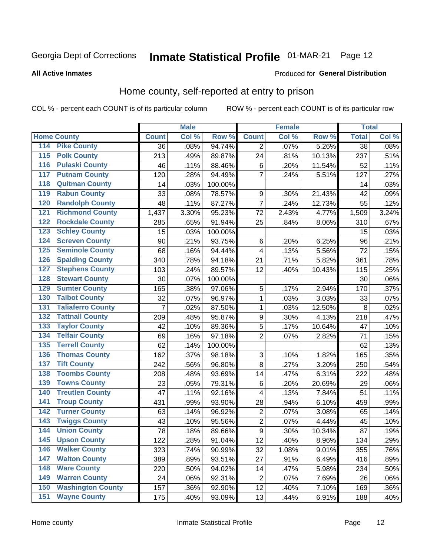### Inmate Statistical Profile 01-MAR-21 Page 12

**All Active Inmates** 

#### Produced for General Distribution

#### Home county, self-reported at entry to prison

COL % - percent each COUNT is of its particular column

|                  |                          |              | <b>Male</b> |                  |                         | <b>Female</b> |        | <b>Total</b>    |       |
|------------------|--------------------------|--------------|-------------|------------------|-------------------------|---------------|--------|-----------------|-------|
|                  | <b>Home County</b>       | <b>Count</b> | Col %       | Row <sup>%</sup> | <b>Count</b>            | Col %         | Row %  | <b>Total</b>    | Col % |
| 114              | <b>Pike County</b>       | 36           | .08%        | 94.74%           | $\overline{2}$          | .07%          | 5.26%  | $\overline{38}$ | .08%  |
| $\overline{115}$ | <b>Polk County</b>       | 213          | .49%        | 89.87%           | 24                      | .81%          | 10.13% | 237             | .51%  |
| 116              | <b>Pulaski County</b>    | 46           | .11%        | 88.46%           | $\,6$                   | .20%          | 11.54% | 52              | .11%  |
| 117              | <b>Putnam County</b>     | 120          | .28%        | 94.49%           | $\overline{7}$          | .24%          | 5.51%  | 127             | .27%  |
| 118              | <b>Quitman County</b>    | 14           | .03%        | 100.00%          |                         |               |        | 14              | .03%  |
| 119              | <b>Rabun County</b>      | 33           | .08%        | 78.57%           | $\boldsymbol{9}$        | .30%          | 21.43% | 42              | .09%  |
| 120              | <b>Randolph County</b>   | 48           | .11%        | 87.27%           | $\overline{7}$          | .24%          | 12.73% | 55              | .12%  |
| 121              | <b>Richmond County</b>   | 1,437        | 3.30%       | 95.23%           | 72                      | 2.43%         | 4.77%  | 1,509           | 3.24% |
| 122              | <b>Rockdale County</b>   | 285          | .65%        | 91.94%           | 25                      | .84%          | 8.06%  | 310             | .67%  |
| 123              | <b>Schley County</b>     | 15           | .03%        | 100.00%          |                         |               |        | 15              | .03%  |
| 124              | <b>Screven County</b>    | 90           | .21%        | 93.75%           | $\,6$                   | .20%          | 6.25%  | 96              | .21%  |
| 125              | <b>Seminole County</b>   | 68           | .16%        | 94.44%           | $\overline{\mathbf{4}}$ | .13%          | 5.56%  | 72              | .15%  |
| 126              | <b>Spalding County</b>   | 340          | .78%        | 94.18%           | 21                      | .71%          | 5.82%  | 361             | .78%  |
| 127              | <b>Stephens County</b>   | 103          | .24%        | 89.57%           | 12                      | .40%          | 10.43% | 115             | .25%  |
| 128              | <b>Stewart County</b>    | 30           | .07%        | 100.00%          |                         |               |        | 30              | .06%  |
| 129              | <b>Sumter County</b>     | 165          | .38%        | 97.06%           | 5                       | .17%          | 2.94%  | 170             | .37%  |
| 130              | <b>Talbot County</b>     | 32           | .07%        | 96.97%           | $\mathbf 1$             | .03%          | 3.03%  | 33              | .07%  |
| 131              | <b>Taliaferro County</b> | 7            | .02%        | 87.50%           | $\mathbf{1}$            | .03%          | 12.50% | 8               | .02%  |
| 132              | <b>Tattnall County</b>   | 209          | .48%        | 95.87%           | $\boldsymbol{9}$        | .30%          | 4.13%  | 218             | .47%  |
| 133              | <b>Taylor County</b>     | 42           | .10%        | 89.36%           | 5                       | .17%          | 10.64% | 47              | .10%  |
| 134              | <b>Telfair County</b>    | 69           | .16%        | 97.18%           | $\overline{2}$          | .07%          | 2.82%  | 71              | .15%  |
| 135              | <b>Terrell County</b>    | 62           | .14%        | 100.00%          |                         |               |        | 62              | .13%  |
| 136              | <b>Thomas County</b>     | 162          | .37%        | 98.18%           | 3                       | .10%          | 1.82%  | 165             | .35%  |
| 137              | <b>Tift County</b>       | 242          | .56%        | 96.80%           | 8                       | .27%          | 3.20%  | 250             | .54%  |
| 138              | <b>Toombs County</b>     | 208          | .48%        | 93.69%           | 14                      | .47%          | 6.31%  | 222             | .48%  |
| 139              | <b>Towns County</b>      | 23           | .05%        | 79.31%           | $\,6$                   | .20%          | 20.69% | 29              | .06%  |
| 140              | <b>Treutlen County</b>   | 47           | .11%        | 92.16%           | 4                       | .13%          | 7.84%  | 51              | .11%  |
| 141              | <b>Troup County</b>      | 431          | .99%        | 93.90%           | 28                      | .94%          | 6.10%  | 459             | .99%  |
| 142              | <b>Turner County</b>     | 63           | .14%        | 96.92%           | $\mathbf 2$             | .07%          | 3.08%  | 65              | .14%  |
| 143              | <b>Twiggs County</b>     | 43           | .10%        | 95.56%           | $\overline{2}$          | .07%          | 4.44%  | 45              | .10%  |
| 144              | <b>Union County</b>      | 78           | .18%        | 89.66%           | $\overline{9}$          | .30%          | 10.34% | 87              | .19%  |
| 145              | <b>Upson County</b>      | 122          | .28%        | 91.04%           | 12                      | .40%          | 8.96%  | 134             | .29%  |
| 146              | <b>Walker County</b>     | 323          | .74%        | 90.99%           | 32                      | 1.08%         | 9.01%  | 355             | .76%  |
| 147              | <b>Walton County</b>     | 389          | .89%        | 93.51%           | 27                      | .91%          | 6.49%  | 416             | .89%  |
| 148              | <b>Ware County</b>       | 220          | .50%        | 94.02%           | 14                      | .47%          | 5.98%  | 234             | .50%  |
| 149              | <b>Warren County</b>     | 24           | .06%        | 92.31%           | $\overline{c}$          | .07%          | 7.69%  | 26              | .06%  |
| 150              | <b>Washington County</b> | 157          | .36%        | 92.90%           | 12                      | .40%          | 7.10%  | 169             | .36%  |
| 151              | <b>Wayne County</b>      | 175          | .40%        | 93.09%           | 13                      | .44%          | 6.91%  | 188             | .40%  |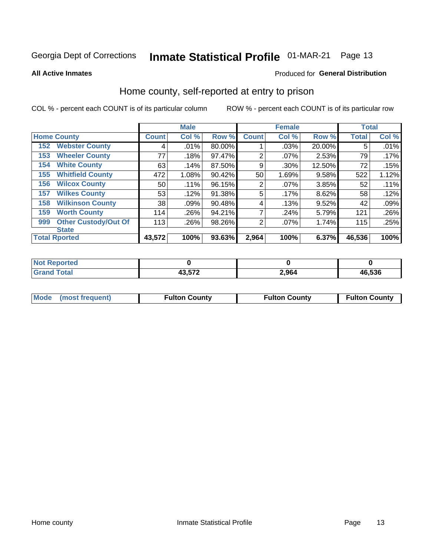## Inmate Statistical Profile 01-MAR-21 Page 13

**All Active Inmates** 

#### Produced for General Distribution

#### Home county, self-reported at entry to prison

COL % - percent each COUNT is of its particular column

|     |                             |              | <b>Male</b> |        |                | <b>Female</b> |        | <b>Total</b> |       |
|-----|-----------------------------|--------------|-------------|--------|----------------|---------------|--------|--------------|-------|
|     | <b>Home County</b>          | <b>Count</b> | Col %       | Row %  | <b>Count</b>   | Col %         | Row %  | <b>Total</b> | Col % |
| 152 | <b>Webster County</b>       | 4            | .01%        | 80.00% |                | .03%          | 20.00% | 5            | .01%  |
| 153 | <b>Wheeler County</b>       | 77           | .18%        | 97.47% | 2              | $.07\%$       | 2.53%  | 79           | .17%  |
| 154 | <b>White County</b>         | 63           | .14%        | 87.50% | 9              | .30%          | 12.50% | 72           | .15%  |
| 155 | <b>Whitfield County</b>     | 472          | 1.08%       | 90.42% | 50             | 1.69%         | 9.58%  | 522          | 1.12% |
| 156 | <b>Wilcox County</b>        | 50           | .11%        | 96.15% | $\overline{2}$ | .07%          | 3.85%  | 52           | .11%  |
| 157 | <b>Wilkes County</b>        | 53           | .12%        | 91.38% | 5              | .17%          | 8.62%  | 58           | .12%  |
| 158 | <b>Wilkinson County</b>     | 38           | .09%        | 90.48% | 4              | .13%          | 9.52%  | 42           | .09%  |
| 159 | <b>Worth County</b>         | 114          | .26%        | 94.21% | 7              | .24%          | 5.79%  | 121          | .26%  |
| 999 | <b>Other Custody/Out Of</b> | 113          | .26%        | 98.26% | 2              | .07%          | 1.74%  | 115          | .25%  |
|     | <b>State</b>                |              |             |        |                |               |        |              |       |
|     | <b>Total Rported</b>        | 43,572       | 100%        | 93.63% | 2,964          | 100%          | 6.37%  | 46,536       | 100%  |

| <b>Reported</b><br><b>NO</b> |        |       |        |
|------------------------------|--------|-------|--------|
| `otal<br>_____               | 19 E70 | 2,964 | 46,536 |

|  | Mode (most frequent) | <b>Fulton County</b> | <b>Fulton County</b> | <b>Fulton County</b> |
|--|----------------------|----------------------|----------------------|----------------------|
|--|----------------------|----------------------|----------------------|----------------------|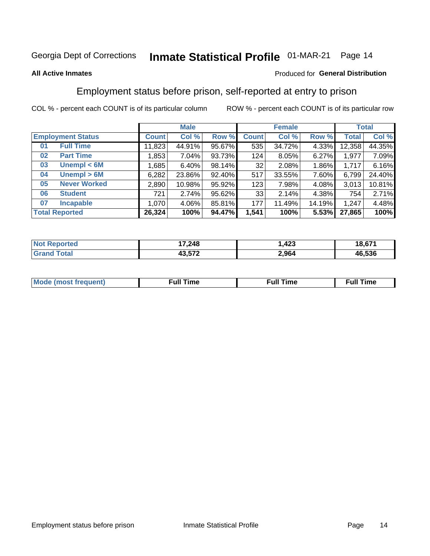#### **Inmate Statistical Profile 01-MAR-21** Page 14

#### **All Active Inmates**

#### Produced for General Distribution

### Employment status before prison, self-reported at entry to prison

COL % - percent each COUNT is of its particular column

|                           |              | <b>Male</b> |        |              | <b>Female</b> |        |              | <b>Total</b> |
|---------------------------|--------------|-------------|--------|--------------|---------------|--------|--------------|--------------|
| <b>Employment Status</b>  | <b>Count</b> | Col %       | Row %  | <b>Count</b> | Col %         | Row %  | <b>Total</b> | Col %        |
| <b>Full Time</b><br>01    | 11,823       | 44.91%      | 95.67% | 535          | 34.72%        | 4.33%  | 12,358       | 44.35%       |
| <b>Part Time</b><br>02    | 1,853        | $7.04\%$    | 93.73% | 124          | 8.05%         | 6.27%  | 1,977        | 7.09%        |
| Unempl $<$ 6M<br>03       | ,685         | 6.40%       | 98.14% | 32           | 2.08%         | 1.86%  | 1,717        | 6.16%        |
| Unempl > 6M<br>04         | 6,282        | 23.86%      | 92.40% | 517          | 33.55%        | 7.60%  | 6,799        | 24.40%       |
| <b>Never Worked</b><br>05 | 2,890        | 10.98%      | 95.92% | 123          | 7.98%         | 4.08%  | 3,013        | 10.81%       |
| <b>Student</b><br>06      | 721          | 2.74%       | 95.62% | 33           | 2.14%         | 4.38%  | 754          | 2.71%        |
| <b>Incapable</b><br>07    | 1.070        | $4.06\%$    | 85.81% | 177          | 11.49%        | 14.19% | 1,247        | 4.48%        |
| <b>Total Reported</b>     | 26,324       | 100%        | 94.47% | 1,541        | 100%          | 5.53%  | 27,865       | 100%         |

| orteo<br><b>NOT</b> | 17,248                    | $\sqrt{2}$<br>423. | 18,671 |
|---------------------|---------------------------|--------------------|--------|
| $\sim$<br>Gra       | 10 F70<br>40.J <i>i</i> 4 | 2,964              | 46.536 |

| Mc | ----<br>me<br>ш | nc<br>. |
|----|-----------------|---------|
|    |                 |         |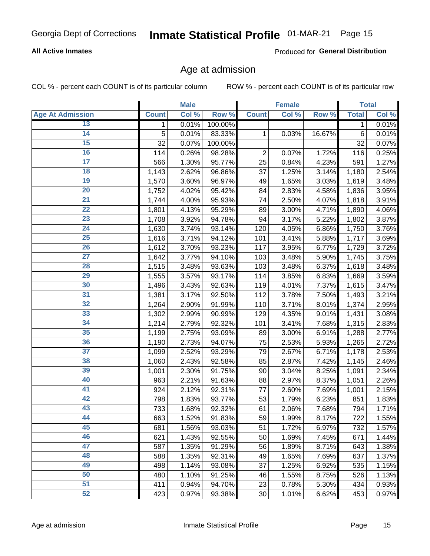#### **All Active Inmates**

Produced for General Distribution

#### Age at admission

COL % - percent each COUNT is of its particular column

|                         |              | <b>Male</b> |         |                | <b>Female</b> |        |              | <b>Total</b> |
|-------------------------|--------------|-------------|---------|----------------|---------------|--------|--------------|--------------|
| <b>Age At Admission</b> | <b>Count</b> | Col %       | Row %   | <b>Count</b>   | Col %         | Row %  | <b>Total</b> | Col %        |
| 13                      | 1            | 0.01%       | 100.00% |                |               |        | 1            | 0.01%        |
| $\overline{14}$         | 5            | 0.01%       | 83.33%  | 1              | 0.03%         | 16.67% | $\,6$        | 0.01%        |
| 15                      | 32           | 0.07%       | 100.00% |                |               |        | 32           | 0.07%        |
| 16                      | 114          | 0.26%       | 98.28%  | $\overline{2}$ | 0.07%         | 1.72%  | 116          | 0.25%        |
| $\overline{17}$         | 566          | 1.30%       | 95.77%  | 25             | 0.84%         | 4.23%  | 591          | 1.27%        |
| 18                      | 1,143        | 2.62%       | 96.86%  | 37             | 1.25%         | 3.14%  | 1,180        | 2.54%        |
| 19                      | 1,570        | 3.60%       | 96.97%  | 49             | 1.65%         | 3.03%  | 1,619        | 3.48%        |
| $\overline{20}$         | 1,752        | 4.02%       | 95.42%  | 84             | 2.83%         | 4.58%  | 1,836        | 3.95%        |
| $\overline{21}$         | 1,744        | 4.00%       | 95.93%  | 74             | 2.50%         | 4.07%  | 1,818        | 3.91%        |
| $\overline{22}$         | 1,801        | 4.13%       | 95.29%  | 89             | 3.00%         | 4.71%  | 1,890        | 4.06%        |
| 23                      | 1,708        | 3.92%       | 94.78%  | 94             | 3.17%         | 5.22%  | 1,802        | 3.87%        |
| $\overline{24}$         | 1,630        | 3.74%       | 93.14%  | 120            | 4.05%         | 6.86%  | 1,750        | 3.76%        |
| 25                      | 1,616        | 3.71%       | 94.12%  | 101            | 3.41%         | 5.88%  | 1,717        | 3.69%        |
| 26                      | 1,612        | 3.70%       | 93.23%  | 117            | 3.95%         | 6.77%  | 1,729        | 3.72%        |
| 27                      | 1,642        | 3.77%       | 94.10%  | 103            | 3.48%         | 5.90%  | 1,745        | 3.75%        |
| 28                      | 1,515        | 3.48%       | 93.63%  | 103            | 3.48%         | 6.37%  | 1,618        | 3.48%        |
| 29                      | 1,555        | 3.57%       | 93.17%  | 114            | 3.85%         | 6.83%  | 1,669        | 3.59%        |
| 30                      | 1,496        | 3.43%       | 92.63%  | 119            | 4.01%         | 7.37%  | 1,615        | 3.47%        |
| 31                      | 1,381        | 3.17%       | 92.50%  | 112            | 3.78%         | 7.50%  | 1,493        | 3.21%        |
| 32                      | 1,264        | 2.90%       | 91.99%  | 110            | 3.71%         | 8.01%  | 1,374        | 2.95%        |
| 33                      | 1,302        | 2.99%       | 90.99%  | 129            | 4.35%         | 9.01%  | 1,431        | 3.08%        |
| 34                      | 1,214        | 2.79%       | 92.32%  | 101            | 3.41%         | 7.68%  | 1,315        | 2.83%        |
| 35                      | 1,199        | 2.75%       | 93.09%  | 89             | 3.00%         | 6.91%  | 1,288        | 2.77%        |
| 36                      | 1,190        | 2.73%       | 94.07%  | 75             | 2.53%         | 5.93%  | 1,265        | 2.72%        |
| $\overline{37}$         | 1,099        | 2.52%       | 93.29%  | 79             | 2.67%         | 6.71%  | 1,178        | 2.53%        |
| 38                      | 1,060        | 2.43%       | 92.58%  | 85             | 2.87%         | 7.42%  | 1,145        | 2.46%        |
| 39                      | 1,001        | 2.30%       | 91.75%  | 90             | 3.04%         | 8.25%  | 1,091        | 2.34%        |
| 40                      | 963          | 2.21%       | 91.63%  | 88             | 2.97%         | 8.37%  | 1,051        | 2.26%        |
| 41                      | 924          | 2.12%       | 92.31%  | 77             | 2.60%         | 7.69%  | 1,001        | 2.15%        |
| 42                      | 798          | 1.83%       | 93.77%  | 53             | 1.79%         | 6.23%  | 851          | 1.83%        |
| 43                      | 733          | 1.68%       | 92.32%  | 61             | 2.06%         | 7.68%  | 794          | 1.71%        |
| 44                      | 663          | 1.52%       | 91.83%  | 59             | 1.99%         | 8.17%  | 722          | 1.55%        |
| 45                      | 681          | 1.56%       | 93.03%  | 51             | 1.72%         | 6.97%  | 732          | 1.57%        |
| 46                      | 621          | 1.43%       | 92.55%  | 50             | 1.69%         | 7.45%  | 671          | 1.44%        |
| 47                      | 587          | 1.35%       | 91.29%  | 56             | 1.89%         | 8.71%  | 643          | 1.38%        |
| 48                      | 588          | 1.35%       | 92.31%  | 49             | 1.65%         | 7.69%  | 637          | 1.37%        |
| 49                      | 498          | 1.14%       | 93.08%  | 37             | 1.25%         | 6.92%  | 535          | 1.15%        |
| 50                      | 480          | 1.10%       | 91.25%  | 46             | 1.55%         | 8.75%  | 526          | 1.13%        |
| 51                      | 411          | 0.94%       | 94.70%  | 23             | 0.78%         | 5.30%  | 434          | 0.93%        |
| 52                      | 423          | 0.97%       | 93.38%  | 30             | 1.01%         | 6.62%  | 453          | 0.97%        |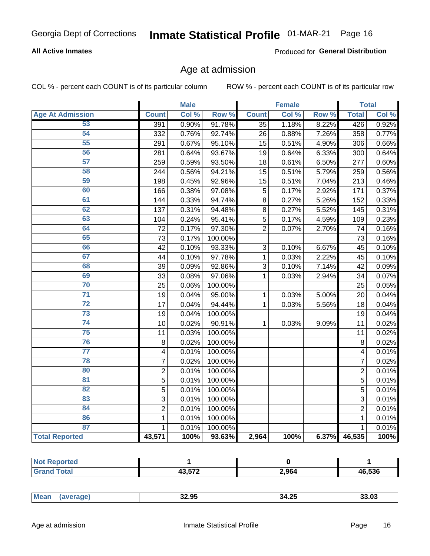#### **All Active Inmates**

Produced for General Distribution

#### Age at admission

COL % - percent each COUNT is of its particular column

|                         |                | <b>Male</b> |         |                | Female |       |                | <b>Total</b> |
|-------------------------|----------------|-------------|---------|----------------|--------|-------|----------------|--------------|
| <b>Age At Admission</b> | <b>Count</b>   | Col %       | Row %   | <b>Count</b>   | Col %  | Row % | <b>Total</b>   | Col %        |
| 53                      | 391            | 0.90%       | 91.78%  | 35             | 1.18%  | 8.22% | 426            | 0.92%        |
| 54                      | 332            | 0.76%       | 92.74%  | 26             | 0.88%  | 7.26% | 358            | 0.77%        |
| 55                      | 291            | 0.67%       | 95.10%  | 15             | 0.51%  | 4.90% | 306            | 0.66%        |
| 56                      | 281            | 0.64%       | 93.67%  | 19             | 0.64%  | 6.33% | 300            | 0.64%        |
| 57                      | 259            | 0.59%       | 93.50%  | 18             | 0.61%  | 6.50% | 277            | 0.60%        |
| 58                      | 244            | 0.56%       | 94.21%  | 15             | 0.51%  | 5.79% | 259            | 0.56%        |
| 59                      | 198            | 0.45%       | 92.96%  | 15             | 0.51%  | 7.04% | 213            | 0.46%        |
| 60                      | 166            | 0.38%       | 97.08%  | 5              | 0.17%  | 2.92% | 171            | 0.37%        |
| 61                      | 144            | 0.33%       | 94.74%  | 8              | 0.27%  | 5.26% | 152            | 0.33%        |
| 62                      | 137            | 0.31%       | 94.48%  | 8              | 0.27%  | 5.52% | 145            | 0.31%        |
| 63                      | 104            | 0.24%       | 95.41%  | 5              | 0.17%  | 4.59% | 109            | 0.23%        |
| 64                      | 72             | 0.17%       | 97.30%  | $\overline{2}$ | 0.07%  | 2.70% | 74             | 0.16%        |
| 65                      | 73             | 0.17%       | 100.00% |                |        |       | 73             | 0.16%        |
| 66                      | 42             | 0.10%       | 93.33%  | 3              | 0.10%  | 6.67% | 45             | 0.10%        |
| 67                      | 44             | 0.10%       | 97.78%  | 1              | 0.03%  | 2.22% | 45             | 0.10%        |
| 68                      | 39             | 0.09%       | 92.86%  | 3              | 0.10%  | 7.14% | 42             | 0.09%        |
| 69                      | 33             | 0.08%       | 97.06%  | $\mathbf{1}$   | 0.03%  | 2.94% | 34             | 0.07%        |
| 70                      | 25             | 0.06%       | 100.00% |                |        |       | 25             | 0.05%        |
| $\overline{71}$         | 19             | 0.04%       | 95.00%  | $\mathbf{1}$   | 0.03%  | 5.00% | 20             | 0.04%        |
| $\overline{72}$         | 17             | 0.04%       | 94.44%  | $\mathbf{1}$   | 0.03%  | 5.56% | 18             | 0.04%        |
| $\overline{73}$         | 19             | 0.04%       | 100.00% |                |        |       | 19             | 0.04%        |
| $\overline{74}$         | 10             | 0.02%       | 90.91%  | $\mathbf{1}$   | 0.03%  | 9.09% | 11             | 0.02%        |
| 75                      | 11             | 0.03%       | 100.00% |                |        |       | 11             | 0.02%        |
| 76                      | 8              | 0.02%       | 100.00% |                |        |       | $\overline{8}$ | 0.02%        |
| $\overline{77}$         | $\overline{4}$ | 0.01%       | 100.00% |                |        |       | 4              | 0.01%        |
| 78                      | $\overline{7}$ | 0.02%       | 100.00% |                |        |       | $\overline{7}$ | 0.02%        |
| 80                      | $\overline{c}$ | 0.01%       | 100.00% |                |        |       | $\overline{2}$ | 0.01%        |
| 81                      | $\overline{5}$ | 0.01%       | 100.00% |                |        |       | $\overline{5}$ | 0.01%        |
| 82                      | 5              | 0.01%       | 100.00% |                |        |       | 5              | 0.01%        |
| 83                      | $\overline{3}$ | 0.01%       | 100.00% |                |        |       | 3              | 0.01%        |
| 84                      | $\overline{2}$ | 0.01%       | 100.00% |                |        |       | $\overline{2}$ | 0.01%        |
| 86                      | $\mathbf{1}$   | 0.01%       | 100.00% |                |        |       | 1              | 0.01%        |
| 87                      | $\mathbf{1}$   | 0.01%       | 100.00% |                |        |       | $\mathbf{1}$   | 0.01%        |
| <b>Total Reported</b>   | 43,571         | 100%        | 93.63%  | 2,964          | 100%   | 6.37% | 46,535         | 100%         |

| $\sim$ $\sim$ | 2,964 | 46,536 |
|---------------|-------|--------|

| $\cdots$ |
|----------|
|----------|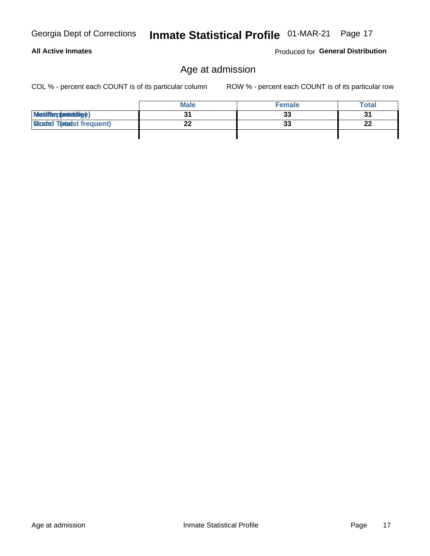| Georgia Dept of Corrections |
|-----------------------------|
|                             |

Produced for General Distribution

### Age at admission

COL % - percent each COUNT is of its particular column

|                                  | <b>Male</b> | <b>Female</b> | <b>Total</b> |
|----------------------------------|-------------|---------------|--------------|
| MetiRep(aniektig)                |             | 33            | 21           |
| <b>Gloaded Tomadst frequent)</b> |             | 33            | າາ<br>LL     |
|                                  |             |               |              |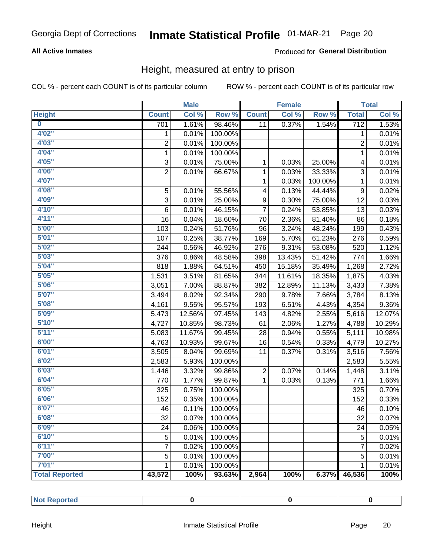#### **All Active Inmates**

#### Produced for General Distribution

#### Height, measured at entry to prison

COL % - percent each COUNT is of its particular column

|                       |                | <b>Male</b> |         |                | <b>Female</b> |         |                  | <b>Total</b> |
|-----------------------|----------------|-------------|---------|----------------|---------------|---------|------------------|--------------|
| <b>Height</b>         | <b>Count</b>   | Col %       | Row %   | <b>Count</b>   | Col %         | Row %   | <b>Total</b>     | Col %        |
| $\bf{0}$              | 701            | 1.61%       | 98.46%  | 11             | 0.37%         | 1.54%   | $\overline{712}$ | 1.53%        |
| 4'02''                | 1              | 0.01%       | 100.00% |                |               |         | 1                | 0.01%        |
| 4'03''                | $\overline{2}$ | 0.01%       | 100.00% |                |               |         | $\overline{2}$   | 0.01%        |
| 4'04"                 | $\mathbf 1$    | 0.01%       | 100.00% |                |               |         | $\mathbf 1$      | 0.01%        |
| 4'05"                 | 3              | 0.01%       | 75.00%  | 1              | 0.03%         | 25.00%  | 4                | 0.01%        |
| 4'06"                 | $\overline{2}$ | 0.01%       | 66.67%  | $\mathbf{1}$   | 0.03%         | 33.33%  | $\sqrt{3}$       | 0.01%        |
| 4'07"                 |                |             |         | $\mathbf{1}$   | 0.03%         | 100.00% | $\mathbf 1$      | 0.01%        |
| 4'08"                 | 5              | 0.01%       | 55.56%  | 4              | 0.13%         | 44.44%  | $\boldsymbol{9}$ | 0.02%        |
| 4'09"                 | 3              | 0.01%       | 25.00%  | 9              | 0.30%         | 75.00%  | 12               | 0.03%        |
| 4'10"                 | 6              | 0.01%       | 46.15%  | $\overline{7}$ | 0.24%         | 53.85%  | 13               | 0.03%        |
| 4'11''                | 16             | 0.04%       | 18.60%  | 70             | 2.36%         | 81.40%  | 86               | 0.18%        |
| 5'00''                | 103            | 0.24%       | 51.76%  | 96             | 3.24%         | 48.24%  | 199              | 0.43%        |
| 5'01"                 | 107            | 0.25%       | 38.77%  | 169            | 5.70%         | 61.23%  | 276              | 0.59%        |
| 5'02"                 | 244            | 0.56%       | 46.92%  | 276            | 9.31%         | 53.08%  | 520              | 1.12%        |
| 5'03''                | 376            | 0.86%       | 48.58%  | 398            | 13.43%        | 51.42%  | 774              | 1.66%        |
| 5'04"                 | 818            | 1.88%       | 64.51%  | 450            | 15.18%        | 35.49%  | 1,268            | 2.72%        |
| 5'05"                 | 1,531          | 3.51%       | 81.65%  | 344            | 11.61%        | 18.35%  | 1,875            | 4.03%        |
| 5'06''                | 3,051          | 7.00%       | 88.87%  | 382            | 12.89%        | 11.13%  | 3,433            | 7.38%        |
| 5'07"                 | 3,494          | 8.02%       | 92.34%  | 290            | 9.78%         | 7.66%   | 3,784            | 8.13%        |
| 5'08''                | 4,161          | 9.55%       | 95.57%  | 193            | 6.51%         | 4.43%   | 4,354            | 9.36%        |
| 5'09''                | 5,473          | 12.56%      | 97.45%  | 143            | 4.82%         | 2.55%   | 5,616            | 12.07%       |
| 5'10''                | 4,727          | 10.85%      | 98.73%  | 61             | 2.06%         | 1.27%   | 4,788            | 10.29%       |
| 5'11''                | 5,083          | 11.67%      | 99.45%  | 28             | 0.94%         | 0.55%   | 5,111            | 10.98%       |
| 6'00''                | 4,763          | 10.93%      | 99.67%  | 16             | 0.54%         | 0.33%   | 4,779            | 10.27%       |
| 6'01''                | 3,505          | 8.04%       | 99.69%  | 11             | 0.37%         | 0.31%   | 3,516            | 7.56%        |
| 6'02"                 | 2,583          | 5.93%       | 100.00% |                |               |         | 2,583            | 5.55%        |
| 6'03''                | 1,446          | 3.32%       | 99.86%  | $\overline{c}$ | 0.07%         | 0.14%   | 1,448            | 3.11%        |
| 6'04"                 | 770            | 1.77%       | 99.87%  | $\mathbf{1}$   | 0.03%         | 0.13%   | 771              | 1.66%        |
| 6'05"                 | 325            | 0.75%       | 100.00% |                |               |         | 325              | 0.70%        |
| 6'06''                | 152            | 0.35%       | 100.00% |                |               |         | 152              | 0.33%        |
| 6'07''                | 46             | 0.11%       | 100.00% |                |               |         | 46               | 0.10%        |
| 6'08''                | 32             | 0.07%       | 100.00% |                |               |         | 32               | 0.07%        |
| 6'09''                | 24             | 0.06%       | 100.00% |                |               |         | 24               | 0.05%        |
| 6'10''                | 5              | 0.01%       | 100.00% |                |               |         | 5                | 0.01%        |
| 6'11''                | 7              | 0.02%       | 100.00% |                |               |         | $\overline{7}$   | 0.02%        |
| 7'00"                 | 5              | 0.01%       | 100.00% |                |               |         | $\mathbf 5$      | 0.01%        |
| 7'01''                | 1              | 0.01%       | 100.00% |                |               |         | 1                | 0.01%        |
| <b>Total Reported</b> | 43,572         | 100%        | 93.63%  | 2,964          | 100%          | 6.37%   | 46,536           | 100%         |

| المنتصب المتعارف<br>тео<br>. |  |  |
|------------------------------|--|--|
|                              |  |  |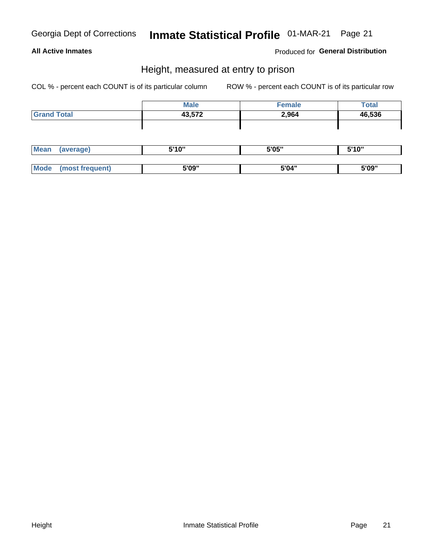#### **All Active Inmates**

#### **Produced for General Distribution**

#### Height, measured at entry to prison

COL % - percent each COUNT is of its particular column

|                    | <b>Male</b> | <b>Female</b> | <b>Total</b> |
|--------------------|-------------|---------------|--------------|
| <b>Grand Total</b> | 43,572      | 2,964         | 46,536       |
|                    |             |               |              |
|                    |             |               |              |

| <b>Mean</b> | <b>E'4 O"</b><br>טוי | 5'05" | <b>EIA AII</b><br>.               |
|-------------|----------------------|-------|-----------------------------------|
|             |                      |       |                                   |
| <b>Mo</b>   | 5'09"                | 5'04" | <b>EINA</b> <sup>11</sup><br>ວ ບອ |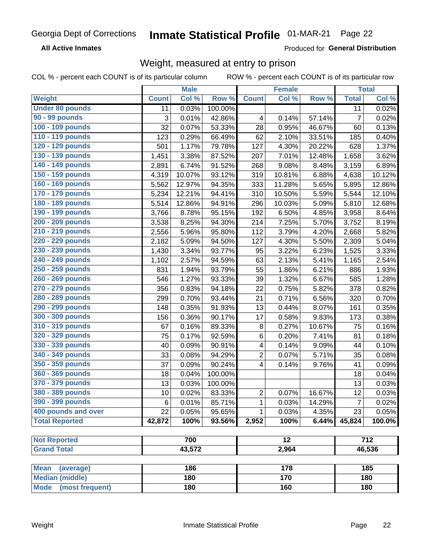**All Active Inmates** 

Produced for General Distribution

### Weight, measured at entry to prison

COL % - percent each COUNT is of its particular column

|                                |              | <b>Male</b> |         |                | Female          |        |                | <b>Total</b>     |
|--------------------------------|--------------|-------------|---------|----------------|-----------------|--------|----------------|------------------|
| Weight                         | <b>Count</b> | Col %       | Row %   | <b>Count</b>   | Col %           | Row %  | <b>Total</b>   | Col %            |
| <b>Under 80 pounds</b>         | 11           | 0.03%       | 100.00% |                |                 |        | 11             | 0.02%            |
| 90 - 99 pounds                 | 3            | 0.01%       | 42.86%  | 4              | 0.14%           | 57.14% | $\overline{7}$ | 0.02%            |
| 100 - 109 pounds               | 32           | 0.07%       | 53.33%  | 28             | 0.95%           | 46.67% | 60             | 0.13%            |
| 110 - 119 pounds               | 123          | 0.29%       | 66.49%  | 62             | 2.10%           | 33.51% | 185            | 0.40%            |
| 120 - 129 pounds               | 501          | 1.17%       | 79.78%  | 127            | 4.30%           | 20.22% | 628            | 1.37%            |
| 130 - 139 pounds               | 1,451        | 3.38%       | 87.52%  | 207            | 7.01%           | 12.48% | 1,658          | 3.62%            |
| 140 - 149 pounds               | 2,891        | 6.74%       | 91.52%  | 268            | 9.08%           | 8.48%  | 3,159          | 6.89%            |
| 150 - 159 pounds               | 4,319        | 10.07%      | 93.12%  | 319            | 10.81%          | 6.88%  | 4,638          | 10.12%           |
| 160 - 169 pounds               | 5,562        | 12.97%      | 94.35%  | 333            | 11.28%          | 5.65%  | 5,895          | 12.86%           |
| 170 - 179 pounds               | 5,234        | 12.21%      | 94.41%  | 310            | 10.50%          | 5.59%  | 5,544          | 12.10%           |
| 180 - 189 pounds               | 5,514        | 12.86%      | 94.91%  | 296            | 10.03%          | 5.09%  | 5,810          | 12.68%           |
| 190 - 199 pounds               | 3,766        | 8.78%       | 95.15%  | 192            | 6.50%           | 4.85%  | 3,958          | 8.64%            |
| 200 - 209 pounds               | 3,538        | 8.25%       | 94.30%  | 214            | 7.25%           | 5.70%  | 3,752          | 8.19%            |
| 210 - 219 pounds               | 2,556        | 5.96%       | 95.80%  | 112            | 3.79%           | 4.20%  | 2,668          | 5.82%            |
| 220 - 229 pounds               | 2,182        | 5.09%       | 94.50%  | 127            | 4.30%           | 5.50%  | 2,309          | 5.04%            |
| 230 - 239 pounds               | 1,430        | 3.34%       | 93.77%  | 95             | 3.22%           | 6.23%  | 1,525          | 3.33%            |
| 240 - 249 pounds               | 1,102        | 2.57%       | 94.59%  | 63             | 2.13%           | 5.41%  | 1,165          | 2.54%            |
| 250 - 259 pounds               | 831          | 1.94%       | 93.79%  | 55             | 1.86%           | 6.21%  | 886            | 1.93%            |
| 260 - 269 pounds               | 546          | 1.27%       | 93.33%  | 39             | 1.32%           | 6.67%  | 585            | 1.28%            |
| 270 - 279 pounds               | 356          | 0.83%       | 94.18%  | 22             | 0.75%           | 5.82%  | 378            | 0.82%            |
| 280 - 289 pounds               | 299          | 0.70%       | 93.44%  | 21             | 0.71%           | 6.56%  | 320            | 0.70%            |
| 290 - 299 pounds               | 148          | 0.35%       | 91.93%  | 13             | 0.44%           | 8.07%  | 161            | 0.35%            |
| 300 - 309 pounds               | 156          | 0.36%       | 90.17%  | 17             | 0.58%           | 9.83%  | 173            | 0.38%            |
| 310 - 319 pounds               | 67           | 0.16%       | 89.33%  | 8              | 0.27%           | 10.67% | 75             | 0.16%            |
| 320 - 329 pounds               | 75           | 0.17%       | 92.59%  | 6              | 0.20%           | 7.41%  | 81             | 0.18%            |
| 330 - 339 pounds               | 40           | 0.09%       | 90.91%  | 4              | 0.14%           | 9.09%  | 44             | 0.10%            |
| 340 - 349 pounds               | 33           | 0.08%       | 94.29%  | $\overline{2}$ | 0.07%           | 5.71%  | 35             | 0.08%            |
| 350 - 359 pounds               | 37           | 0.09%       | 90.24%  | 4              | 0.14%           | 9.76%  | 41             | 0.09%            |
| 360 - 369 pounds               | 18           | 0.04%       | 100.00% |                |                 |        | 18             | 0.04%            |
| 370 - 379 pounds               | 13           | 0.03%       | 100.00% |                |                 |        | 13             | 0.03%            |
| 380 - 389 pounds               | 10           | 0.02%       | 83.33%  | $\overline{2}$ | 0.07%           | 16.67% | 12             | 0.03%            |
| 390 - 399 pounds               | 6            | 0.01%       | 85.71%  | 1              | 0.03%           | 14.29% | $\overline{7}$ | 0.02%            |
| 400 pounds and over            | 22           | 0.05%       | 95.65%  | $\mathbf{1}$   | 0.03%           | 4.35%  | 23             | 0.05%            |
| <b>Total Reported</b>          | 42,872       | 100%        | 93.56%  | 2,952          | 100%            | 6.44%  | 45,824         | 100.0%           |
|                                |              |             |         |                |                 |        |                |                  |
| <b>Not Reported</b>            |              | 700         |         |                | $\overline{12}$ |        |                | $\overline{712}$ |
| <b>Grand Total</b>             |              | 43,572      |         |                | 2,964           |        |                | 46,536           |
| <b>Mean</b><br>(average)       |              | 186         |         |                | 178             |        |                | 185              |
| <b>Median (middle)</b>         |              | 180         |         |                | 170             |        |                | 180              |
| <b>Mode</b><br>(most frequent) |              | 180         |         |                | 160             |        |                | 180              |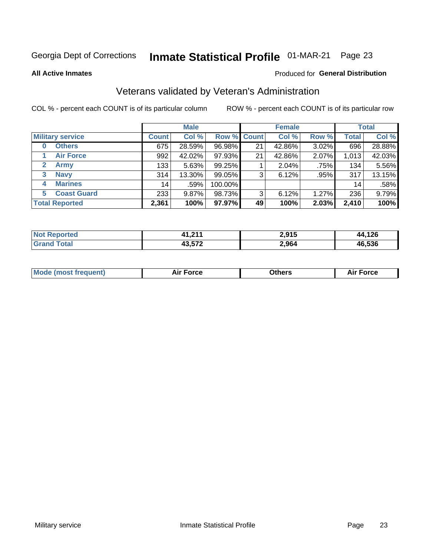### Inmate Statistical Profile 01-MAR-21 Page 23

**All Active Inmates** 

#### Produced for General Distribution

### Veterans validated by Veteran's Administration

COL % - percent each COUNT is of its particular column

|                          |              | <b>Male</b> |         |                    | <b>Female</b> |       |              | <b>Total</b> |
|--------------------------|--------------|-------------|---------|--------------------|---------------|-------|--------------|--------------|
| <b>Military service</b>  | <b>Count</b> | Col %       |         | <b>Row % Count</b> | Col %         | Row % | <b>Total</b> | Col %        |
| <b>Others</b><br>0       | 675          | 28.59%      | 96.98%  | 21                 | 42.86%        | 3.02% | 696          | 28.88%       |
| <b>Air Force</b>         | 992          | 42.02%      | 97.93%  | 21                 | 42.86%        | 2.07% | 1,013        | 42.03%       |
| <b>Army</b><br>2         | 133          | 5.63%       | 99.25%  |                    | 2.04%         | .75%  | 134          | 5.56%        |
| <b>Navy</b><br>3         | 314          | 13.30%      | 99.05%  | 3                  | 6.12%         | .95%  | 317          | 13.15%       |
| <b>Marines</b><br>4      | 14           | .59%        | 100.00% |                    |               |       | 14           | .58%         |
| <b>Coast Guard</b><br>5. | 233          | 9.87%       | 98.73%  | 3                  | 6.12%         | 1.27% | 236          | 9.79%        |
| <b>Total Reported</b>    | 2,361        | 100%        | 97.97%  | 49                 | 100%          | 2.03% | 2,410        | 100%         |

| <b>Not</b>           | 11.21' | 2,915 | ,126   |
|----------------------|--------|-------|--------|
| Reported             | 11,411 |       | Δ4     |
| <b>Fotal</b><br>Gr2r | 43,572 | 2,964 | 46.536 |

|  |  | <b>Mode (most frequent)</b> | <b>Force</b><br>Aır | วthers | orce |
|--|--|-----------------------------|---------------------|--------|------|
|--|--|-----------------------------|---------------------|--------|------|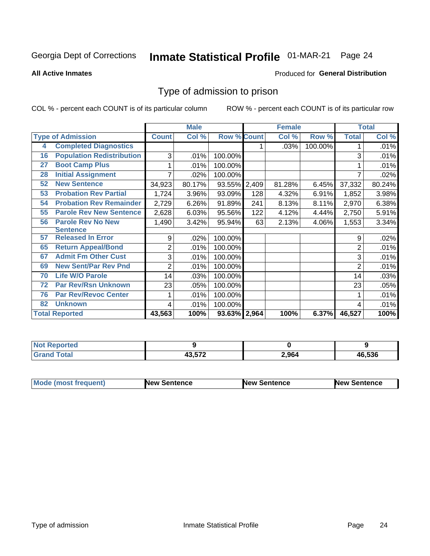# Inmate Statistical Profile 01-MAR-21 Page 24

**All Active Inmates** 

#### Produced for General Distribution

### Type of admission to prison

COL % - percent each COUNT is of its particular column

|    |                                  |              | <b>Male</b> |                    |     | <b>Female</b> |         |              | <b>Total</b> |
|----|----------------------------------|--------------|-------------|--------------------|-----|---------------|---------|--------------|--------------|
|    | <b>Type of Admission</b>         | <b>Count</b> | Col %       | <b>Row % Count</b> |     | Col %         | Row %   | <b>Total</b> | Col %        |
| 4  | <b>Completed Diagnostics</b>     |              |             |                    |     | .03%          | 100.00% |              | .01%         |
| 16 | <b>Population Redistribution</b> | 3            | .01%        | 100.00%            |     |               |         | 3            | .01%         |
| 27 | <b>Boot Camp Plus</b>            |              | .01%        | 100.00%            |     |               |         |              | .01%         |
| 28 | <b>Initial Assignment</b>        | 7            | .02%        | 100.00%            |     |               |         | 7            | .02%         |
| 52 | <b>New Sentence</b>              | 34,923       | 80.17%      | 93.55% 2,409       |     | 81.28%        | 6.45%   | 37,332       | 80.24%       |
| 53 | <b>Probation Rev Partial</b>     | 1,724        | 3.96%       | 93.09%             | 128 | 4.32%         | 6.91%   | 1,852        | 3.98%        |
| 54 | <b>Probation Rev Remainder</b>   | 2,729        | 6.26%       | 91.89%             | 241 | 8.13%         | 8.11%   | 2,970        | 6.38%        |
| 55 | <b>Parole Rev New Sentence</b>   | 2,628        | 6.03%       | 95.56%             | 122 | 4.12%         | 4.44%   | 2,750        | 5.91%        |
| 56 | <b>Parole Rev No New</b>         | 1,490        | 3.42%       | 95.94%             | 63  | 2.13%         | 4.06%   | 1,553        | 3.34%        |
|    | <b>Sentence</b>                  |              |             |                    |     |               |         |              |              |
| 57 | <b>Released In Error</b>         | 9            | .02%        | 100.00%            |     |               |         | 9            | .02%         |
| 65 | <b>Return Appeal/Bond</b>        | 2            | .01%        | 100.00%            |     |               |         | 2            | .01%         |
| 67 | <b>Admit Fm Other Cust</b>       | 3            | .01%        | 100.00%            |     |               |         | 3            | .01%         |
| 69 | <b>New Sent/Par Rev Pnd</b>      | 2            | .01%        | 100.00%            |     |               |         | 2            | .01%         |
| 70 | <b>Life W/O Parole</b>           | 14           | .03%        | 100.00%            |     |               |         | 14           | .03%         |
| 72 | <b>Par Rev/Rsn Unknown</b>       | 23           | .05%        | 100.00%            |     |               |         | 23           | .05%         |
| 76 | <b>Par Rev/Revoc Center</b>      |              | .01%        | 100.00%            |     |               |         |              | .01%         |
| 82 | <b>Unknown</b>                   | 4            | .01%        | 100.00%            |     |               |         | 4            | .01%         |
|    | <b>Total Reported</b>            | 43,563       | 100%        | 93.63% 2,964       |     | 100%          | 6.37%   | 46,527       | 100%         |

| <b>Not</b><br>тео |     |       |        |
|-------------------|-----|-------|--------|
| $\sim$<br>_____   | -70 | 2.964 | 46.536 |

| <b>Mode (most frequent)</b> | New Sentence | <b>New Sentence</b> | <b>New Sentence</b> |
|-----------------------------|--------------|---------------------|---------------------|
|                             |              |                     |                     |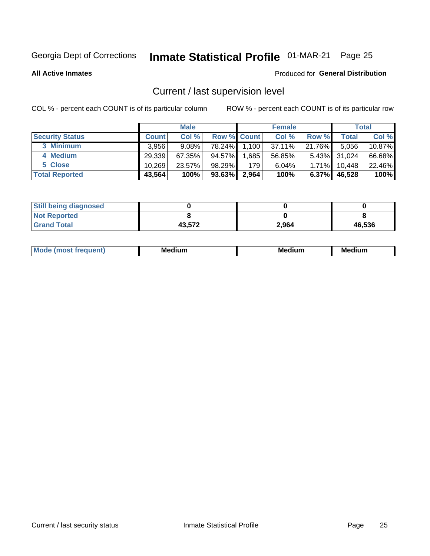### Inmate Statistical Profile 01-MAR-21 Page 25

**All Active Inmates** 

#### Produced for General Distribution

### Current / last supervision level

COL % - percent each COUNT is of its particular column

|                        |              | <b>Male</b> |                    |       | <b>Female</b> |          |              | <b>Total</b> |
|------------------------|--------------|-------------|--------------------|-------|---------------|----------|--------------|--------------|
| <b>Security Status</b> | <b>Count</b> | Col %       | <b>Row % Count</b> |       | Col %         | Row %    | Total        | Col %        |
| 3 Minimum              | 3.956        | $9.08\%$    | 78.24%             | 1,100 | 37.11%        | 21.76%   | 5,056        | $10.87\%$    |
| 4 Medium               | 29,339       | 67.35%      | 94.57%             | .685  | 56.85%        |          | 5.43% 31,024 | 66.68%       |
| 5 Close                | 10.269       | 23.57%      | 98.29%             | 179   | 6.04%         | 1.71%    | 10,448       | 22.46%       |
| <b>Total Reported</b>  | 43,564       | 100%        | 93.63%             | 2,964 | 100%          | $6.37\%$ | 46,528       | 100%         |

| <b>Still being diagnosed</b> |        |       |        |
|------------------------------|--------|-------|--------|
| <b>Not Reported</b>          |        |       |        |
| <b>Grand Total</b>           | 43,572 | 2.964 | 46,536 |

| M | M | . . |
|---|---|-----|
|   |   |     |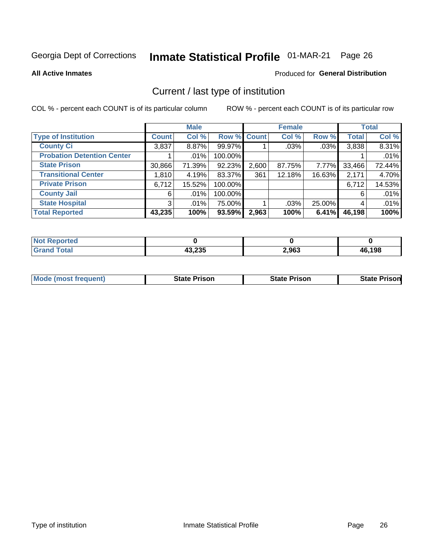# Inmate Statistical Profile 01-MAR-21 Page 26

**All Active Inmates** 

#### Produced for General Distribution

### Current / last type of institution

COL % - percent each COUNT is of its particular column

|                                   |                | <b>Male</b> |             |       | <b>Female</b> |        |              | <b>Total</b> |
|-----------------------------------|----------------|-------------|-------------|-------|---------------|--------|--------------|--------------|
| <b>Type of Institution</b>        | <b>Count</b>   | Col %       | Row % Count |       | Col %         | Row %  | <b>Total</b> | Col %        |
| <b>County Ci</b>                  | 3,837          | $8.87\%$    | 99.97%      |       | $.03\%$       | .03%   | 3,838        | 8.31%        |
| <b>Probation Detention Center</b> |                | .01%        | 100.00%     |       |               |        |              | .01%         |
| <b>State Prison</b>               | 30,866         | 71.39%      | 92.23%      | 2,600 | 87.75%        | 7.77%  | 33,466       | 72.44%       |
| <b>Transitional Center</b>        | 1,810          | 4.19%       | 83.37%      | 361   | 12.18%        | 16.63% | 2,171        | 4.70%        |
| <b>Private Prison</b>             | 6,712          | 15.52%      | 100.00%     |       |               |        | 6,712        | 14.53%       |
| <b>County Jail</b>                | 6              | $.01\%$     | 100.00%     |       |               |        | 6            | .01%         |
| <b>State Hospital</b>             | 3 <sup>1</sup> | $.01\%$     | 75.00%      |       | .03%          | 25.00% | 4            | .01%         |
| <b>Total Reported</b>             | 43,235         | 100%        | 93.59%      | 2,963 | 100%          | 6.41%  | 46,198       | 100%         |

| oorted<br>NG |                  |       |        |
|--------------|------------------|-------|--------|
| $\sim$       | ハウ つつに<br>10,ZJJ | 2,963 | 46,198 |

| <b>Mode (most frequent)</b> | <b>State Prison</b> | <b>State Prison</b> | <b>State Prison</b> |
|-----------------------------|---------------------|---------------------|---------------------|
|                             |                     |                     |                     |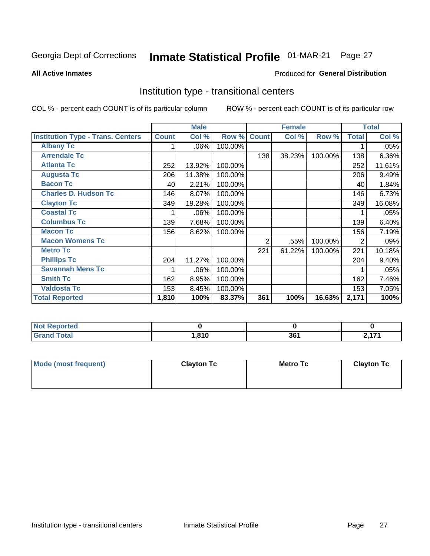# Inmate Statistical Profile 01-MAR-21 Page 27

#### **All Active Inmates**

### **Produced for General Distribution**

### Institution type - transitional centers

COL % - percent each COUNT is of its particular column

|                                          |              | <b>Male</b> |         |              | <b>Female</b> |         |                | <b>Total</b> |
|------------------------------------------|--------------|-------------|---------|--------------|---------------|---------|----------------|--------------|
| <b>Institution Type - Trans. Centers</b> | <b>Count</b> | Col %       | Row %   | <b>Count</b> | Col %         | Row %   | <b>Total</b>   | Col %        |
| <b>Albany Tc</b>                         |              | .06%        | 100.00% |              |               |         |                | .05%         |
| <b>Arrendale Tc</b>                      |              |             |         | 138          | 38.23%        | 100.00% | 138            | 6.36%        |
| <b>Atlanta Tc</b>                        | 252          | 13.92%      | 100.00% |              |               |         | 252            | 11.61%       |
| <b>Augusta Tc</b>                        | 206          | 11.38%      | 100.00% |              |               |         | 206            | 9.49%        |
| <b>Bacon Tc</b>                          | 40           | 2.21%       | 100.00% |              |               |         | 40             | 1.84%        |
| <b>Charles D. Hudson Tc</b>              | 146          | 8.07%       | 100.00% |              |               |         | 146            | 6.73%        |
| <b>Clayton Tc</b>                        | 349          | 19.28%      | 100.00% |              |               |         | 349            | 16.08%       |
| <b>Coastal Tc</b>                        |              | .06%        | 100.00% |              |               |         |                | .05%         |
| <b>Columbus Tc</b>                       | 139          | 7.68%       | 100.00% |              |               |         | 139            | 6.40%        |
| <b>Macon Tc</b>                          | 156          | 8.62%       | 100.00% |              |               |         | 156            | 7.19%        |
| <b>Macon Womens Tc</b>                   |              |             |         | 2            | .55%          | 100.00% | $\overline{2}$ | .09%         |
| <b>Metro Tc</b>                          |              |             |         | 221          | 61.22%        | 100.00% | 221            | 10.18%       |
| <b>Phillips Tc</b>                       | 204          | 11.27%      | 100.00% |              |               |         | 204            | 9.40%        |
| <b>Savannah Mens Tc</b>                  |              | .06%        | 100.00% |              |               |         |                | .05%         |
| <b>Smith Tc</b>                          | 162          | 8.95%       | 100.00% |              |               |         | 162            | 7.46%        |
| <b>Valdosta Tc</b>                       | 153          | 8.45%       | 100.00% |              |               |         | 153            | 7.05%        |
| <b>Total Reported</b>                    | 1,810        | 100%        | 83.37%  | 361          | 100%          | 16.63%  | 2,171          | 100%         |

| <b>Reported</b><br><b>NOT</b><br> |      |           |     |
|-----------------------------------|------|-----------|-----|
| <b>Total</b>                      | .810 | 2C<br>JU. | . . |

| Mode (most frequent) | <b>Clayton Tc</b> | Metro Tc | <b>Clayton Tc</b> |
|----------------------|-------------------|----------|-------------------|
|                      |                   |          |                   |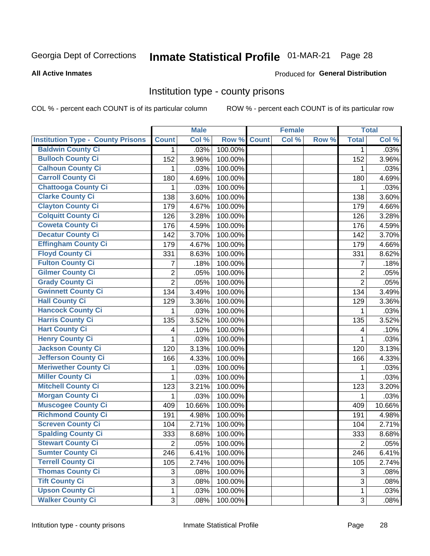# Inmate Statistical Profile 01-MAR-21 Page 28

#### **All Active Inmates**

#### Produced for General Distribution

#### Institution type - county prisons

COL % - percent each COUNT is of its particular column

|                                          |                | <b>Male</b> |         |              | <b>Female</b> |       |                | <b>Total</b> |
|------------------------------------------|----------------|-------------|---------|--------------|---------------|-------|----------------|--------------|
| <b>Institution Type - County Prisons</b> | <b>Count</b>   | Col %       | Row %   | <b>Count</b> | Col %         | Row % | <b>Total</b>   | Col %        |
| <b>Baldwin County Ci</b>                 | $\mathbf{1}$   | .03%        | 100.00% |              |               |       | 1              | .03%         |
| <b>Bulloch County Ci</b>                 | 152            | 3.96%       | 100.00% |              |               |       | 152            | 3.96%        |
| <b>Calhoun County Ci</b>                 | 1              | .03%        | 100.00% |              |               |       | 1              | .03%         |
| <b>Carroll County Ci</b>                 | 180            | 4.69%       | 100.00% |              |               |       | 180            | 4.69%        |
| <b>Chattooga County Ci</b>               | 1              | .03%        | 100.00% |              |               |       | 1              | .03%         |
| <b>Clarke County Ci</b>                  | 138            | 3.60%       | 100.00% |              |               |       | 138            | 3.60%        |
| <b>Clayton County Ci</b>                 | 179            | 4.67%       | 100.00% |              |               |       | 179            | 4.66%        |
| <b>Colquitt County Ci</b>                | 126            | 3.28%       | 100.00% |              |               |       | 126            | 3.28%        |
| <b>Coweta County Ci</b>                  | 176            | 4.59%       | 100.00% |              |               |       | 176            | 4.59%        |
| <b>Decatur County Ci</b>                 | 142            | 3.70%       | 100.00% |              |               |       | 142            | 3.70%        |
| <b>Effingham County Ci</b>               | 179            | 4.67%       | 100.00% |              |               |       | 179            | 4.66%        |
| <b>Floyd County Ci</b>                   | 331            | 8.63%       | 100.00% |              |               |       | 331            | 8.62%        |
| <b>Fulton County Ci</b>                  | 7              | .18%        | 100.00% |              |               |       | 7              | .18%         |
| <b>Gilmer County Ci</b>                  | $\overline{c}$ | .05%        | 100.00% |              |               |       | $\overline{2}$ | .05%         |
| <b>Grady County Ci</b>                   | $\overline{2}$ | .05%        | 100.00% |              |               |       | $\overline{2}$ | .05%         |
| <b>Gwinnett County Ci</b>                | 134            | 3.49%       | 100.00% |              |               |       | 134            | 3.49%        |
| <b>Hall County Ci</b>                    | 129            | 3.36%       | 100.00% |              |               |       | 129            | 3.36%        |
| <b>Hancock County Ci</b>                 | 1              | .03%        | 100.00% |              |               |       | 1              | .03%         |
| <b>Harris County Ci</b>                  | 135            | 3.52%       | 100.00% |              |               |       | 135            | 3.52%        |
| <b>Hart County Ci</b>                    | 4              | .10%        | 100.00% |              |               |       | 4              | .10%         |
| <b>Henry County Ci</b>                   | 1              | .03%        | 100.00% |              |               |       | $\mathbf{1}$   | .03%         |
| <b>Jackson County Ci</b>                 | 120            | 3.13%       | 100.00% |              |               |       | 120            | 3.13%        |
| Jefferson County Ci                      | 166            | 4.33%       | 100.00% |              |               |       | 166            | 4.33%        |
| <b>Meriwether County Ci</b>              | 1              | .03%        | 100.00% |              |               |       | 1              | .03%         |
| <b>Miller County Ci</b>                  | 1              | .03%        | 100.00% |              |               |       | $\mathbf{1}$   | .03%         |
| <b>Mitchell County Ci</b>                | 123            | 3.21%       | 100.00% |              |               |       | 123            | 3.20%        |
| <b>Morgan County Ci</b>                  | 1              | .03%        | 100.00% |              |               |       | 1              | .03%         |
| <b>Muscogee County Ci</b>                | 409            | 10.66%      | 100.00% |              |               |       | 409            | 10.66%       |
| <b>Richmond County Ci</b>                | 191            | 4.98%       | 100.00% |              |               |       | 191            | 4.98%        |
| <b>Screven County Ci</b>                 | 104            | 2.71%       | 100.00% |              |               |       | 104            | 2.71%        |
| <b>Spalding County Ci</b>                | 333            | 8.68%       | 100.00% |              |               |       | 333            | 8.68%        |
| <b>Stewart County Ci</b>                 | $\overline{c}$ | .05%        | 100.00% |              |               |       | $\overline{2}$ | .05%         |
| <b>Sumter County Ci</b>                  | 246            | 6.41%       | 100.00% |              |               |       | 246            | 6.41%        |
| <b>Terrell County Ci</b>                 | 105            | 2.74%       | 100.00% |              |               |       | 105            | 2.74%        |
| <b>Thomas County Ci</b>                  | 3              | .08%        | 100.00% |              |               |       | 3              | .08%         |
| <b>Tift County Ci</b>                    | 3              | .08%        | 100.00% |              |               |       | 3              | .08%         |
| <b>Upson County Ci</b>                   | 1              | .03%        | 100.00% |              |               |       | 1              | .03%         |
| <b>Walker County Ci</b>                  | $\mathfrak{S}$ | .08%        | 100.00% |              |               |       | 3              | .08%         |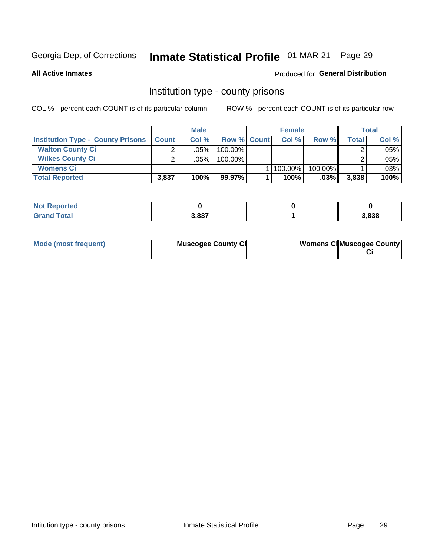### Inmate Statistical Profile 01-MAR-21 Page 29

**All Active Inmates** 

#### Produced for General Distribution

#### Institution type - county prisons

COL % - percent each COUNT is of its particular column

|                                          | <b>Male</b>  |         |                    | <b>Female</b> |         |         | <b>Total</b> |       |
|------------------------------------------|--------------|---------|--------------------|---------------|---------|---------|--------------|-------|
| <b>Institution Type - County Prisons</b> | <b>Count</b> | Col%    | <b>Row % Count</b> |               | Col%    | Row %   | Total        | Col % |
| <b>Walton County Ci</b>                  | ⌒            | .05%    | 100.00%            |               |         |         |              | .05%  |
| <b>Wilkes County Ci</b>                  |              | $.05\%$ | 100.00%            |               |         |         |              | .05%  |
| <b>Womens Ci</b>                         |              |         |                    |               | 100.00% | 100.00% |              | .03%  |
| <b>Total Reported</b>                    | 3,837        | $100\%$ | 99.97%             |               | 100%    | .03%    | 3,838        | 100%  |

| keportea<br>$\sim$ |      |       |
|--------------------|------|-------|
|                    | 2027 | 3,838 |

| Mode (most frequent) | <b>Muscogee County Ci</b> | <b>Womens Cil Muscogee County</b> |
|----------------------|---------------------------|-----------------------------------|
|                      |                           |                                   |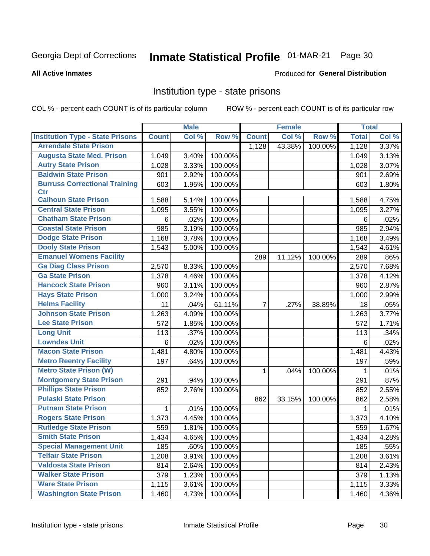# Inmate Statistical Profile 01-MAR-21 Page 30

#### **All Active Inmates**

#### Produced for General Distribution

#### Institution type - state prisons

COL % - percent each COUNT is of its particular column

|                                         |              | <b>Male</b> |         |                | <b>Female</b> |         | <b>Total</b> |       |
|-----------------------------------------|--------------|-------------|---------|----------------|---------------|---------|--------------|-------|
| <b>Institution Type - State Prisons</b> | <b>Count</b> | Col %       | Row %   | <b>Count</b>   | Col %         | Row %   | <b>Total</b> | Col % |
| <b>Arrendale State Prison</b>           |              |             |         | 1,128          | 43.38%        | 100.00% | 1,128        | 3.37% |
| <b>Augusta State Med. Prison</b>        | 1,049        | 3.40%       | 100.00% |                |               |         | 1,049        | 3.13% |
| <b>Autry State Prison</b>               | 1,028        | 3.33%       | 100.00% |                |               |         | 1,028        | 3.07% |
| <b>Baldwin State Prison</b>             | 901          | 2.92%       | 100.00% |                |               |         | 901          | 2.69% |
| <b>Burruss Correctional Training</b>    | 603          | 1.95%       | 100.00% |                |               |         | 603          | 1.80% |
| <b>Ctr</b>                              |              |             |         |                |               |         |              |       |
| <b>Calhoun State Prison</b>             | 1,588        | 5.14%       | 100.00% |                |               |         | 1,588        | 4.75% |
| <b>Central State Prison</b>             | 1,095        | 3.55%       | 100.00% |                |               |         | 1,095        | 3.27% |
| <b>Chatham State Prison</b>             | 6            | .02%        | 100.00% |                |               |         | 6            | .02%  |
| <b>Coastal State Prison</b>             | 985          | 3.19%       | 100.00% |                |               |         | 985          | 2.94% |
| <b>Dodge State Prison</b>               | 1,168        | 3.78%       | 100.00% |                |               |         | 1,168        | 3.49% |
| <b>Dooly State Prison</b>               | 1,543        | 5.00%       | 100.00% |                |               |         | 1,543        | 4.61% |
| <b>Emanuel Womens Facility</b>          |              |             |         | 289            | 11.12%        | 100.00% | 289          | .86%  |
| <b>Ga Diag Class Prison</b>             | 2,570        | 8.33%       | 100.00% |                |               |         | 2,570        | 7.68% |
| <b>Ga State Prison</b>                  | 1,378        | 4.46%       | 100.00% |                |               |         | 1,378        | 4.12% |
| <b>Hancock State Prison</b>             | 960          | 3.11%       | 100.00% |                |               |         | 960          | 2.87% |
| <b>Hays State Prison</b>                | 1,000        | 3.24%       | 100.00% |                |               |         | 1,000        | 2.99% |
| <b>Helms Facility</b>                   | 11           | .04%        | 61.11%  | $\overline{7}$ | .27%          | 38.89%  | 18           | .05%  |
| <b>Johnson State Prison</b>             | 1,263        | 4.09%       | 100.00% |                |               |         | 1,263        | 3.77% |
| <b>Lee State Prison</b>                 | 572          | 1.85%       | 100.00% |                |               |         | 572          | 1.71% |
| <b>Long Unit</b>                        | 113          | .37%        | 100.00% |                |               |         | 113          | .34%  |
| <b>Lowndes Unit</b>                     | 6            | .02%        | 100.00% |                |               |         | 6            | .02%  |
| <b>Macon State Prison</b>               | 1,481        | 4.80%       | 100.00% |                |               |         | 1,481        | 4.43% |
| <b>Metro Reentry Facility</b>           | 197          | .64%        | 100.00% |                |               |         | 197          | .59%  |
| <b>Metro State Prison (W)</b>           |              |             |         | 1              | .04%          | 100.00% | 1            | .01%  |
| <b>Montgomery State Prison</b>          | 291          | .94%        | 100.00% |                |               |         | 291          | .87%  |
| <b>Phillips State Prison</b>            | 852          | 2.76%       | 100.00% |                |               |         | 852          | 2.55% |
| <b>Pulaski State Prison</b>             |              |             |         | 862            | 33.15%        | 100.00% | 862          | 2.58% |
| <b>Putnam State Prison</b>              | 1            | .01%        | 100.00% |                |               |         | 1            | .01%  |
| <b>Rogers State Prison</b>              | 1,373        | 4.45%       | 100.00% |                |               |         | 1,373        | 4.10% |
| <b>Rutledge State Prison</b>            | 559          | 1.81%       | 100.00% |                |               |         | 559          | 1.67% |
| <b>Smith State Prison</b>               | 1,434        | $4.65\%$    | 100.00% |                |               |         | 1,434        | 4.28% |
| <b>Special Management Unit</b>          | 185          | .60%        | 100.00% |                |               |         | 185          | .55%  |
| <b>Telfair State Prison</b>             | 1,208        | 3.91%       | 100.00% |                |               |         | 1,208        | 3.61% |
| <b>Valdosta State Prison</b>            | 814          | 2.64%       | 100.00% |                |               |         | 814          | 2.43% |
| <b>Walker State Prison</b>              | 379          | 1.23%       | 100.00% |                |               |         | 379          | 1.13% |
| <b>Ware State Prison</b>                | 1,115        | 3.61%       | 100.00% |                |               |         | 1,115        | 3.33% |
| <b>Washington State Prison</b>          | 1,460        | 4.73%       | 100.00% |                |               |         | 1,460        | 4.36% |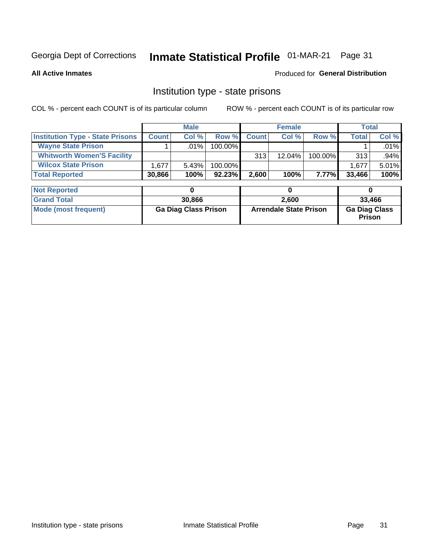#### Inmate Statistical Profile 01-MAR-21 Page 31

**All Active Inmates** 

#### Produced for General Distribution

### Institution type - state prisons

COL % - percent each COUNT is of its particular column

|                                         | <b>Male</b>  |         |            | <b>Female</b> |           |         | Total        |          |
|-----------------------------------------|--------------|---------|------------|---------------|-----------|---------|--------------|----------|
| <b>Institution Type - State Prisons</b> | <b>Count</b> | Col %   | Row %I     | <b>Count</b>  | Col %     | Row %   | <b>Total</b> | Col %    |
| <b>Wayne State Prison</b>               |              | $.01\%$ | $100.00\%$ |               |           |         |              | $.01\%$  |
| <b>Whitworth Women'S Facility</b>       |              |         |            | 313           | $12.04\%$ | 100.00% | 313          | $.94\%$  |
| <b>Wilcox State Prison</b>              | .677         | 5.43%   | 100.00%    |               |           |         | 1.677        | $5.01\%$ |
| <b>Total Reported</b>                   | 30,866       | 100%    | $92.23\%$  | 2,600         | 100%      | 7.77%I  | 33,466       | 100%     |

| <b>Not Reported</b>  |                             |                               |                                       |
|----------------------|-----------------------------|-------------------------------|---------------------------------------|
| <b>Grand Total</b>   | 30,866                      | 2.600                         | 33.466                                |
| Mode (most frequent) | <b>Ga Diag Class Prison</b> | <b>Arrendale State Prison</b> | <b>Ga Diag Class</b><br><b>Prison</b> |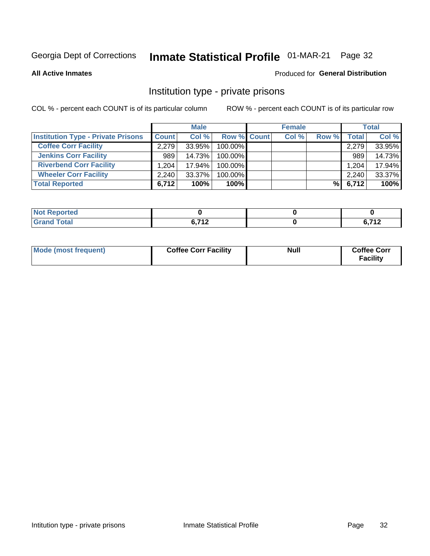# Inmate Statistical Profile 01-MAR-21 Page 32

**All Active Inmates** 

#### Produced for General Distribution

### Institution type - private prisons

COL % - percent each COUNT is of its particular column

|                                           |              | <b>Male</b> |                    | <b>Female</b> |       |       | <b>Total</b> |
|-------------------------------------------|--------------|-------------|--------------------|---------------|-------|-------|--------------|
| <b>Institution Type - Private Prisons</b> | <b>Count</b> | Col %       | <b>Row % Count</b> | Col %         | Row % | Total | Col %        |
| <b>Coffee Corr Facility</b>               | 2.279        | $33.95\%$   | 100.00%            |               |       | 2,279 | 33.95%       |
| <b>Jenkins Corr Facility</b>              | 989          | 14.73%      | $100.00\%$         |               |       | 989   | 14.73%       |
| <b>Riverbend Corr Facility</b>            | 1.204        | 17.94%      | 100.00%            |               |       | 1,204 | 17.94%       |
| <b>Wheeler Corr Facility</b>              | 2.240        | $33.37\%$   | 100.00%            |               |       | 2,240 | 33.37%       |
| <b>Total Reported</b>                     | 6,712        | 100%        | 100%               |               | %I    | 6,712 | 100%         |

| <b>Reported</b><br><b>NOT</b> |                           |                                   |
|-------------------------------|---------------------------|-----------------------------------|
| <b>Total</b>                  | $C$ 740<br>$\cdot$ $\sim$ | 0.749<br>$\overline{\phantom{a}}$ |

| Mode (most frequent) | <b>Coffee Corr Facility</b> | <b>Null</b> | <b>Coffee Corr</b><br><b>Facility</b> |
|----------------------|-----------------------------|-------------|---------------------------------------|
|----------------------|-----------------------------|-------------|---------------------------------------|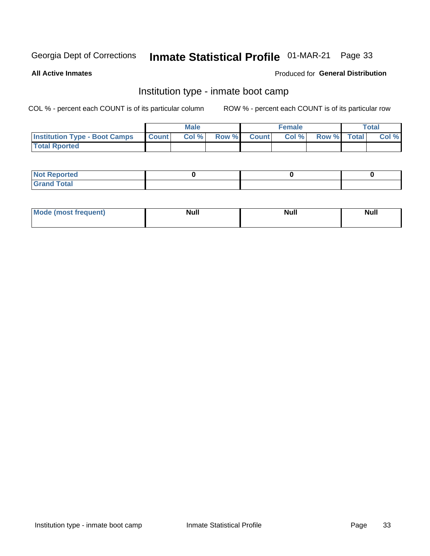### Inmate Statistical Profile 01-MAR-21 Page 33

**All Active Inmates** 

#### Produced for General Distribution

### Institution type - inmate boot camp

COL % - percent each COUNT is of its particular column

|                                      |                  | <b>Male</b> |              |              | <b>Female</b> |             | <b>Total</b> |
|--------------------------------------|------------------|-------------|--------------|--------------|---------------|-------------|--------------|
| <b>Institution Type - Boot Camps</b> | <b>I</b> Count I | Col %       | <b>Row %</b> | <b>Count</b> | Col %         | Row % Total | Col %        |
| <b>Total Rported</b>                 |                  |             |              |              |               |             |              |

| <b>Not Reported</b>            |  |  |
|--------------------------------|--|--|
| <b>Total</b><br>C <sub>r</sub> |  |  |

| <b>Mode</b> | . . | <b>Noll</b>  | <b>Null</b> |
|-------------|-----|--------------|-------------|
| auent).     |     | <b>IVAII</b> |             |
|             |     |              |             |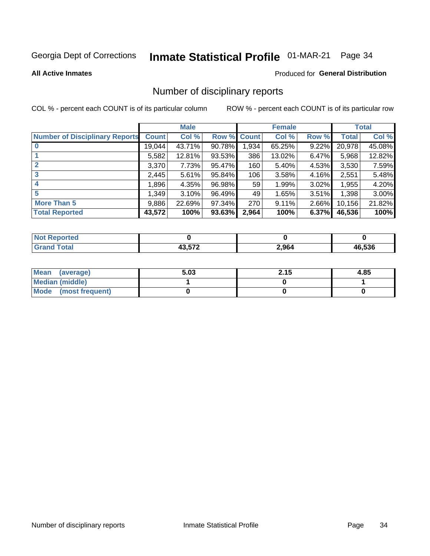## Inmate Statistical Profile 01-MAR-21 Page 34

#### **All Active Inmates**

#### **Produced for General Distribution**

### Number of disciplinary reports

COL % - percent each COUNT is of its particular column

|                                       |              | <b>Male</b> |        |             | <b>Female</b> |       |        | <b>Total</b> |
|---------------------------------------|--------------|-------------|--------|-------------|---------------|-------|--------|--------------|
| <b>Number of Disciplinary Reports</b> | <b>Count</b> | Col %       |        | Row % Count | Col %         | Row % | Total  | Col %        |
|                                       | 19,044       | 43.71%      | 90.78% | 1,934       | 65.25%        | 9.22% | 20,978 | 45.08%       |
|                                       | 5,582        | 12.81%      | 93.53% | 386         | 13.02%        | 6.47% | 5,968  | 12.82%       |
| $\mathbf{2}$                          | 3,370        | 7.73%       | 95.47% | 160         | 5.40%         | 4.53% | 3,530  | 7.59%        |
| 3                                     | 2,445        | 5.61%       | 95.84% | 106         | 3.58%         | 4.16% | 2,551  | 5.48%        |
| 4                                     | 1,896        | 4.35%       | 96.98% | 59'         | 1.99%         | 3.02% | 1,955  | 4.20%        |
| 5                                     | 1,349        | 3.10%       | 96.49% | 49          | 1.65%         | 3.51% | 1,398  | 3.00%        |
| <b>More Than 5</b>                    | 9,886        | 22.69%      | 97.34% | 270         | 9.11%         | 2.66% | 10,156 | 21.82%       |
| <b>Total Reported</b>                 | 43,572       | 100%        | 93.63% | 2,964       | 100%          | 6.37% | 46,536 | 100%         |

| Reported<br>NOT I |     |       |              |
|-------------------|-----|-------|--------------|
| <b>Total</b>      | ドマク | 2,964 | 6.536<br>46. |

| Mean (average)       | 5.03 | 2.15 | 4.85 |
|----------------------|------|------|------|
| Median (middle)      |      |      |      |
| Mode (most frequent) |      |      |      |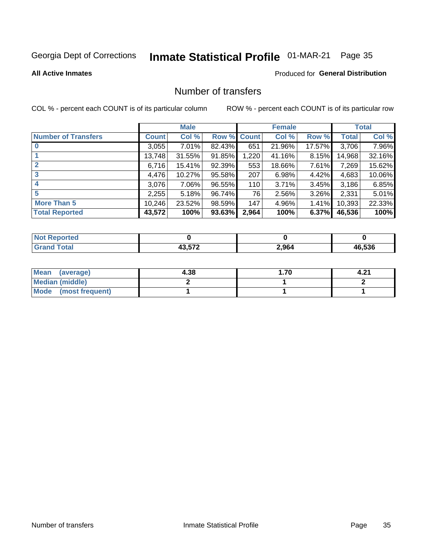## Inmate Statistical Profile 01-MAR-21 Page 35

#### **All Active Inmates**

#### **Produced for General Distribution**

### Number of transfers

COL % - percent each COUNT is of its particular column

|                            |              | <b>Male</b> |        |              | <b>Female</b> |          |              | <b>Total</b> |
|----------------------------|--------------|-------------|--------|--------------|---------------|----------|--------------|--------------|
| <b>Number of Transfers</b> | <b>Count</b> | Col %       | Row %  | <b>Count</b> | Col %         | Row %    | <b>Total</b> | Col %        |
|                            | 3,055        | $7.01\%$    | 82.43% | 651          | 21.96%        | 17.57%   | 3,706        | 7.96%        |
|                            | 13,748       | 31.55%      | 91.85% | 1,220        | 41.16%        | 8.15%    | 14,968       | 32.16%       |
| $\mathbf{2}$               | 6,716        | 15.41%      | 92.39% | 553          | 18.66%        | 7.61%    | 7,269        | 15.62%       |
| 3                          | 4,476        | 10.27%      | 95.58% | 207          | 6.98%         | 4.42%    | 4,683        | 10.06%       |
| 4                          | 3,076        | 7.06%       | 96.55% | 110          | 3.71%         | $3.45\%$ | 3,186        | 6.85%        |
| 5                          | 2,255        | 5.18%       | 96.74% | 76           | 2.56%         | $3.26\%$ | 2,331        | 5.01%        |
| <b>More Than 5</b>         | 10,246       | 23.52%      | 98.59% | 147          | 4.96%         | $1.41\%$ | 10,393       | 22.33%       |
| <b>Total Reported</b>      | 43,572       | 100%        | 93.63% | 2,964        | 100%          | 6.37%    | 46,536       | 100%         |

| prted<br><b>NOT</b> |        |       |        |
|---------------------|--------|-------|--------|
| īota.               | 10.570 | 2 964 | 46.536 |

| Mean (average)         | 4.38 | 1.70 | 4.21 |
|------------------------|------|------|------|
| <b>Median (middle)</b> |      |      |      |
| Mode (most frequent)   |      |      |      |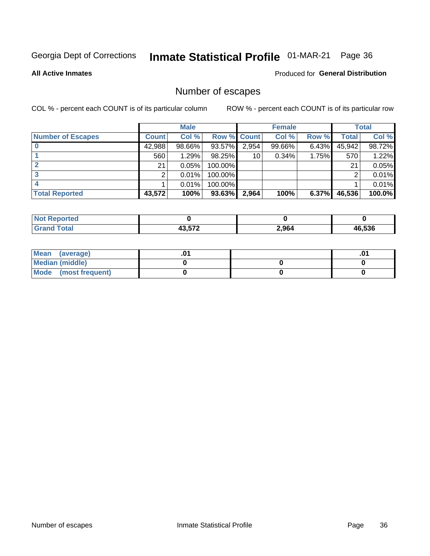## Inmate Statistical Profile 01-MAR-21 Page 36

#### **All Active Inmates**

#### Produced for General Distribution

### Number of escapes

COL % - percent each COUNT is of its particular column

|                          |              | <b>Male</b> |             |       | <b>Female</b> |          |        | <b>Total</b> |
|--------------------------|--------------|-------------|-------------|-------|---------------|----------|--------|--------------|
| <b>Number of Escapes</b> | <b>Count</b> | Col %       | Row % Count |       | Col %         | Row %    | Total  | Col %        |
|                          | 42,988       | 98.66%      | 93.57%      | 2,954 | 99.66%        | $6.43\%$ | 45,942 | 98.72%       |
|                          | 560          | 1.29%       | 98.25%      | 10    | 0.34%         | 1.75%    | 570    | 1.22%        |
|                          | 21           | 0.05%       | 100.00%     |       |               |          | 21     | 0.05%        |
|                          |              | 0.01%       | $100.00\%$  |       |               |          |        | 0.01%        |
|                          |              | 0.01%       | 100.00%     |       |               |          |        | 0.01%        |
| <b>Total Reported</b>    | 43,572       | 100%        | 93.63%      | 2,964 | 100%          | 6.37%    | 46,536 | 100.0%       |

| <b>Not Reported</b> |        |       |             |
|---------------------|--------|-------|-------------|
| Total               | 10 F70 | 2,964 | 6.536<br>Дh |

| Mean (average)         |  | .0 <sup>4</sup> |
|------------------------|--|-----------------|
| <b>Median (middle)</b> |  |                 |
| Mode (most frequent)   |  |                 |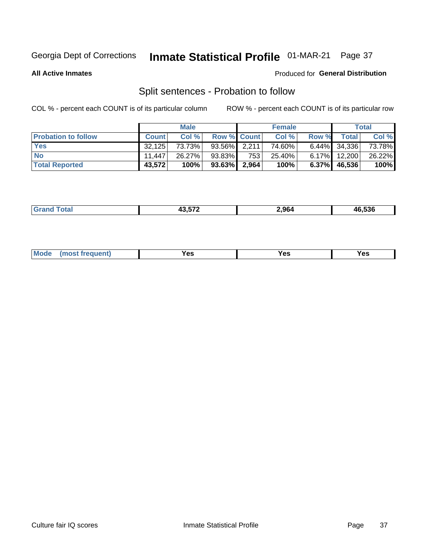### Inmate Statistical Profile 01-MAR-21 Page 37

**All Active Inmates** 

#### Produced for General Distribution

### Split sentences - Probation to follow

COL % - percent each COUNT is of its particular column

|                            |              | <b>Male</b> |                    |       | <b>Female</b> |          |                 | <b>Total</b> |
|----------------------------|--------------|-------------|--------------------|-------|---------------|----------|-----------------|--------------|
| <b>Probation to follow</b> | <b>Count</b> | Col%        | <b>Row % Count</b> |       | Col %         | Row %    | <b>Total</b>    | Col %        |
| <b>Yes</b>                 | 32.125       | 73.73%      | $93.56\%$ 2.211    |       | 74.60%        |          | $6.44\%$ 34,336 | 73.78%       |
| <b>No</b>                  | 11.447       | 26.27%      | $93.83\%$          | 753   | 25.40%        | $6.17\%$ | 12,200          | 26.22%       |
| <b>Total Reported</b>      | 43.572       | 100%        | $93.63\%$          | 2,964 | 100%          | $6.37\%$ | 46,536          | 100%         |

| _______ | ,, ,,, | 964 | e pae<br>,,,<br>סככ מ |
|---------|--------|-----|-----------------------|
|         |        |     |                       |

| M<br>reauent)<br>/٥<br>$\sim$<br>v.,<br>.<br>w<br>$\cdot$ - $\cdot$ |  |  |  |  |  |
|---------------------------------------------------------------------|--|--|--|--|--|
|---------------------------------------------------------------------|--|--|--|--|--|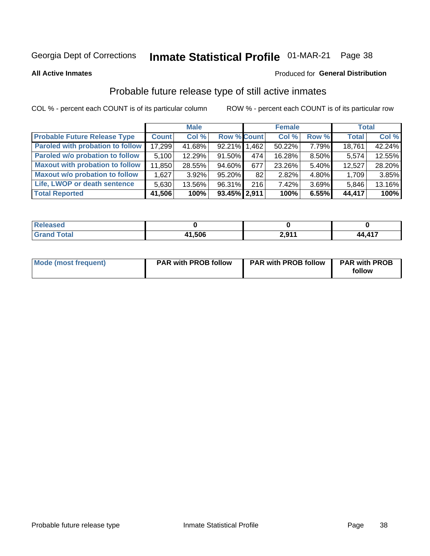# Inmate Statistical Profile 01-MAR-21 Page 38

**All Active Inmates** 

## Produced for General Distribution

# Probable future release type of still active inmates

COL % - percent each COUNT is of its particular column

|                                         |              | <b>Male</b> |                    |     | <b>Female</b> |       | <b>Total</b> |        |
|-----------------------------------------|--------------|-------------|--------------------|-----|---------------|-------|--------------|--------|
| <b>Probable Future Release Type</b>     | <b>Count</b> | Col %       | <b>Row % Count</b> |     | Col %         | Row % | <b>Total</b> | Col %  |
| <b>Paroled with probation to follow</b> | 17,299       | 41.68%      | 92.21% 1.462       |     | 50.22%        | 7.79% | 18,761       | 42.24% |
| Paroled w/o probation to follow         | 5,100        | 12.29%      | 91.50%             | 474 | 16.28%        | 8.50% | 5,574        | 12.55% |
| <b>Maxout with probation to follow</b>  | 11,850       | 28.55%      | 94.60%             | 677 | 23.26%        | 5.40% | 12,527       | 28.20% |
| <b>Maxout w/o probation to follow</b>   | 1,627        | $3.92\%$    | 95.20%             | 82  | 2.82%         | 4.80% | 1,709        | 3.85%  |
| Life, LWOP or death sentence            | 5,630        | 13.56%      | 96.31%             | 216 | 7.42%         | 3.69% | 5,846        | 13.16% |
| <b>Total Reported</b>                   | 41,506       | 100%        | 93.45% 2,911       |     | 100%          | 6.55% | 44,417       | 100%   |

| 75 GU                  |       |          |               |
|------------------------|-------|----------|---------------|
| $f \wedge f \wedge f'$ | 1,506 | $2,91^*$ | <b>44 417</b> |

| <b>Mode (most frequent)</b> | <b>PAR with PROB follow</b> | <b>PAR with PROB follow</b> | <b>PAR with PROB</b> |
|-----------------------------|-----------------------------|-----------------------------|----------------------|
|                             |                             |                             | follow               |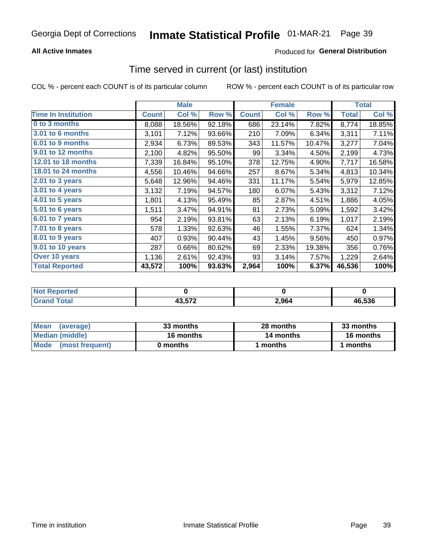## **All Active Inmates**

## Produced for General Distribution

# Time served in current (or last) institution

COL % - percent each COUNT is of its particular column

|                            |              | <b>Male</b> |        |              | <b>Female</b> |        |              | <b>Total</b> |
|----------------------------|--------------|-------------|--------|--------------|---------------|--------|--------------|--------------|
| <b>Time In Institution</b> | <b>Count</b> | Col %       | Row %  | <b>Count</b> | Col %         | Row %  | <b>Total</b> | Col %        |
| 0 to 3 months              | 8,088        | 18.56%      | 92.18% | 686          | 23.14%        | 7.82%  | 8,774        | 18.85%       |
| <b>3.01 to 6 months</b>    | 3,101        | 7.12%       | 93.66% | 210          | 7.09%         | 6.34%  | 3,311        | 7.11%        |
| 6.01 to 9 months           | 2,934        | 6.73%       | 89.53% | 343          | 11.57%        | 10.47% | 3,277        | 7.04%        |
| 9.01 to 12 months          | 2,100        | 4.82%       | 95.50% | 99           | 3.34%         | 4.50%  | 2,199        | 4.73%        |
| 12.01 to 18 months         | 7,339        | 16.84%      | 95.10% | 378          | 12.75%        | 4.90%  | 7,717        | 16.58%       |
| <b>18.01 to 24 months</b>  | 4,556        | 10.46%      | 94.66% | 257          | 8.67%         | 5.34%  | 4,813        | 10.34%       |
| $2.01$ to 3 years          | 5,648        | 12.96%      | 94.46% | 331          | 11.17%        | 5.54%  | 5,979        | 12.85%       |
| 3.01 to 4 years            | 3,132        | 7.19%       | 94.57% | 180          | 6.07%         | 5.43%  | 3,312        | 7.12%        |
| $4.01$ to 5 years          | 1,801        | 4.13%       | 95.49% | 85           | 2.87%         | 4.51%  | 1,886        | 4.05%        |
| 5.01 to 6 years            | 1,511        | 3.47%       | 94.91% | 81           | 2.73%         | 5.09%  | 1,592        | 3.42%        |
| $6.01$ to 7 years          | 954          | 2.19%       | 93.81% | 63           | 2.13%         | 6.19%  | 1,017        | 2.19%        |
| 7.01 to 8 years            | 578          | 1.33%       | 92.63% | 46           | 1.55%         | 7.37%  | 624          | 1.34%        |
| $8.01$ to 9 years          | 407          | 0.93%       | 90.44% | 43           | 1.45%         | 9.56%  | 450          | 0.97%        |
| 9.01 to 10 years           | 287          | 0.66%       | 80.62% | 69           | 2.33%         | 19.38% | 356          | 0.76%        |
| Over 10 years              | 1,136        | 2.61%       | 92.43% | 93           | 3.14%         | 7.57%  | 1,229        | 2.64%        |
| <b>Total Reported</b>      | 43,572       | 100%        | 93.63% | 2,964        | 100%          | 6.37%  | 46,536       | 100%         |

| <b>NOT</b><br>orted |                       |       |        |
|---------------------|-----------------------|-------|--------|
| `∩fa                | 19 E79<br>∡ 1 כ. כ.ו׳ | 2,964 | 46.536 |

| <b>Mean</b><br>(average) | 33 months | 28 months | 33 months |
|--------------------------|-----------|-----------|-----------|
| Median (middle)          | 16 months | 14 months | 16 months |
| Mode (most frequent)     | 0 months  | months    | 1 months  |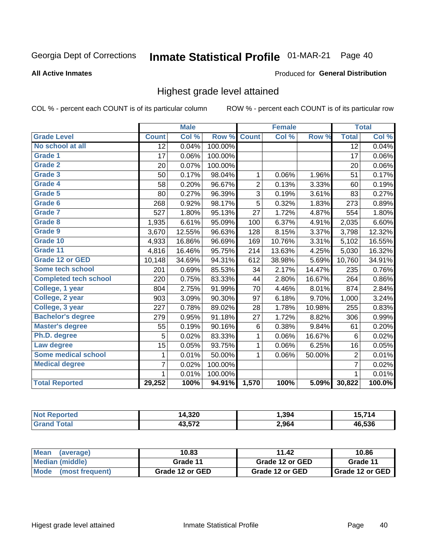#### Inmate Statistical Profile 01-MAR-21 Page 40

### **All Active Inmates**

### Produced for General Distribution

## Highest grade level attained

COL % - percent each COUNT is of its particular column

|                              |                 | <b>Male</b> |         |                | <b>Female</b> |        |                 | <b>Total</b> |
|------------------------------|-----------------|-------------|---------|----------------|---------------|--------|-----------------|--------------|
| <b>Grade Level</b>           | <b>Count</b>    | Col %       | Row %   | <b>Count</b>   | Col %         | Row %  | <b>Total</b>    | Col %        |
| No school at all             | $\overline{12}$ | 0.04%       | 100.00% |                |               |        | $\overline{12}$ | 0.04%        |
| <b>Grade 1</b>               | 17              | 0.06%       | 100.00% |                |               |        | 17              | 0.06%        |
| <b>Grade 2</b>               | 20              | 0.07%       | 100.00% |                |               |        | 20              | $0.06\%$     |
| Grade 3                      | 50              | 0.17%       | 98.04%  | $\mathbf{1}$   | 0.06%         | 1.96%  | 51              | 0.17%        |
| Grade 4                      | 58              | 0.20%       | 96.67%  | $\overline{2}$ | 0.13%         | 3.33%  | 60              | 0.19%        |
| Grade 5                      | 80              | 0.27%       | 96.39%  | 3              | 0.19%         | 3.61%  | 83              | 0.27%        |
| Grade 6                      | 268             | 0.92%       | 98.17%  | $\overline{5}$ | 0.32%         | 1.83%  | 273             | 0.89%        |
| <b>Grade 7</b>               | 527             | 1.80%       | 95.13%  | 27             | 1.72%         | 4.87%  | 554             | 1.80%        |
| Grade 8                      | 1,935           | 6.61%       | 95.09%  | 100            | 6.37%         | 4.91%  | 2,035           | 6.60%        |
| Grade 9                      | 3,670           | 12.55%      | 96.63%  | 128            | 8.15%         | 3.37%  | 3,798           | 12.32%       |
| Grade 10                     | 4,933           | 16.86%      | 96.69%  | 169            | 10.76%        | 3.31%  | 5,102           | 16.55%       |
| Grade 11                     | 4,816           | 16.46%      | 95.75%  | 214            | 13.63%        | 4.25%  | 5,030           | 16.32%       |
| <b>Grade 12 or GED</b>       | 10,148          | 34.69%      | 94.31%  | 612            | 38.98%        | 5.69%  | 10,760          | 34.91%       |
| <b>Some tech school</b>      | 201             | 0.69%       | 85.53%  | 34             | 2.17%         | 14.47% | 235             | 0.76%        |
| <b>Completed tech school</b> | 220             | 0.75%       | 83.33%  | 44             | 2.80%         | 16.67% | 264             | 0.86%        |
| College, 1 year              | 804             | 2.75%       | 91.99%  | 70             | 4.46%         | 8.01%  | 874             | 2.84%        |
| College, 2 year              | 903             | 3.09%       | 90.30%  | 97             | 6.18%         | 9.70%  | 1,000           | 3.24%        |
| College, 3 year              | 227             | 0.78%       | 89.02%  | 28             | 1.78%         | 10.98% | 255             | 0.83%        |
| <b>Bachelor's degree</b>     | 279             | 0.95%       | 91.18%  | 27             | 1.72%         | 8.82%  | 306             | 0.99%        |
| <b>Master's degree</b>       | 55              | 0.19%       | 90.16%  | $\,6$          | 0.38%         | 9.84%  | 61              | 0.20%        |
| Ph.D. degree                 | 5               | 0.02%       | 83.33%  | 1              | 0.06%         | 16.67% | 6               | 0.02%        |
| Law degree                   | 15              | 0.05%       | 93.75%  | $\mathbf{1}$   | 0.06%         | 6.25%  | 16              | 0.05%        |
| <b>Some medical school</b>   | 1               | 0.01%       | 50.00%  | 1              | 0.06%         | 50.00% | $\overline{2}$  | 0.01%        |
| <b>Medical degree</b>        | 7               | 0.02%       | 100.00% |                |               |        | $\overline{7}$  | 0.02%        |
|                              | $\mathbf 1$     | 0.01%       | 100.00% |                |               |        | 1               | 0.01%        |
| <b>Total Reported</b>        | 29,252          | 100%        | 94.91%  | 1,570          | 100%          | 5.09%  | 30,822          | 100.0%       |

| 4,320<br>ıл | . 394 | - 1      |
|-------------|-------|----------|
| 10 F70      | 2,964 | $AB$ 536 |

| <b>Mean</b><br>(average) | 10.83           | 11.42           | 10.86           |
|--------------------------|-----------------|-----------------|-----------------|
| Median (middle)          | Grade 11        | Grade 12 or GED | Grade 11        |
| Mode<br>(most frequent)  | Grade 12 or GED | Grade 12 or GED | Grade 12 or GED |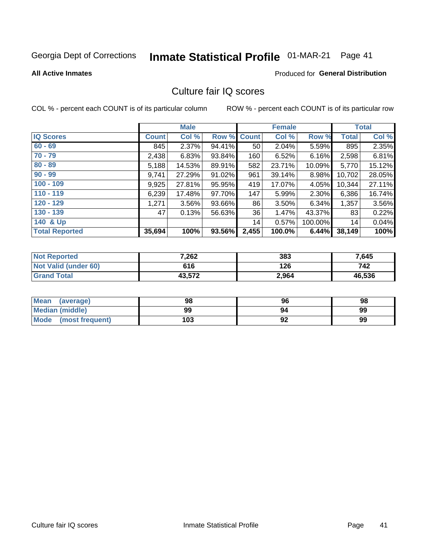# Inmate Statistical Profile 01-MAR-21 Page 41

**Produced for General Distribution** 

### **All Active Inmates**

# Culture fair IQ scores

COL % - percent each COUNT is of its particular column

|                       |              | <b>Male</b> |        |                 | <b>Female</b> |           |              | <b>Total</b> |
|-----------------------|--------------|-------------|--------|-----------------|---------------|-----------|--------------|--------------|
| <b>IQ Scores</b>      | <b>Count</b> | Col %       | Row %  | <b>Count</b>    | Col %         | Row %     | <b>Total</b> | Col %        |
| $60 - 69$             | 845          | 2.37%       | 94.41% | 50 <sub>1</sub> | 2.04%         | 5.59%     | 895          | 2.35%        |
| $70 - 79$             | 2,438        | 6.83%       | 93.84% | 160             | 6.52%         | 6.16%     | 2,598        | 6.81%        |
| $80 - 89$             | 5,188        | 14.53%      | 89.91% | 582             | 23.71%        | $10.09\%$ | 5,770        | 15.12%       |
| $90 - 99$             | 9,741        | 27.29%      | 91.02% | 961             | 39.14%        | 8.98%     | 10,702       | 28.05%       |
| $100 - 109$           | 9,925        | 27.81%      | 95.95% | 419             | 17.07%        | 4.05%     | 10,344       | 27.11%       |
| $110 - 119$           | 6,239        | 17.48%      | 97.70% | 147             | 5.99%         | 2.30%     | 6,386        | 16.74%       |
| $120 - 129$           | 1,271        | $3.56\%$    | 93.66% | 86              | 3.50%         | 6.34%     | 1,357        | 3.56%        |
| $130 - 139$           | 47           | 0.13%       | 56.63% | 36              | 1.47%         | 43.37%    | 83           | 0.22%        |
| 140 & Up              |              |             |        | 14              | 0.57%         | 100.00%   | 14           | 0.04%        |
| <b>Total Reported</b> | 35,694       | 100%        | 93.56% | 2,455           | 100.0%        | 6.44%     | 38,149       | 100%         |

| <b>Not Reported</b>         | 7,262  | 383   | 7,645  |
|-----------------------------|--------|-------|--------|
| <b>Not Valid (under 60)</b> | 616    | 126   | 742    |
| <b>Grand Total</b>          | 43,572 | 2,964 | 46,536 |

| <b>Mean</b><br>(average) | 98  | 96 | 98 |
|--------------------------|-----|----|----|
| <b>Median (middle)</b>   | 99  | 94 | 99 |
| Mode<br>(most frequent)  | 103 | 92 | 99 |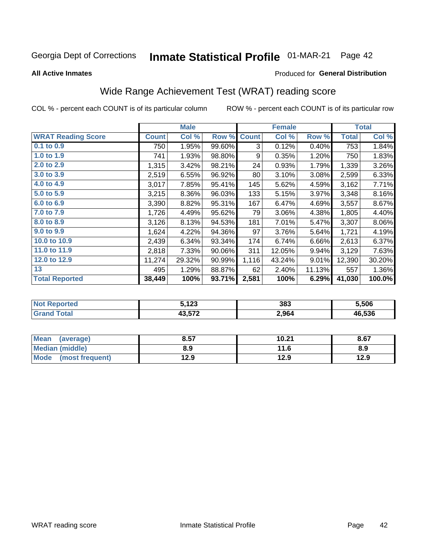#### **Inmate Statistical Profile 01-MAR-21** Page 42

**All Active Inmates** 

### Produced for General Distribution

# Wide Range Achievement Test (WRAT) reading score

COL % - percent each COUNT is of its particular column

|                           |              | <b>Male</b> |        |              | <b>Female</b> |        |              | <b>Total</b> |
|---------------------------|--------------|-------------|--------|--------------|---------------|--------|--------------|--------------|
| <b>WRAT Reading Score</b> | <b>Count</b> | Col %       | Row %  | <b>Count</b> | Col %         | Row %  | <b>Total</b> | Col %        |
| $0.1$ to $0.9$            | 750          | 1.95%       | 99.60% | 3            | 0.12%         | 0.40%  | 753          | 1.84%        |
| 1.0 to 1.9                | 741          | 1.93%       | 98.80% | 9            | 0.35%         | 1.20%  | 750          | 1.83%        |
| 2.0 to 2.9                | 1,315        | 3.42%       | 98.21% | 24           | 0.93%         | 1.79%  | 1,339        | 3.26%        |
| 3.0 to 3.9                | 2,519        | 6.55%       | 96.92% | 80           | 3.10%         | 3.08%  | 2,599        | 6.33%        |
| 4.0 to 4.9                | 3,017        | 7.85%       | 95.41% | 145          | 5.62%         | 4.59%  | 3,162        | 7.71%        |
| 5.0 to 5.9                | 3,215        | $8.36\%$    | 96.03% | 133          | 5.15%         | 3.97%  | 3,348        | 8.16%        |
| 6.0 to 6.9                | 3,390        | 8.82%       | 95.31% | 167          | 6.47%         | 4.69%  | 3,557        | 8.67%        |
| 7.0 to 7.9                | 1,726        | 4.49%       | 95.62% | 79           | 3.06%         | 4.38%  | 1,805        | 4.40%        |
| 8.0 to 8.9                | 3,126        | 8.13%       | 94.53% | 181          | 7.01%         | 5.47%  | 3,307        | $8.06\%$     |
| 9.0 to 9.9                | 1,624        | 4.22%       | 94.36% | 97           | 3.76%         | 5.64%  | 1,721        | 4.19%        |
| 10.0 to 10.9              | 2,439        | 6.34%       | 93.34% | 174          | 6.74%         | 6.66%  | 2,613        | 6.37%        |
| 11.0 to 11.9              | 2,818        | 7.33%       | 90.06% | 311          | 12.05%        | 9.94%  | 3,129        | 7.63%        |
| 12.0 to 12.9              | 11,274       | 29.32%      | 90.99% | 1,116        | 43.24%        | 9.01%  | 12,390       | 30.20%       |
| 13                        | 495          | 1.29%       | 88.87% | 62           | 2.40%         | 11.13% | 557          | 1.36%        |
| <b>Total Reported</b>     | 38,449       | 100%        | 93.71% | 2,581        | 100%          | 6.29%  | 41,030       | 100.0%       |
|                           |              |             |        |              |               |        |              |              |

| <b>orteg</b><br><b>NO</b><br>$\sim$ | 100<br>J.IZJ              | 383   | 5,506  |
|-------------------------------------|---------------------------|-------|--------|
|                                     | 10 F70<br>70.J <i>i L</i> | 2,964 | 46,536 |

| <b>Mean</b><br>(average)       | 8.57 | 10.21 | 8.67 |
|--------------------------------|------|-------|------|
| <b>Median (middle)</b>         | 8.9  | 11.6  | 8.9  |
| <b>Mode</b><br>(most frequent) | 12.9 | 12.9  | 12.9 |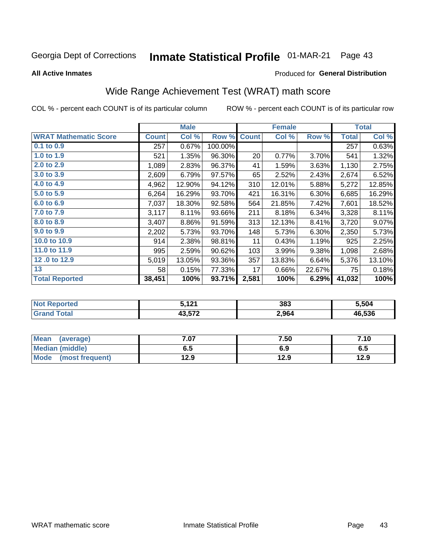#### **Inmate Statistical Profile 01-MAR-21** Page 43

**All Active Inmates** 

## **Produced for General Distribution**

# Wide Range Achievement Test (WRAT) math score

COL % - percent each COUNT is of its particular column

|                              |              |        |         |              | <b>Female</b> |        |              | <b>Total</b> |
|------------------------------|--------------|--------|---------|--------------|---------------|--------|--------------|--------------|
| <b>WRAT Mathematic Score</b> | <b>Count</b> | Col %  | Row %   | <b>Count</b> | Col %         | Row %  | <b>Total</b> | Col %        |
| $0.1$ to $0.9$               | 257          | 0.67%  | 100.00% |              |               |        | 257          | 0.63%        |
| 1.0 to 1.9                   | 521          | 1.35%  | 96.30%  | 20           | 0.77%         | 3.70%  | 541          | 1.32%        |
| 2.0 to 2.9                   | 1,089        | 2.83%  | 96.37%  | 41           | 1.59%         | 3.63%  | 1,130        | 2.75%        |
| 3.0 to 3.9                   | 2,609        | 6.79%  | 97.57%  | 65           | 2.52%         | 2.43%  | 2,674        | 6.52%        |
| 4.0 to 4.9                   | 4,962        | 12.90% | 94.12%  | 310          | 12.01%        | 5.88%  | 5,272        | 12.85%       |
| 5.0 to 5.9                   | 6,264        | 16.29% | 93.70%  | 421          | 16.31%        | 6.30%  | 6,685        | 16.29%       |
| 6.0 to 6.9                   | 7,037        | 18.30% | 92.58%  | 564          | 21.85%        | 7.42%  | 7,601        | 18.52%       |
| 7.0 to 7.9                   | 3,117        | 8.11%  | 93.66%  | 211          | 8.18%         | 6.34%  | 3,328        | 8.11%        |
| 8.0 to 8.9                   | 3,407        | 8.86%  | 91.59%  | 313          | 12.13%        | 8.41%  | 3,720        | 9.07%        |
| 9.0 to 9.9                   | 2,202        | 5.73%  | 93.70%  | 148          | 5.73%         | 6.30%  | 2,350        | 5.73%        |
| 10.0 to 10.9                 | 914          | 2.38%  | 98.81%  | 11           | 0.43%         | 1.19%  | 925          | 2.25%        |
| 11.0 to 11.9                 | 995          | 2.59%  | 90.62%  | 103          | 3.99%         | 9.38%  | 1,098        | 2.68%        |
| 12.0 to 12.9                 | 5,019        | 13.05% | 93.36%  | 357          | 13.83%        | 6.64%  | 5,376        | 13.10%       |
| 13                           | 58           | 0.15%  | 77.33%  | 17           | 0.66%         | 22.67% | 75           | 0.18%        |
| <b>Total Reported</b>        | 38,451       | 100%   | 93.71%  | 2,581        | 100%          | 6.29%  | 41,032       | 100%         |

| <b>Not Reported</b> | 5,121  | 383   | 5,504  |
|---------------------|--------|-------|--------|
| <b>Grand Total</b>  | 43,572 | 2,964 | 46,536 |

| Mean (average)         | 7.07 | 7.50 | 7.10 |
|------------------------|------|------|------|
| <b>Median (middle)</b> | 6.5  | 6.9  | დ.g  |
| Mode (most frequent)   | 12.9 | 12.9 | 12.9 |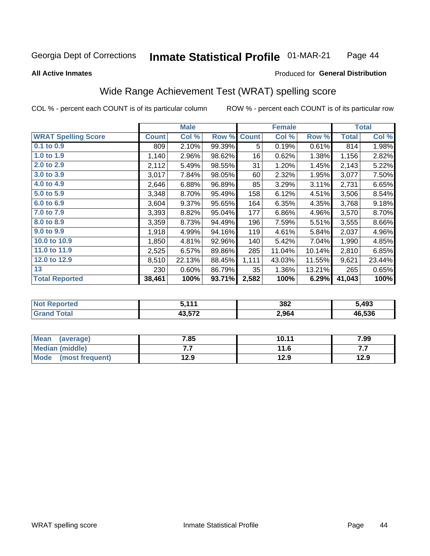#### Inmate Statistical Profile 01-MAR-21 Page 44

### **All Active Inmates**

## Produced for General Distribution

# Wide Range Achievement Test (WRAT) spelling score

COL % - percent each COUNT is of its particular column

|                            |              | <b>Male</b> |        |              | <b>Female</b> |        |              | <b>Total</b> |
|----------------------------|--------------|-------------|--------|--------------|---------------|--------|--------------|--------------|
| <b>WRAT Spelling Score</b> | <b>Count</b> | Col %       | Row %  | <b>Count</b> | Col %         | Row %  | <b>Total</b> | Col %        |
| $0.1$ to $0.9$             | 809          | 2.10%       | 99.39% | 5            | 0.19%         | 0.61%  | 814          | 1.98%        |
| 1.0 to 1.9                 | 1,140        | 2.96%       | 98.62% | 16           | 0.62%         | 1.38%  | 1,156        | 2.82%        |
| 2.0 to 2.9                 | 2,112        | 5.49%       | 98.55% | 31           | 1.20%         | 1.45%  | 2,143        | 5.22%        |
| 3.0 to 3.9                 | 3,017        | 7.84%       | 98.05% | 60           | 2.32%         | 1.95%  | 3,077        | 7.50%        |
| 4.0 to 4.9                 | 2,646        | 6.88%       | 96.89% | 85           | 3.29%         | 3.11%  | 2,731        | 6.65%        |
| 5.0 to 5.9                 | 3,348        | 8.70%       | 95.49% | 158          | 6.12%         | 4.51%  | 3,506        | 8.54%        |
| 6.0 to 6.9                 | 3,604        | 9.37%       | 95.65% | 164          | 6.35%         | 4.35%  | 3,768        | 9.18%        |
| 7.0 to 7.9                 | 3,393        | 8.82%       | 95.04% | 177          | 6.86%         | 4.96%  | 3,570        | 8.70%        |
| 8.0 to 8.9                 | 3,359        | 8.73%       | 94.49% | 196          | 7.59%         | 5.51%  | 3,555        | 8.66%        |
| 9.0 to 9.9                 | 1,918        | 4.99%       | 94.16% | 119          | 4.61%         | 5.84%  | 2,037        | 4.96%        |
| 10.0 to 10.9               | 1,850        | 4.81%       | 92.96% | 140          | 5.42%         | 7.04%  | 1,990        | 4.85%        |
| 11.0 to 11.9               | 2,525        | 6.57%       | 89.86% | 285          | 11.04%        | 10.14% | 2,810        | 6.85%        |
| 12.0 to 12.9               | 8,510        | 22.13%      | 88.45% | 1,111        | 43.03%        | 11.55% | 9,621        | 23.44%       |
| 13                         | 230          | 0.60%       | 86.79% | 35           | 1.36%         | 13.21% | 265          | 0.65%        |
| <b>Total Reported</b>      | 38,461       | 100%        | 93.71% | 2,582        | 100%          | 6.29%  | 41,043       | 100%         |

| <b>NOT</b><br><b>Reported</b> | E 444  | 382   | 5,493  |
|-------------------------------|--------|-------|--------|
| <b>cotal</b>                  | 10 E70 | 2,964 | 46.536 |

| Mean<br>(average)       | 7.85 | 10.11 | 7.99 |
|-------------------------|------|-------|------|
| Median (middle)         | .    | 11.6  | .    |
| Mode<br>(most frequent) | 12.9 | 12.9  | 12.9 |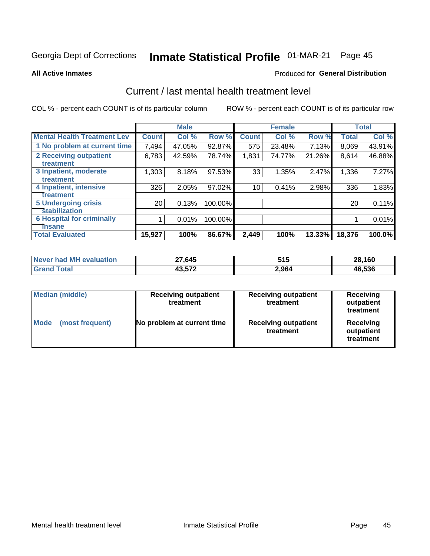# Inmate Statistical Profile 01-MAR-21 Page 45

**All Active Inmates** 

## **Produced for General Distribution**

## Current / last mental health treatment level

COL % - percent each COUNT is of its particular column

|                                    |                 | <b>Male</b> |         |              | <b>Female</b> |        |              | <b>Total</b> |
|------------------------------------|-----------------|-------------|---------|--------------|---------------|--------|--------------|--------------|
| <b>Mental Health Treatment Lev</b> | <b>Count</b>    | Col %       | Row %   | <b>Count</b> | Col %         | Row %  | <b>Total</b> | Col %        |
| 1 No problem at current time       | 7,494           | 47.05%      | 92.87%  | 575          | 23.48%        | 7.13%  | 8,069        | 43.91%       |
| 2 Receiving outpatient             | 6,783           | 42.59%      | 78.74%  | 1,831        | 74.77%        | 21.26% | 8,614        | 46.88%       |
| <b>Treatment</b>                   |                 |             |         |              |               |        |              |              |
| 3 Inpatient, moderate              | 1,303           | 8.18%       | 97.53%  | 33           | 1.35%         | 2.47%  | 1,336        | 7.27%        |
| Treatment                          |                 |             |         |              |               |        |              |              |
| 4 Inpatient, intensive             | 326             | 2.05%       | 97.02%  | 10           | 0.41%         | 2.98%  | 336          | 1.83%        |
| Treatment                          |                 |             |         |              |               |        |              |              |
| 5 Undergoing crisis                | 20 <sub>1</sub> | 0.13%       | 100.00% |              |               |        | 20           | 0.11%        |
| <b>stabilization</b>               |                 |             |         |              |               |        |              |              |
| <b>6 Hospital for criminally</b>   |                 | 0.01%       | 100.00% |              |               |        |              | 0.01%        |
| <b>Tinsane</b>                     |                 |             |         |              |               |        |              |              |
| <b>Total Evaluated</b>             | 15,927          | 100%        | 86.67%  | 2,449        | 100%          | 13.33% | 18,376       | 100.0%       |

| Never had MH evaluation | 27,645 | 515   | 28,160 |
|-------------------------|--------|-------|--------|
| <b>Grand Total</b>      | 43,572 | 2,964 | 46,536 |

| <b>Median (middle)</b>         | <b>Receiving outpatient</b><br>treatment | <b>Receiving outpatient</b><br>treatment | <b>Receiving</b><br>outpatient<br>treatment |  |  |
|--------------------------------|------------------------------------------|------------------------------------------|---------------------------------------------|--|--|
| <b>Mode</b><br>(most frequent) | No problem at current time               | <b>Receiving outpatient</b><br>treatment | Receiving<br>outpatient<br>treatment        |  |  |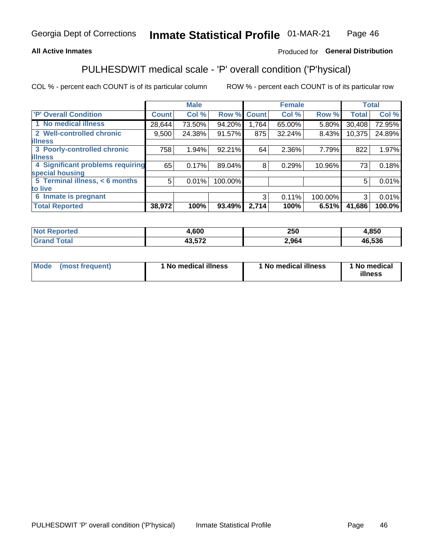## **All Active Inmates**

## Produced for General Distribution

# PULHESDWIT medical scale - 'P' overall condition ('P'hysical)

COL % - percent each COUNT is of its particular column

|                                  |              | <b>Male</b> |         |              | <b>Female</b> |         |              | <b>Total</b> |
|----------------------------------|--------------|-------------|---------|--------------|---------------|---------|--------------|--------------|
| 'P' Overall Condition            | <b>Count</b> | Col %       | Row %   | <b>Count</b> | Col %         | Row %   | <b>Total</b> | Col %        |
| 1 No medical illness             | 28,644       | 73.50%      | 94.20%  | 1,764        | 65.00%        | 5.80%   | 30,408       | 72.95%       |
| 2 Well-controlled chronic        | 9,500        | 24.38%      | 91.57%  | 875          | 32.24%        | 8.43%   | 10,375       | 24.89%       |
| <b>illness</b>                   |              |             |         |              |               |         |              |              |
| 3 Poorly-controlled chronic      | 758          | 1.94%       | 92.21%  | 64           | 2.36%         | 7.79%   | 822          | 1.97%        |
| <b>lillness</b>                  |              |             |         |              |               |         |              |              |
| 4 Significant problems requiring | 65           | 0.17%       | 89.04%  | 8            | 0.29%         | 10.96%  | 73           | 0.18%        |
| special housing                  |              |             |         |              |               |         |              |              |
| 5 Terminal illness, < 6 months   | 5            | 0.01%       | 100.00% |              |               |         | 5            | 0.01%        |
| to live                          |              |             |         |              |               |         |              |              |
| 6 Inmate is pregnant             |              |             |         | 3            | 0.11%         | 100.00% | 3            | 0.01%        |
| <b>Total Reported</b>            | 38,972       | 100%        | 93.49%  | 2,714        | 100%          | 6.51%   | 41,686       | 100.0%       |

|        | .600   | המה<br>∠วบ | .850   |
|--------|--------|------------|--------|
| $-401$ | מדה הו | 2.964      | 46.536 |

| Mode | (most frequent) | 1 No medical illness | 1 No medical illness | 1 No medical<br>illness |
|------|-----------------|----------------------|----------------------|-------------------------|
|------|-----------------|----------------------|----------------------|-------------------------|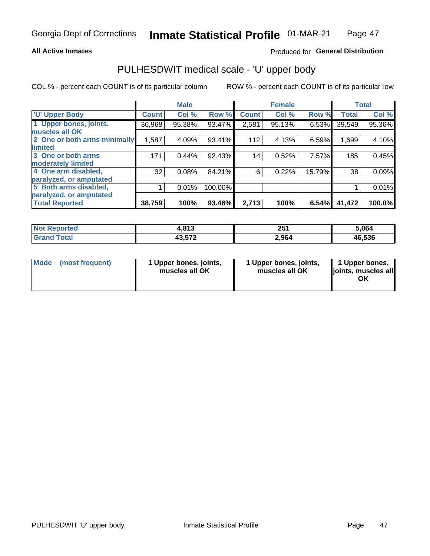## **All Active Inmates**

## Produced for General Distribution

# PULHESDWIT medical scale - 'U' upper body

COL % - percent each COUNT is of its particular column

|                              |              | <b>Male</b> |         |              | <b>Female</b> |        |              | <b>Total</b> |
|------------------------------|--------------|-------------|---------|--------------|---------------|--------|--------------|--------------|
| <b>'U' Upper Body</b>        | <b>Count</b> | Col %       | Row %   | <b>Count</b> | Col %         | Row %  | <b>Total</b> | Col %        |
| 1 Upper bones, joints,       | 36,968       | 95.38%      | 93.47%  | 2,581        | 95.13%        | 6.53%  | 39,549       | 95.36%       |
| muscles all OK               |              |             |         |              |               |        |              |              |
| 2 One or both arms minimally | 1,587        | 4.09%       | 93.41%  | 112          | 4.13%         | 6.59%  | 1,699        | 4.10%        |
| limited                      |              |             |         |              |               |        |              |              |
| 3 One or both arms           | 171          | 0.44%       | 92.43%  | 14           | 0.52%         | 7.57%  | 185          | 0.45%        |
| <b>moderately limited</b>    |              |             |         |              |               |        |              |              |
| 4 One arm disabled,          | 32           | 0.08%       | 84.21%  | 6            | 0.22%         | 15.79% | 38           | 0.09%        |
| paralyzed, or amputated      |              |             |         |              |               |        |              |              |
| 5 Both arms disabled,        |              | 0.01%       | 100.00% |              |               |        |              | 0.01%        |
| paralyzed, or amputated      |              |             |         |              |               |        |              |              |
| <b>Total Reported</b>        | 38,759       | 100%        | 93.46%  | 2,713        | 100%          | 6.54%  | 41,472       | 100.0%       |

| <b>Not Reported</b> | 1,813  | クロイ<br>ZJ I | 5,064  |
|---------------------|--------|-------------|--------|
| <b>Grand Total</b>  | 43,572 | 2,964       | 46,536 |

|  | Mode (most frequent) | 1 Upper bones, joints,<br>muscles all OK | 1 Upper bones, joints,<br>muscles all OK | 1 Upper bones,<br>joints, muscles all<br>ΟK |
|--|----------------------|------------------------------------------|------------------------------------------|---------------------------------------------|
|--|----------------------|------------------------------------------|------------------------------------------|---------------------------------------------|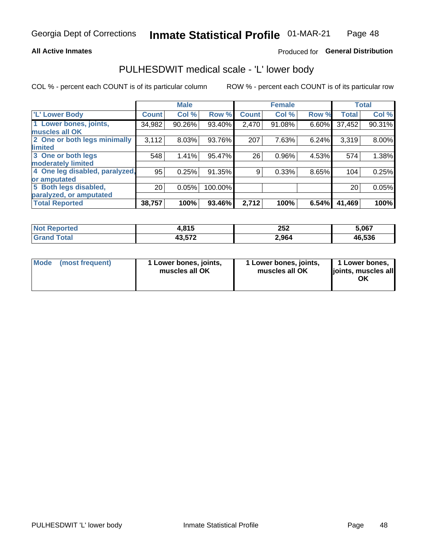## **All Active Inmates**

## Produced for General Distribution

## PULHESDWIT medical scale - 'L' lower body

COL % - percent each COUNT is of its particular column

|                                |              | <b>Male</b> |         |              | <b>Female</b> |       |              | <b>Total</b> |
|--------------------------------|--------------|-------------|---------|--------------|---------------|-------|--------------|--------------|
| 'L' Lower Body                 | <b>Count</b> | Col %       | Row %   | <b>Count</b> | Col %         | Row % | <b>Total</b> | Col %        |
| 1 Lower bones, joints,         | 34,982       | 90.26%      | 93.40%  | 2,470        | 91.08%        | 6.60% | 37,452       | 90.31%       |
| muscles all OK                 |              |             |         |              |               |       |              |              |
| 2 One or both legs minimally   | 3,112        | 8.03%       | 93.76%  | 207          | 7.63%         | 6.24% | 3,319        | 8.00%        |
| limited                        |              |             |         |              |               |       |              |              |
| 3 One or both legs             | 548          | 1.41%       | 95.47%  | 26           | 0.96%         | 4.53% | 574          | 1.38%        |
| moderately limited             |              |             |         |              |               |       |              |              |
| 4 One leg disabled, paralyzed, | 95           | 0.25%       | 91.35%  | 9            | 0.33%         | 8.65% | 104          | 0.25%        |
| or amputated                   |              |             |         |              |               |       |              |              |
| 5 Both legs disabled,          | 20           | 0.05%       | 100.00% |              |               |       | 20           | 0.05%        |
| paralyzed, or amputated        |              |             |         |              |               |       |              |              |
| <b>Total Reported</b>          | 38,757       | 100%        | 93.46%  | 2,712        | 100%          | 6.54% | 41,469       | 100%         |

| <b>Not Reported</b> | . 04 F<br>4.O I J | つにつ<br>ZJZ | 5,067                              |
|---------------------|-------------------|------------|------------------------------------|
| Total               | 10.570<br>7 וט.ט+ | 2,964      | .536<br>$\ddot{\phantom{1}}$<br>46 |

| Mode (most frequent) | 1 Lower bones, joints,<br>muscles all OK | 1 Lower bones, joints,<br>muscles all OK | 1 Lower bones,<br>joints, muscles all<br>ΟK |
|----------------------|------------------------------------------|------------------------------------------|---------------------------------------------|
|----------------------|------------------------------------------|------------------------------------------|---------------------------------------------|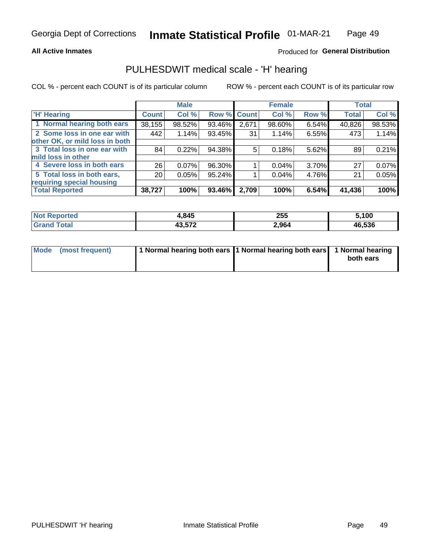## **All Active Inmates**

## Produced for General Distribution

## PULHESDWIT medical scale - 'H' hearing

COL % - percent each COUNT is of its particular column

|                                |              | <b>Male</b> |             |       | <b>Female</b> |          | <b>Total</b> |        |
|--------------------------------|--------------|-------------|-------------|-------|---------------|----------|--------------|--------|
| <b>'H' Hearing</b>             | <b>Count</b> | Col %       | Row % Count |       | Col %         | Row %    | <b>Total</b> | Col %  |
| 1 Normal hearing both ears     | 38,155       | 98.52%      | 93.46%      | 2,671 | 98.60%        | 6.54%    | 40,826       | 98.53% |
| 2 Some loss in one ear with    | 442          | 1.14%       | 93.45%      | 31    | 1.14%         | 6.55%    | 473          | 1.14%  |
| other OK, or mild loss in both |              |             |             |       |               |          |              |        |
| 3 Total loss in one ear with   | 84           | 0.22%       | 94.38%      | 5     | 0.18%         | 5.62%    | 89           | 0.21%  |
| mild loss in other             |              |             |             |       |               |          |              |        |
| 4 Severe loss in both ears     | 26           | 0.07%       | 96.30%      |       | $0.04\%$      | $3.70\%$ | 27           | 0.07%  |
| 5 Total loss in both ears,     | 20           | 0.05%       | 95.24%      |       | 0.04%         | 4.76%    | 21           | 0.05%  |
| requiring special housing      |              |             |             |       |               |          |              |        |
| <b>Total Reported</b>          | 38,727       | 100%        | 93.46%      | 2,709 | 100%          | 6.54%    | 41,436       | 100%   |

| 'Not<br>ాorted | .845،         | 255   | .100   |
|----------------|---------------|-------|--------|
| <b>Total</b>   | 10 F70<br>.טי | 2,964 | 46,536 |

| Mode (most frequent) | 1 Normal hearing both ears 11 Normal hearing both ears 1 Normal hearing | both ears |
|----------------------|-------------------------------------------------------------------------|-----------|
|                      |                                                                         |           |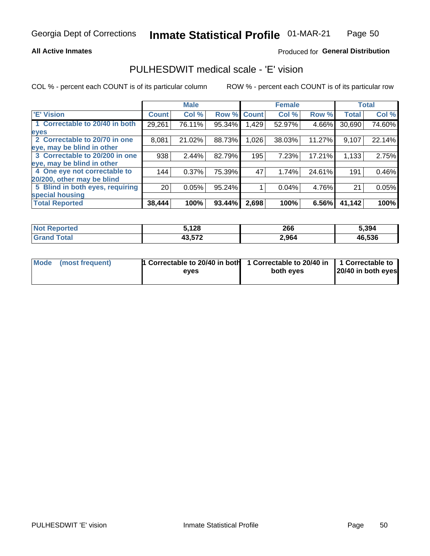## **All Active Inmates**

## Produced for General Distribution

## PULHESDWIT medical scale - 'E' vision

COL % - percent each COUNT is of its particular column

|                                 |                 | <b>Male</b> |        |              | <b>Female</b> |        |              | <b>Total</b> |
|---------------------------------|-----------------|-------------|--------|--------------|---------------|--------|--------------|--------------|
| <b>E' Vision</b>                | <b>Count</b>    | Col %       | Row %  | <b>Count</b> | Col %         | Row %  | <b>Total</b> | Col %        |
| 1 Correctable to 20/40 in both  | 29,261          | 76.11%      | 95.34% | 429.         | 52.97%        | 4.66%  | 30,690       | 74.60%       |
| eyes                            |                 |             |        |              |               |        |              |              |
| 2 Correctable to 20/70 in one   | 8,081           | 21.02%      | 88.73% | 1,026        | 38.03%        | 11.27% | 9,107        | 22.14%       |
| eye, may be blind in other      |                 |             |        |              |               |        |              |              |
| 3 Correctable to 20/200 in one  | 938             | 2.44%       | 82.79% | 195          | 7.23%         | 17.21% | 1,133        | 2.75%        |
| eye, may be blind in other      |                 |             |        |              |               |        |              |              |
| 4 One eye not correctable to    | 144             | 0.37%       | 75.39% | 47           | 1.74%         | 24.61% | 191          | 0.46%        |
| 20/200, other may be blind      |                 |             |        |              |               |        |              |              |
| 5 Blind in both eyes, requiring | 20 <sub>1</sub> | 0.05%       | 95.24% |              | 0.04%         | 4.76%  | 21           | 0.05%        |
| special housing                 |                 |             |        |              |               |        |              |              |
| <b>Total Reported</b>           | 38,444          | 100%        | 93.44% | 2,698        | 100%          | 6.56%  | 41,142       | 100%         |

| <b>Not Reported</b> | ,128             | 266   | 5,394  |
|---------------------|------------------|-------|--------|
| Гоtа                | ハウ ドフウ<br>43,37∠ | 2,964 | 46,536 |

| Mode (most frequent) | 1 Correctable to 20/40 in both<br>eves | 1 Correctable to 20/40 in   1 Correctable to  <br>both eves | 20/40 in both eyes |
|----------------------|----------------------------------------|-------------------------------------------------------------|--------------------|
|                      |                                        |                                                             |                    |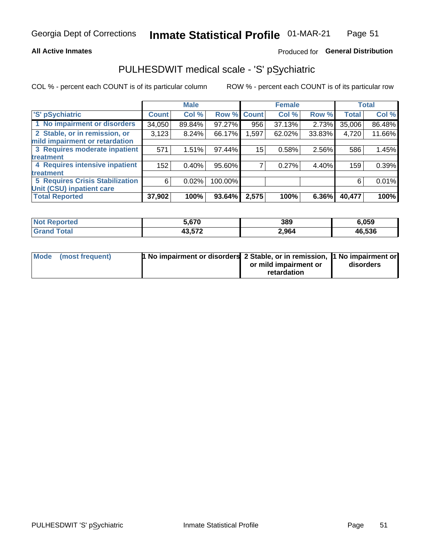## **All Active Inmates**

## Produced for General Distribution

# PULHESDWIT medical scale - 'S' pSychiatric

COL % - percent each COUNT is of its particular column

|                                        |              | <b>Male</b> |         |              | <b>Female</b> |        |              | <b>Total</b> |
|----------------------------------------|--------------|-------------|---------|--------------|---------------|--------|--------------|--------------|
| 'S' pSychiatric                        | <b>Count</b> | Col %       | Row %   | <b>Count</b> | Col %         | Row %  | <b>Total</b> | Col %        |
| 1 No impairment or disorders           | 34,050       | 89.84%      | 97.27%  | 956          | 37.13%        | 2.73%  | 35,006       | 86.48%       |
| 2 Stable, or in remission, or          | 3,123        | 8.24%       | 66.17%  | 1,597        | 62.02%        | 33.83% | 4,720        | 11.66%       |
| mild impairment or retardation         |              |             |         |              |               |        |              |              |
| 3 Requires moderate inpatient          | 571          | 1.51%       | 97.44%  | 15           | 0.58%         | 2.56%  | 586          | 1.45%        |
| treatment                              |              |             |         |              |               |        |              |              |
| 4 Requires intensive inpatient         | 152          | 0.40%       | 95.60%  |              | 0.27%         | 4.40%  | 159          | 0.39%        |
| treatment                              |              |             |         |              |               |        |              |              |
| <b>5 Requires Crisis Stabilization</b> | 6            | 0.02%       | 100.00% |              |               |        | 6            | 0.01%        |
| Unit (CSU) inpatient care              |              |             |         |              |               |        |              |              |
| <b>Total Reported</b>                  | 37,902       | 100%        | 93.64%  | 2,575        | 100%          | 6.36%  | 40,477       | 100%         |

| <b>Not Reported</b> | 5.670  | 389   | 6,059  |
|---------------------|--------|-------|--------|
| Gran<br>⊤otal       | 43,572 | 2,964 | 46,536 |

| Mode (most frequent) | <b>1 No impairment or disorders 2 Stable, or in remission, 1 No impairment or</b> |                       |           |
|----------------------|-----------------------------------------------------------------------------------|-----------------------|-----------|
|                      |                                                                                   | or mild impairment or | disorders |
|                      |                                                                                   | retardation           |           |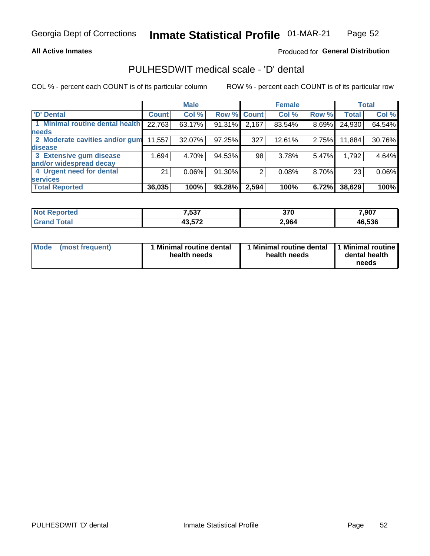## **All Active Inmates**

## Produced for General Distribution

# PULHESDWIT medical scale - 'D' dental

COL % - percent each COUNT is of its particular column

|                                 |              | <b>Male</b> |        |              | <b>Female</b> |          |              | <b>Total</b> |
|---------------------------------|--------------|-------------|--------|--------------|---------------|----------|--------------|--------------|
| <b>D'</b> Dental                | <b>Count</b> | Col %       | Row %  | <b>Count</b> | Col %         | Row %    | <b>Total</b> | Col %        |
| 1 Minimal routine dental health | 22,763       | 63.17%      | 91.31% | 2,167        | 83.54%        | $8.69\%$ | 24,930       | 64.54%       |
| <b>needs</b>                    |              |             |        |              |               |          |              |              |
| 2 Moderate cavities and/or gum  | 11,557       | 32.07%      | 97.25% | 327          | 12.61%        | 2.75%    | 11,884       | 30.76%       |
| disease                         |              |             |        |              |               |          |              |              |
| 3 Extensive gum disease         | 1,694        | 4.70%       | 94.53% | 98           | 3.78%         | 5.47%    | 1,792        | 4.64%        |
| and/or widespread decay         |              |             |        |              |               |          |              |              |
| 4 Urgent need for dental        | 21           | $0.06\%$    | 91.30% | 2            | 0.08%         | 8.70%    | 23           | 0.06%        |
| <b>services</b>                 |              |             |        |              |               |          |              |              |
| <b>Total Reported</b>           | 36,035       | 100%        | 93.28% | 2,594        | 100%          | 6.72%    | 38,629       | 100%         |

| <b>Reported</b><br>NO. | 7 627<br>,၁૩7             | 370   | 7,907  |
|------------------------|---------------------------|-------|--------|
| <b>otal</b>            | 19 E79<br>79.J <i>i</i> Z | 2,964 | 46,536 |

| <b>Mode</b> | (most frequent) | <b>Minimal routine dental</b><br>health needs | 1 Minimal routine dental   1 Minimal routine  <br>health needs | dental health<br>needs |
|-------------|-----------------|-----------------------------------------------|----------------------------------------------------------------|------------------------|
|-------------|-----------------|-----------------------------------------------|----------------------------------------------------------------|------------------------|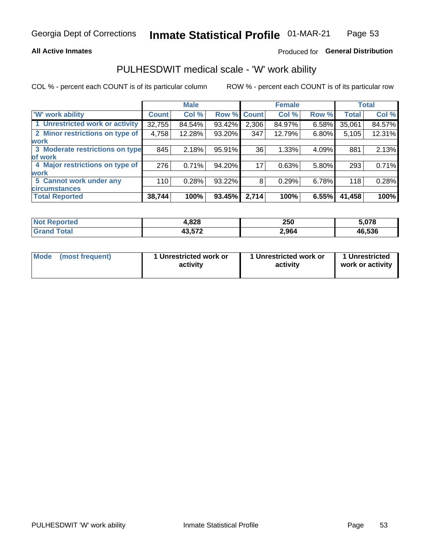## **All Active Inmates**

## Produced for General Distribution

## PULHESDWIT medical scale - 'W' work ability

COL % - percent each COUNT is of its particular column

|                                 |              | <b>Male</b> |        |              | <b>Female</b> |       |              | <b>Total</b> |
|---------------------------------|--------------|-------------|--------|--------------|---------------|-------|--------------|--------------|
| <b>W'</b> work ability          | <b>Count</b> | Col %       | Row %  | <b>Count</b> | Col %         | Row % | <b>Total</b> | Col %        |
| 1 Unrestricted work or activity | 32,755       | 84.54%      | 93.42% | 2,306        | 84.97%        | 6.58% | 35,061       | 84.57%       |
| 2 Minor restrictions on type of | 4,758        | 12.28%      | 93.20% | 347          | 12.79%        | 6.80% | 5,105        | 12.31%       |
| <b>work</b>                     |              |             |        |              |               |       |              |              |
| 3 Moderate restrictions on type | 845          | 2.18%       | 95.91% | 36           | 1.33%         | 4.09% | 881          | 2.13%        |
| lof work                        |              |             |        |              |               |       |              |              |
| 4 Major restrictions on type of | 276          | 0.71%       | 94.20% | 17           | 0.63%         | 5.80% | 293          | 0.71%        |
| <b>work</b>                     |              |             |        |              |               |       |              |              |
| 5 Cannot work under any         | 110          | 0.28%       | 93.22% | 8            | 0.29%         | 6.78% | 118          | 0.28%        |
| <b>circumstances</b>            |              |             |        |              |               |       |              |              |
| <b>Total Reported</b>           | 38,744       | 100%        | 93.45% | 2,714        | 100%          | 6.55% | 41,458       | 100%         |

| <b>Not Reported</b>  | 1,828  | 250   | 5,078  |
|----------------------|--------|-------|--------|
| $\tau$ otal<br>Grand | 43,572 | 2,964 | 46,536 |

| Mode            | 1 Unrestricted work or | 1 Unrestricted work or | 1 Unrestricted   |
|-----------------|------------------------|------------------------|------------------|
| (most frequent) | activity               | activity               | work or activity |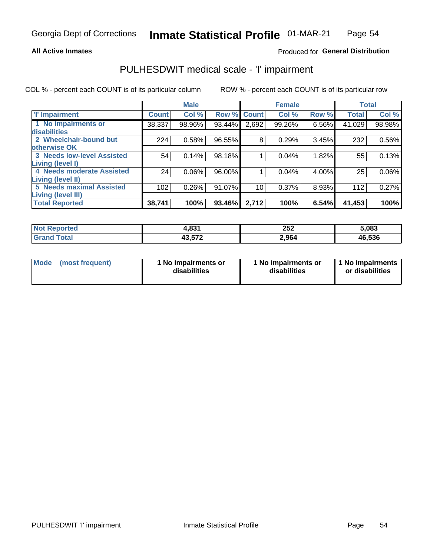## **All Active Inmates**

## Produced for General Distribution

# PULHESDWIT medical scale - 'I' impairment

COL % - percent each COUNT is of its particular column

|                                                              |              | <b>Male</b> |        |             | <b>Female</b> |       |              | <b>Total</b> |
|--------------------------------------------------------------|--------------|-------------|--------|-------------|---------------|-------|--------------|--------------|
| <b>T' Impairment</b>                                         | <b>Count</b> | Col %       |        | Row % Count | Col %         | Row % | <b>Total</b> | Col %        |
| 1 No impairments or<br>disabilities                          | 38,337       | 98.96%      | 93.44% | 2,692       | 99.26%        | 6.56% | 41,029       | 98.98%       |
| 2 Wheelchair-bound but<br>otherwise OK                       | 224          | 0.58%       | 96.55% | 8           | 0.29%         | 3.45% | 232          | 0.56%        |
| <b>3 Needs low-level Assisted</b><br>Living (level I)        | 54           | 0.14%       | 98.18% |             | 0.04%         | 1.82% | 55           | 0.13%        |
| 4 Needs moderate Assisted<br>Living (level II)               | 24           | $0.06\%$    | 96.00% |             | 0.04%         | 4.00% | 25           | $0.06\%$     |
| <b>5 Needs maximal Assisted</b><br><b>Living (level III)</b> | 102          | 0.26%       | 91.07% | 10          | 0.37%         | 8.93% | 112          | 0.27%        |
| <b>Total Reported</b>                                        | 38,741       | 100%        | 93.46% | 2,712       | 100%          | 6.54% | 41,453       | 100%         |

| <b>Not</b> | 024    | 252   | 5,083  |
|------------|--------|-------|--------|
| Reported   | l.oji  | $ -$  |        |
| Total      | 43,572 | 2,964 | 46,536 |

| Mode | (most frequent) | 1 No impairments or<br>disabilities | 1 No impairments or<br>disabilities | 1 No impairments<br>or disabilities |
|------|-----------------|-------------------------------------|-------------------------------------|-------------------------------------|
|------|-----------------|-------------------------------------|-------------------------------------|-------------------------------------|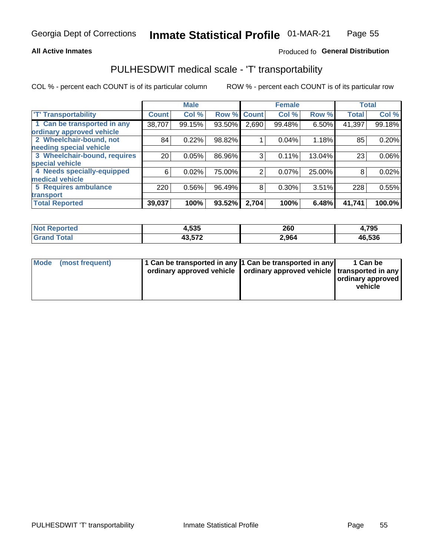## **All Active Inmates**

## Produced fo General Distribution

## PULHESDWIT medical scale - 'T' transportability

COL % - percent each COUNT is of its particular column

|                              |                 | <b>Male</b> |        |              | <b>Female</b> |        |              | <b>Total</b> |
|------------------------------|-----------------|-------------|--------|--------------|---------------|--------|--------------|--------------|
| <b>T' Transportability</b>   | <b>Count</b>    | Col %       | Row %  | <b>Count</b> | Col %         | Row %  | <b>Total</b> | Col %        |
| 1 Can be transported in any  | 38,707          | 99.15%      | 93.50% | 2,690        | 99.48%        | 6.50%  | 41,397       | 99.18%       |
| ordinary approved vehicle    |                 |             |        |              |               |        |              |              |
| 2 Wheelchair-bound, not      | 84              | 0.22%       | 98.82% |              | 0.04%         | 1.18%  | 85           | 0.20%        |
| needing special vehicle      |                 |             |        |              |               |        |              |              |
| 3 Wheelchair-bound, requires | 20 <sub>1</sub> | 0.05%       | 86.96% | 3            | 0.11%         | 13.04% | 23           | $0.06\%$     |
| special vehicle              |                 |             |        |              |               |        |              |              |
| 4 Needs specially-equipped   | 6               | 0.02%       | 75.00% | 2            | 0.07%         | 25.00% | 8            | 0.02%        |
| medical vehicle              |                 |             |        |              |               |        |              |              |
| <b>5 Requires ambulance</b>  | 220             | 0.56%       | 96.49% | 8            | 0.30%         | 3.51%  | 228          | 0.55%        |
| transport                    |                 |             |        |              |               |        |              |              |
| <b>Total Reported</b>        | 39,037          | 100%        | 93.52% | 2,704        | 100%          | 6.48%  | 41,741       | 100.0%       |

| orted | 4,535                            | 260   | 4,795  |
|-------|----------------------------------|-------|--------|
| 'ota. | $\overline{10}$ $\overline{170}$ | 2,964 | 46,536 |

|  | Mode (most frequent) | 1 Can be transported in any 1 Can be transported in any<br>ordinary approved vehicle   ordinary approved vehicle   transported in any |  | 1 Can be<br>  ordinary approved  <br>vehicle |
|--|----------------------|---------------------------------------------------------------------------------------------------------------------------------------|--|----------------------------------------------|
|--|----------------------|---------------------------------------------------------------------------------------------------------------------------------------|--|----------------------------------------------|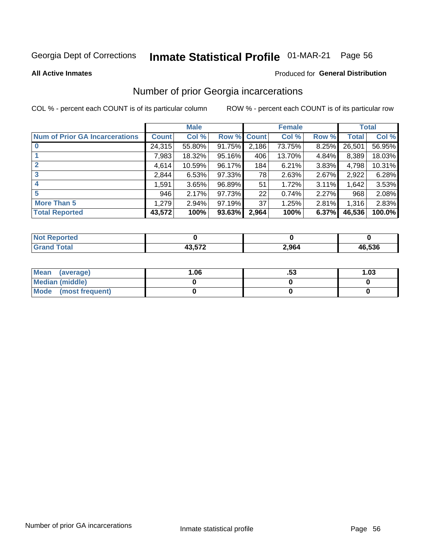#### **Inmate Statistical Profile 01-MAR-21** Page 56

**All Active Inmates** 

### Produced for General Distribution

## Number of prior Georgia incarcerations

COL % - percent each COUNT is of its particular column

|                                       |              | <b>Male</b> |             |                 | <b>Female</b> |       |        | <b>Total</b> |
|---------------------------------------|--------------|-------------|-------------|-----------------|---------------|-------|--------|--------------|
| <b>Num of Prior GA Incarcerations</b> | <b>Count</b> | Col %       | Row % Count |                 | Col %         | Row % | Total  | Col %        |
|                                       | 24,315       | 55.80%      | 91.75%      | 2,186           | 73.75%        | 8.25% | 26,501 | 56.95%       |
|                                       | 7,983        | 18.32%      | 95.16%      | 406             | 13.70%        | 4.84% | 8,389  | 18.03%       |
| $\overline{2}$                        | 4,614        | 10.59%      | 96.17%      | 184             | 6.21%         | 3.83% | 4,798  | 10.31%       |
| 3                                     | 2,844        | 6.53%       | 97.33%      | 78              | 2.63%         | 2.67% | 2,922  | 6.28%        |
| $\boldsymbol{4}$                      | 1,591        | 3.65%       | 96.89%      | 51              | 1.72%         | 3.11% | 1,642  | 3.53%        |
| 5                                     | 946          | 2.17%       | 97.73%      | 22              | 0.74%         | 2.27% | 968    | 2.08%        |
| <b>More Than 5</b>                    | 1,279        | 2.94%       | 97.19%      | 37 <sup>1</sup> | 1.25%         | 2.81% | 1,316  | 2.83%        |
| <b>Total Reported</b>                 | 43,572       | 100%        | 93.63%      | 2,964           | 100%          | 6.37% | 46,536 | 100.0%       |

| ortea<br>NO  |        |       |        |  |
|--------------|--------|-------|--------|--|
| <b>Total</b> | 10 F70 | 2,964 | 46,536 |  |

| Mean (average)         | 06.، | .JJ | 1.03 |
|------------------------|------|-----|------|
| <b>Median (middle)</b> |      |     |      |
| Mode (most frequent)   |      |     |      |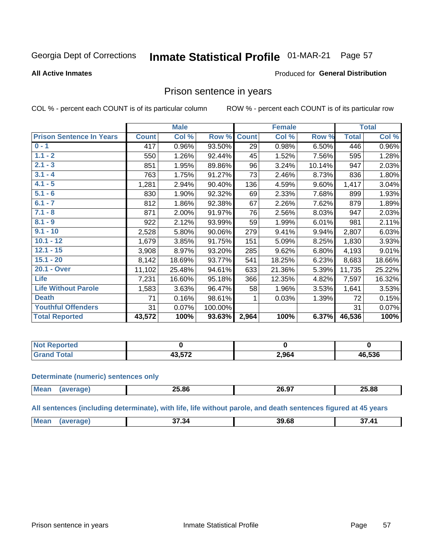#### **Inmate Statistical Profile 01-MAR-21** Page 57

## **All Active Inmates**

## Produced for General Distribution

## Prison sentence in years

COL % - percent each COUNT is of its particular column

ROW % - percent each COUNT is of its particular row

|                                 |              | <b>Male</b> |         |              | <b>Female</b> |        |              | <b>Total</b> |
|---------------------------------|--------------|-------------|---------|--------------|---------------|--------|--------------|--------------|
| <b>Prison Sentence In Years</b> | <b>Count</b> | Col %       | Row %   | <b>Count</b> | Col %         | Row %  | <b>Total</b> | Col %        |
| $0 - 1$                         | 417          | 0.96%       | 93.50%  | 29           | 0.98%         | 6.50%  | 446          | 0.96%        |
| $1.1 - 2$                       | 550          | 1.26%       | 92.44%  | 45           | 1.52%         | 7.56%  | 595          | 1.28%        |
| $2.1 - 3$                       | 851          | 1.95%       | 89.86%  | 96           | 3.24%         | 10.14% | 947          | 2.03%        |
| $3.1 - 4$                       | 763          | 1.75%       | 91.27%  | 73           | 2.46%         | 8.73%  | 836          | 1.80%        |
| $4.1 - 5$                       | 1,281        | 2.94%       | 90.40%  | 136          | 4.59%         | 9.60%  | 1,417        | 3.04%        |
| $5.1 - 6$                       | 830          | 1.90%       | 92.32%  | 69           | 2.33%         | 7.68%  | 899          | 1.93%        |
| $6.1 - 7$                       | 812          | 1.86%       | 92.38%  | 67           | 2.26%         | 7.62%  | 879          | 1.89%        |
| $7.1 - 8$                       | 871          | 2.00%       | 91.97%  | 76           | 2.56%         | 8.03%  | 947          | 2.03%        |
| $8.1 - 9$                       | 922          | 2.12%       | 93.99%  | 59           | 1.99%         | 6.01%  | 981          | 2.11%        |
| $9.1 - 10$                      | 2,528        | 5.80%       | 90.06%  | 279          | 9.41%         | 9.94%  | 2,807        | 6.03%        |
| $10.1 - 12$                     | 1,679        | 3.85%       | 91.75%  | 151          | 5.09%         | 8.25%  | 1,830        | 3.93%        |
| $12.1 - 15$                     | 3,908        | 8.97%       | 93.20%  | 285          | 9.62%         | 6.80%  | 4,193        | 9.01%        |
| $15.1 - 20$                     | 8,142        | 18.69%      | 93.77%  | 541          | 18.25%        | 6.23%  | 8,683        | 18.66%       |
| 20.1 - Over                     | 11,102       | 25.48%      | 94.61%  | 633          | 21.36%        | 5.39%  | 11,735       | 25.22%       |
| <b>Life</b>                     | 7,231        | 16.60%      | 95.18%  | 366          | 12.35%        | 4.82%  | 7,597        | 16.32%       |
| <b>Life Without Parole</b>      | 1,583        | 3.63%       | 96.47%  | 58           | 1.96%         | 3.53%  | 1,641        | 3.53%        |
| <b>Death</b>                    | 71           | 0.16%       | 98.61%  |              | 0.03%         | 1.39%  | 72           | 0.15%        |
| <b>Youthful Offenders</b>       | 31           | 0.07%       | 100.00% |              |               |        | 31           | 0.07%        |
| <b>Total Reported</b>           | 43,572       | 100%        | 93.63%  | 2,964        | 100%          | 6.37%  | 46,536       | 100%         |

| <b>PROOFTED</b><br>I NOT |        |       |       |
|--------------------------|--------|-------|-------|
|                          | 12 E72 | 964 ( | 6,536 |

### **Determinate (numeric) sentences only**

| <b>Mean</b> | 25.86 | 20.97 | 25.88 |
|-------------|-------|-------|-------|
|             |       |       |       |

All sentences (including determinate), with life, life without parole, and death sentences figured at 45 years

| $M\Omega$ | $- - -$<br>. . 34<br>. | 39.68 | $\overline{A}$ |
|-----------|------------------------|-------|----------------|
|           |                        |       |                |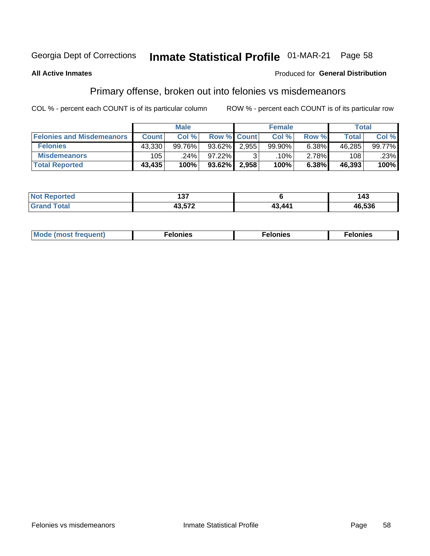#### **Inmate Statistical Profile 01-MAR-21** Page 58

## **All Active Inmates**

## Produced for General Distribution

## Primary offense, broken out into felonies vs misdemeanors

COL % - percent each COUNT is of its particular column

|                                  | <b>Male</b>  |           |           | <b>Female</b>      |        |       | Total        |        |  |
|----------------------------------|--------------|-----------|-----------|--------------------|--------|-------|--------------|--------|--|
| <b>Felonies and Misdemeanors</b> | <b>Count</b> | Col%      |           | <b>Row % Count</b> | Col%   | Row % | <b>Total</b> | Col%   |  |
| <b>Felonies</b>                  | 43.330       | $99.76\%$ | $93.62\%$ | 2.955              | 99.90% | 6.38% | 46,285       | 99.77% |  |
| <b>Misdemeanors</b>              | 105          | .24%      | $97.22\%$ |                    | .10%   | 2.78% | 108          | .23%   |  |
| <b>Total Reported</b>            | 43,435       | 100%      | $93.62\%$ | 2.958              | 100%   | 6.38% | 46,393       | 100%   |  |

| <b>Not</b>     | ---    |        | 1 Д    |
|----------------|--------|--------|--------|
| <b>eported</b> | ישו    |        | - 1    |
| Grar<br>™otar  | 10 F70 | 43 441 | 46,536 |

| M      | .    | nes | onies |
|--------|------|-----|-------|
| nuenti | ____ | .   | .     |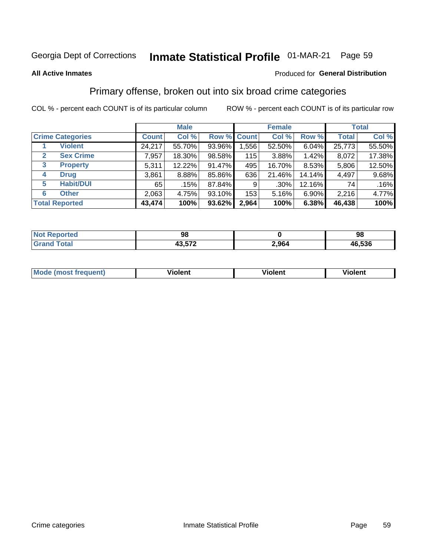#### **Inmate Statistical Profile 01-MAR-21** Page 59

### **All Active Inmates**

## Produced for General Distribution

## Primary offense, broken out into six broad crime categories

COL % - percent each COUNT is of its particular column

|                                  | <b>Male</b>  |        |           | <b>Female</b> |         |          | <b>Total</b> |          |
|----------------------------------|--------------|--------|-----------|---------------|---------|----------|--------------|----------|
| <b>Crime Categories</b>          | <b>Count</b> | Col %  |           | Row % Count   | Col %   | Row %    | <b>Total</b> | Col %    |
| <b>Violent</b>                   | 24,217       | 55.70% | 93.96%    | 1,556         | 52.50%  | $6.04\%$ | 25,773       | 55.50%   |
| <b>Sex Crime</b><br>$\mathbf{2}$ | 7,957        | 18.30% | 98.58%    | 115           | 3.88%   | 1.42%    | 8,072        | 17.38%   |
| 3<br><b>Property</b>             | 5,311        | 12.22% | 91.47%    | 495           | 16.70%  | 8.53%    | 5,806        | 12.50%   |
| <b>Drug</b><br>4                 | 3,861        | 8.88%  | 85.86%    | 636           | 21.46%  | 14.14%   | 4,497        | $9.68\%$ |
| <b>Habit/DUI</b><br>5            | 65           | .15%   | 87.84%    | 9             | $.30\%$ | 12.16%   | 74           | .16%     |
| <b>Other</b><br>6                | 2,063        | 4.75%  | 93.10%    | 153           | 5.16%   | 6.90%    | 2,216        | 4.77%    |
| <b>Total Reported</b>            | 43,474       | 100%   | $93.62\%$ | 2,964         | 100%    | 6.38%    | 46,438       | 100%     |

| <b>orted</b><br><b>NOT</b><br>. | 98                        |       | 98     |
|---------------------------------|---------------------------|-------|--------|
| $F_{\mathbf{A}}$<br>υιαι        | 10.570<br>79.J <i>i</i> Z | 2,964 | 46,536 |

| M | - --<br>100011 | .<br><b>VIOIGIIL</b> | 1.91311 |
|---|----------------|----------------------|---------|
|   |                |                      |         |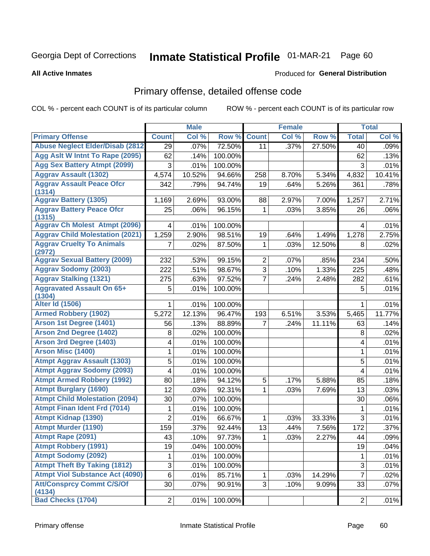# Inmate Statistical Profile 01-MAR-21 Page 60

**All Active Inmates** 

## Produced for General Distribution

# Primary offense, detailed offense code

COL % - percent each COUNT is of its particular column

|                                            |                | <b>Male</b> |         |                | <b>Female</b> |        |                | <b>Total</b> |
|--------------------------------------------|----------------|-------------|---------|----------------|---------------|--------|----------------|--------------|
| <b>Primary Offense</b>                     | <b>Count</b>   | Col %       | Row %   | <b>Count</b>   | Col %         | Row %  | <b>Total</b>   | Col %        |
| <b>Abuse Neglect Elder/Disab (2812)</b>    | 29             | .07%        | 72.50%  | 11             | .37%          | 27.50% | 40             | .09%         |
| Agg Aslt W Intnt To Rape (2095)            | 62             | .14%        | 100.00% |                |               |        | 62             | .13%         |
| <b>Agg Sex Battery Atmpt (2099)</b>        | 3              | .01%        | 100.00% |                |               |        | 3              | .01%         |
| <b>Aggrav Assault (1302)</b>               | 4,574          | 10.52%      | 94.66%  | 258            | 8.70%         | 5.34%  | 4,832          | 10.41%       |
| <b>Aggrav Assault Peace Ofcr</b><br>(1314) | 342            | .79%        | 94.74%  | 19             | .64%          | 5.26%  | 361            | .78%         |
| <b>Aggrav Battery (1305)</b>               | 1,169          | 2.69%       | 93.00%  | 88             | 2.97%         | 7.00%  | 1,257          | 2.71%        |
| <b>Aggrav Battery Peace Ofcr</b><br>(1315) | 25             | .06%        | 96.15%  | 1              | .03%          | 3.85%  | 26             | .06%         |
| <b>Aggrav Ch Molest Atmpt (2096)</b>       | 4              | .01%        | 100.00% |                |               |        | 4              | .01%         |
| <b>Aggrav Child Molestation (2021)</b>     | 1,259          | 2.90%       | 98.51%  | 19             | .64%          | 1.49%  | 1,278          | 2.75%        |
| <b>Aggrav Cruelty To Animals</b><br>(2972) | 7              | .02%        | 87.50%  | 1              | .03%          | 12.50% | 8              | .02%         |
| <b>Aggrav Sexual Battery (2009)</b>        | 232            | .53%        | 99.15%  | $\overline{2}$ | $.07\%$       | .85%   | 234            | .50%         |
| <b>Aggrav Sodomy (2003)</b>                | 222            | .51%        | 98.67%  | $\overline{3}$ | .10%          | 1.33%  | 225            | .48%         |
| <b>Aggrav Stalking (1321)</b>              | 275            | .63%        | 97.52%  | $\overline{7}$ | .24%          | 2.48%  | 282            | .61%         |
| <b>Aggravated Assault On 65+</b>           | 5              | .01%        | 100.00% |                |               |        | 5              | .01%         |
| (1304)<br><b>Alter Id (1506)</b>           | 1.             | .01%        | 100.00% |                |               |        | 1              | .01%         |
| <b>Armed Robbery (1902)</b>                | 5,272          | 12.13%      | 96.47%  | 193            | 6.51%         | 3.53%  | 5,465          | 11.77%       |
| Arson 1st Degree (1401)                    | 56             | .13%        | 88.89%  | $\overline{7}$ | .24%          | 11.11% | 63             | .14%         |
| <b>Arson 2nd Degree (1402)</b>             | 8              | .02%        | 100.00% |                |               |        | 8              | .02%         |
| <b>Arson 3rd Degree (1403)</b>             | 4              | .01%        | 100.00% |                |               |        | 4              | .01%         |
| <b>Arson Misc (1400)</b>                   | 1              | .01%        | 100.00% |                |               |        | 1              | .01%         |
| <b>Atmpt Aggrav Assault (1303)</b>         | 5              | .01%        | 100.00% |                |               |        | 5              | .01%         |
| <b>Atmpt Aggrav Sodomy (2093)</b>          | 4              | .01%        | 100.00% |                |               |        | 4              | .01%         |
| <b>Atmpt Armed Robbery (1992)</b>          | 80             | .18%        | 94.12%  | 5              | .17%          | 5.88%  | 85             | .18%         |
| <b>Atmpt Burglary (1690)</b>               | 12             | .03%        | 92.31%  | 1              | .03%          | 7.69%  | 13             | .03%         |
| <b>Atmpt Child Molestation (2094)</b>      | 30             | .07%        | 100.00% |                |               |        | 30             | .06%         |
| <b>Atmpt Finan Ident Frd (7014)</b>        | 1              | .01%        | 100.00% |                |               |        | 1              | .01%         |
| <b>Atmpt Kidnap (1390)</b>                 | $\overline{2}$ | .01%        | 66.67%  | 1              | .03%          | 33.33% | 3              | .01%         |
| <b>Atmpt Murder (1190)</b>                 | 159            | .37%        | 92.44%  | 13             | .44%          | 7.56%  | 172            | .37%         |
| Atmpt Rape (2091)                          | 43             | .10%        | 97.73%  | 1              | .03%          | 2.27%  | 44             | .09%         |
| <b>Atmpt Robbery (1991)</b>                | 19             | .04%        | 100.00% |                |               |        | 19             | .04%         |
| <b>Atmpt Sodomy (2092)</b>                 | 1              | .01%        | 100.00% |                |               |        | 1              | .01%         |
| <b>Atmpt Theft By Taking (1812)</b>        | 3              | .01%        | 100.00% |                |               |        | 3              | .01%         |
| <b>Atmpt Viol Substance Act (4090)</b>     | 6              | .01%        | 85.71%  | 1              | .03%          | 14.29% | $\overline{7}$ | .02%         |
| <b>Att/Consprcy Commt C/S/Of</b>           | 30             | .07%        | 90.91%  | 3              | .10%          | 9.09%  | 33             | .07%         |
| (4134)                                     |                |             |         |                |               |        |                |              |
| <b>Bad Checks (1704)</b>                   | 2 <sup>1</sup> | .01%        | 100.00% |                |               |        | $\overline{2}$ | .01%         |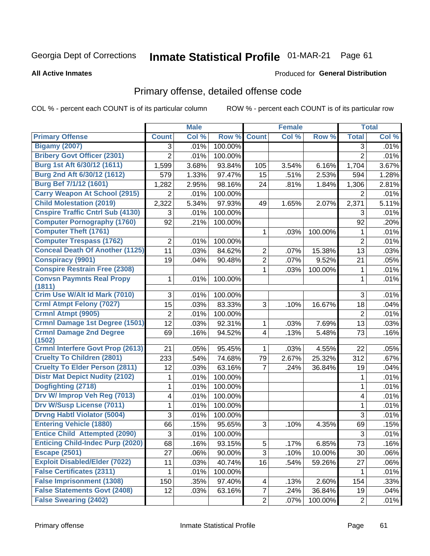# Inmate Statistical Profile 01-MAR-21 Page 61

**All Active Inmates** 

## **Produced for General Distribution**

# Primary offense, detailed offense code

COL % - percent each COUNT is of its particular column

|                                                   |                | <b>Male</b> |         |                         | <b>Female</b> |         |                | <b>Total</b> |
|---------------------------------------------------|----------------|-------------|---------|-------------------------|---------------|---------|----------------|--------------|
| <b>Primary Offense</b>                            | <b>Count</b>   | Col %       | Row %   | <b>Count</b>            | Col %         | Row %   | <b>Total</b>   | Col %        |
| <b>Bigamy (2007)</b>                              | 3              | .01%        | 100.00% |                         |               |         | 3              | .01%         |
| <b>Bribery Govt Officer (2301)</b>                | $\overline{2}$ | .01%        | 100.00% |                         |               |         | $\overline{2}$ | .01%         |
| Burg 1st Aft 6/30/12 (1611)                       | 1,599          | 3.68%       | 93.84%  | 105                     | 3.54%         | 6.16%   | 1,704          | 3.67%        |
| Burg 2nd Aft 6/30/12 (1612)                       | 579            | 1.33%       | 97.47%  | 15                      | .51%          | 2.53%   | 594            | 1.28%        |
| <b>Burg Bef 7/1/12 (1601)</b>                     | 1,282          | 2.95%       | 98.16%  | 24                      | .81%          | 1.84%   | 1,306          | 2.81%        |
| <b>Carry Weapon At School (2915)</b>              | $\overline{2}$ | .01%        | 100.00% |                         |               |         | 2              | .01%         |
| <b>Child Molestation (2019)</b>                   | 2,322          | 5.34%       | 97.93%  | 49                      | 1.65%         | 2.07%   | 2,371          | 5.11%        |
| <b>Cnspire Traffic Cntrl Sub (4130)</b>           | 3              | .01%        | 100.00% |                         |               |         | 3              | .01%         |
| <b>Computer Pornography (1760)</b>                | 92             | .21%        | 100.00% |                         |               |         | 92             | .20%         |
| <b>Computer Theft (1761)</b>                      |                |             |         | 1                       | .03%          | 100.00% | 1              | .01%         |
| <b>Computer Trespass (1762)</b>                   | $\overline{2}$ | .01%        | 100.00% |                         |               |         | $\overline{2}$ | .01%         |
| <b>Conceal Death Of Another (1125)</b>            | 11             | .03%        | 84.62%  | $\overline{2}$          | .07%          | 15.38%  | 13             | .03%         |
| <b>Conspiracy (9901)</b>                          | 19             | .04%        | 90.48%  | $\overline{2}$          | .07%          | 9.52%   | 21             | .05%         |
| <b>Conspire Restrain Free (2308)</b>              |                |             |         | 1                       | .03%          | 100.00% | 1              | .01%         |
| <b>Convsn Paymnts Real Propy</b><br>(1811)        | 1              | .01%        | 100.00% |                         |               |         | 1              | .01%         |
| Crim Use W/Alt Id Mark (7010)                     | 3              | .01%        | 100.00% |                         |               |         | 3              | .01%         |
| <b>Crml Atmpt Felony (7027)</b>                   | 15             | .03%        | 83.33%  | 3                       | .10%          | 16.67%  | 18             | .04%         |
| Crmnl Atmpt (9905)                                | $\overline{2}$ | .01%        | 100.00% |                         |               |         | $\overline{2}$ | .01%         |
| Crmnl Damage 1st Degree (1501)                    | 12             | .03%        | 92.31%  | 1                       | .03%          | 7.69%   | 13             | .03%         |
| <b>Crmnl Damage 2nd Degree</b>                    | 69             | .16%        | 94.52%  | $\overline{\mathbf{4}}$ | .13%          | 5.48%   | 73             | .16%         |
| (1502)<br><b>Crmnl Interfere Govt Prop (2613)</b> | 21             | .05%        | 95.45%  | 1                       | .03%          | 4.55%   | 22             | .05%         |
| <b>Cruelty To Children (2801)</b>                 | 233            | .54%        | 74.68%  | 79                      | 2.67%         | 25.32%  | 312            | .67%         |
| <b>Cruelty To Elder Person (2811)</b>             | 12             | .03%        | 63.16%  | $\overline{7}$          | .24%          | 36.84%  | 19             | .04%         |
| <b>Distr Mat Depict Nudity (2102)</b>             | 1              | .01%        | 100.00% |                         |               |         | 1              | .01%         |
| Dogfighting (2718)                                | 1              | .01%        | 100.00% |                         |               |         | $\mathbf{1}$   | .01%         |
| Drv W/ Improp Veh Reg (7013)                      | 4              | .01%        | 100.00% |                         |               |         | 4              | .01%         |
| <b>Drv W/Susp License (7011)</b>                  | 1              | .01%        | 100.00% |                         |               |         | 1              | .01%         |
| <b>Drvng Habtl Violator (5004)</b>                | 3              | .01%        | 100.00% |                         |               |         | 3              | .01%         |
| <b>Entering Vehicle (1880)</b>                    | 66             | .15%        | 95.65%  | 3                       | .10%          | 4.35%   | 69             | .15%         |
| <b>Entice Child Attempted (2090)</b>              | 3              | .01%        | 100.00% |                         |               |         | 3              | .01%         |
| <b>Enticing Child-Indec Purp (2020)</b>           | 68             | .16%        | 93.15%  | 5                       | .17%          | 6.85%   | 73             | .16%         |
| <b>Escape (2501)</b>                              | 27             | .06%        | 90.00%  | $\overline{3}$          | .10%          | 10.00%  | 30             | .06%         |
| <b>Exploit Disabled/Elder (7022)</b>              | 11             | .03%        | 40.74%  | 16                      | .54%          | 59.26%  | 27             | .06%         |
| <b>False Certificates (2311)</b>                  | 1              | .01%        | 100.00% |                         |               |         | 1              | .01%         |
| <b>False Imprisonment (1308)</b>                  | 150            | .35%        | 97.40%  | 4                       | .13%          | 2.60%   | 154            | .33%         |
| <b>False Statements Govt (2408)</b>               | 12             | .03%        | 63.16%  | $\overline{7}$          | .24%          | 36.84%  | 19             | .04%         |
| <b>False Swearing (2402)</b>                      |                |             |         | $\overline{2}$          | .07%          | 100.00% | $\overline{2}$ | .01%         |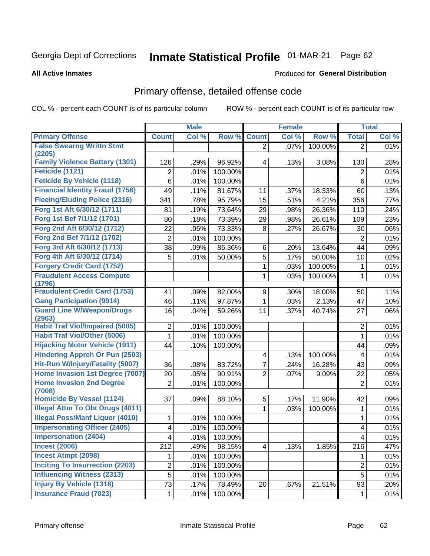#### **Inmate Statistical Profile 01-MAR-21** Page 62

**All Active Inmates** 

## **Produced for General Distribution**

## Primary offense, detailed offense code

COL % - percent each COUNT is of its particular column

|                                                  |                | <b>Male</b> |         |                | <b>Female</b> |         |                         | <b>Total</b> |
|--------------------------------------------------|----------------|-------------|---------|----------------|---------------|---------|-------------------------|--------------|
| <b>Primary Offense</b>                           | <b>Count</b>   | Col %       | Row %   | <b>Count</b>   | Col %         | Row %   | <b>Total</b>            | Col %        |
| <b>False Swearng Writtn Stmt</b>                 |                |             |         | $\overline{2}$ | .07%          | 100.00% | $\overline{2}$          | .01%         |
| (2205)                                           |                |             |         |                |               |         |                         |              |
| <b>Family Violence Battery (1301)</b>            | 126            | .29%        | 96.92%  | 4              | .13%          | 3.08%   | 130                     | .28%         |
| Feticide (1121)                                  | $\overline{2}$ | .01%        | 100.00% |                |               |         | $\overline{2}$          | .01%         |
| <b>Feticide By Vehicle (1118)</b>                | 6              | .01%        | 100.00% |                |               |         | 6                       | .01%         |
| <b>Financial Identity Fraud (1756)</b>           | 49             | .11%        | 81.67%  | 11             | .37%          | 18.33%  | 60                      | .13%         |
| <b>Fleeing/Eluding Police (2316)</b>             | 341            | .78%        | 95.79%  | 15             | .51%          | 4.21%   | 356                     | .77%         |
| Forg 1st Aft 6/30/12 (1711)                      | 81             | .19%        | 73.64%  | 29             | .98%          | 26.36%  | 110                     | .24%         |
| Forg 1st Bef 7/1/12 (1701)                       | 80             | .18%        | 73.39%  | 29             | .98%          | 26.61%  | 109                     | .23%         |
| Forg 2nd Aft 6/30/12 (1712)                      | 22             | .05%        | 73.33%  | 8              | .27%          | 26.67%  | 30                      | .06%         |
| Forg 2nd Bef 7/1/12 (1702)                       | $\overline{2}$ | .01%        | 100.00% |                |               |         | 2                       | .01%         |
| Forg 3rd Aft 6/30/12 (1713)                      | 38             | .09%        | 86.36%  | 6              | .20%          | 13.64%  | 44                      | .09%         |
| Forg 4th Aft 6/30/12 (1714)                      | 5              | .01%        | 50.00%  | 5              | .17%          | 50.00%  | 10                      | .02%         |
| <b>Forgery Credit Card (1752)</b>                |                |             |         | 1              | .03%          | 100.00% | 1                       | .01%         |
| <b>Fraudulent Access Compute</b>                 |                |             |         | 1              | .03%          | 100.00% | 1                       | .01%         |
| (1796)                                           |                |             |         |                |               |         |                         |              |
| <b>Fraudulent Credit Card (1753)</b>             | 41             | .09%        | 82.00%  | 9              | .30%          | 18.00%  | 50                      | .11%         |
| <b>Gang Participation (9914)</b>                 | 46             | .11%        | 97.87%  | 1              | .03%          | 2.13%   | 47                      | .10%         |
| <b>Guard Line W/Weapon/Drugs</b>                 | 16             | .04%        | 59.26%  | 11             | .37%          | 40.74%  | 27                      | .06%         |
| (2963)<br><b>Habit Traf Viol/Impaired (5005)</b> | $\overline{2}$ | .01%        | 100.00% |                |               |         | $\overline{2}$          | .01%         |
| <b>Habit Traf Viol/Other (5006)</b>              | 1              | .01%        | 100.00% |                |               |         | 1                       | .01%         |
| <b>Hijacking Motor Vehicle (1911)</b>            | 44             |             | 100.00% |                |               |         | 44                      |              |
| <b>Hindering Appreh Or Pun (2503)</b>            |                | .10%        |         |                |               |         |                         | .09%         |
| Hit-Run W/Injury/Fatality (5007)                 |                |             |         | 4              | .13%          | 100.00% | 4                       | .01%         |
|                                                  | 36             | .08%        | 83.72%  | 7              | .24%          | 16.28%  | 43                      | .09%         |
| Home Invasion 1st Degree (7007)                  | 20             | .05%        | 90.91%  | 2              | .07%          | 9.09%   | 22                      | .05%         |
| <b>Home Invasion 2nd Degree</b><br>(7008)        | $\overline{2}$ | .01%        | 100.00% |                |               |         | $\overline{2}$          | .01%         |
| <b>Homicide By Vessel (1124)</b>                 | 37             | .09%        | 88.10%  | 5              | .17%          | 11.90%  | 42                      | .09%         |
| <b>Illegal Attm To Obt Drugs (4011)</b>          |                |             |         | 1              | .03%          | 100.00% | 1                       | .01%         |
| <b>Illegal Poss/Manf Liquor (4010)</b>           | 1              | .01%        | 100.00% |                |               |         | 1                       | .01%         |
| <b>Impersonating Officer (2405)</b>              | 4              | .01%        | 100.00% |                |               |         | 4                       | .01%         |
| <b>Impersonation (2404)</b>                      | 4              | .01%        | 100.00% |                |               |         | $\overline{\mathbf{4}}$ | .01%         |
| <b>Incest (2006)</b>                             | 212            | .49%        | 98.15%  | $\overline{4}$ | .13%          | 1.85%   | 216                     | .47%         |
| <b>Incest Atmpt (2098)</b>                       | 1              | .01%        | 100.00% |                |               |         | 1.                      | .01%         |
| <b>Inciting To Insurrection (2203)</b>           | $\overline{2}$ | .01%        | 100.00% |                |               |         | $\overline{2}$          | .01%         |
| <b>Influencing Witness (2313)</b>                | $\overline{5}$ | .01%        | 100.00% |                |               |         | 5                       | .01%         |
| <b>Injury By Vehicle (1318)</b>                  | 73             | .17%        | 78.49%  | 20             | .67%          | 21.51%  | 93                      | .20%         |
| <b>Insurance Fraud (7023)</b>                    | 1              | .01%        | 100.00% |                |               |         | $\mathbf{1}$            | .01%         |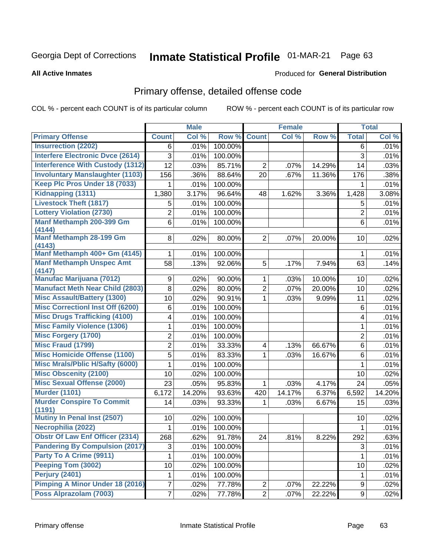# Inmate Statistical Profile 01-MAR-21 Page 63

### **All Active Inmates**

## Produced for General Distribution

# Primary offense, detailed offense code

COL % - percent each COUNT is of its particular column

|                                            |                | <b>Male</b> |         |                | <b>Female</b> |        |                | <b>Total</b> |
|--------------------------------------------|----------------|-------------|---------|----------------|---------------|--------|----------------|--------------|
| <b>Primary Offense</b>                     | <b>Count</b>   | Col %       | Row %   | <b>Count</b>   | Col%          | Row %  | <b>Total</b>   | Col %        |
| <b>Insurrection (2202)</b>                 | 6              | .01%        | 100.00% |                |               |        | 6              | .01%         |
| <b>Interfere Electronic Dvce (2614)</b>    | 3              | .01%        | 100.00% |                |               |        | 3              | .01%         |
| <b>Interference With Custody (1312)</b>    | 12             | .03%        | 85.71%  | $\overline{2}$ | .07%          | 14.29% | 14             | .03%         |
| <b>Involuntary Manslaughter (1103)</b>     | 156            | .36%        | 88.64%  | 20             | .67%          | 11.36% | 176            | .38%         |
| Keep Plc Pros Under 18 (7033)              | 1              | .01%        | 100.00% |                |               |        | 1              | .01%         |
| <b>Kidnapping (1311)</b>                   | 1,380          | 3.17%       | 96.64%  | 48             | 1.62%         | 3.36%  | 1,428          | 3.08%        |
| <b>Livestock Theft (1817)</b>              | 5              | .01%        | 100.00% |                |               |        | 5              | .01%         |
| <b>Lottery Violation (2730)</b>            | 2              | .01%        | 100.00% |                |               |        | $\overline{2}$ | .01%         |
| Manf Methamph 200-399 Gm                   | 6              | .01%        | 100.00% |                |               |        | 6              | .01%         |
| (4144)<br>Manf Methamph 28-199 Gm          | 8              | .02%        | 80.00%  | $\overline{2}$ | .07%          | 20.00% | 10             | .02%         |
| (4143)                                     |                |             |         |                |               |        |                |              |
| Manf Methamph 400+ Gm (4145)               | 1              | .01%        | 100.00% |                |               |        | 1              | .01%         |
| <b>Manf Methamph Unspec Amt</b>            | 58             | .13%        | 92.06%  | 5              | .17%          | 7.94%  | 63             | .14%         |
| (4147)                                     |                |             |         |                |               |        |                |              |
| <b>Manufac Marijuana (7012)</b>            | 9              | .02%        | 90.00%  | 1              | .03%          | 10.00% | 10             | .02%         |
| <b>Manufact Meth Near Child (2803)</b>     | 8              | .02%        | 80.00%  | $\overline{2}$ | .07%          | 20.00% | 10             | .02%         |
| <b>Misc Assault/Battery (1300)</b>         | 10             | .02%        | 90.91%  | $\mathbf{1}$   | .03%          | 9.09%  | 11             | .02%         |
| <b>Misc Correctionl Inst Off (6200)</b>    | 6              | .01%        | 100.00% |                |               |        | 6              | .01%         |
| <b>Misc Drugs Trafficking (4100)</b>       | 4              | .01%        | 100.00% |                |               |        | 4              | .01%         |
| <b>Misc Family Violence (1306)</b>         | 1              | .01%        | 100.00% |                |               |        | $\mathbf{1}$   | .01%         |
| <b>Misc Forgery (1700)</b>                 | $\overline{2}$ | .01%        | 100.00% |                |               |        | $\overline{2}$ | .01%         |
| <b>Misc Fraud (1799)</b>                   | $\overline{2}$ | .01%        | 33.33%  | 4              | .13%          | 66.67% | 6              | .01%         |
| <b>Misc Homicide Offense (1100)</b>        | 5              | .01%        | 83.33%  | $\mathbf{1}$   | .03%          | 16.67% | 6              | .01%         |
| <b>Misc Mrals/Pblic H/Safty (6000)</b>     | 1              | .01%        | 100.00% |                |               |        | $\mathbf{1}$   | .01%         |
| <b>Misc Obscenity (2100)</b>               | 10             | .02%        | 100.00% |                |               |        | 10             | .02%         |
| <b>Misc Sexual Offense (2000)</b>          | 23             | .05%        | 95.83%  | $\mathbf 1$    | .03%          | 4.17%  | 24             | .05%         |
| <b>Murder (1101)</b>                       | 6,172          | 14.20%      | 93.63%  | 420            | 14.17%        | 6.37%  | 6,592          | 14.20%       |
| <b>Murder Conspire To Commit</b><br>(1191) | 14             | .03%        | 93.33%  | $\mathbf{1}$   | .03%          | 6.67%  | 15             | .03%         |
| Mutiny In Penal Inst (2507)                | 10             | .02%        | 100.00% |                |               |        | 10             | .02%         |
| Necrophilia (2022)                         | 1              | .01%        | 100.00% |                |               |        | 1              | .01%         |
| <b>Obstr Of Law Enf Officer (2314)</b>     | 268            | .62%        | 91.78%  | 24             | .81%          | 8.22%  | 292            | .63%         |
| <b>Pandering By Compulsion (2017)</b>      | 3              | .01%        | 100.00% |                |               |        | 3              | .01%         |
| Party To A Crime (9911)                    | 1              | .01%        | 100.00% |                |               |        | 1              | .01%         |
| Peeping Tom (3002)                         | 10             | .02%        | 100.00% |                |               |        | 10             | .02%         |
| <b>Perjury (2401)</b>                      | 1              | .01%        | 100.00% |                |               |        | 1              | .01%         |
| Pimping A Minor Under 18 (2016)            | 7              | .02%        | 77.78%  | $\overline{c}$ | .07%          | 22.22% | 9              | .02%         |
| Poss Alprazolam (7003)                     | $\overline{7}$ | .02%        | 77.78%  | $\overline{2}$ | .07%          | 22.22% | 9 <sup>1</sup> | .02%         |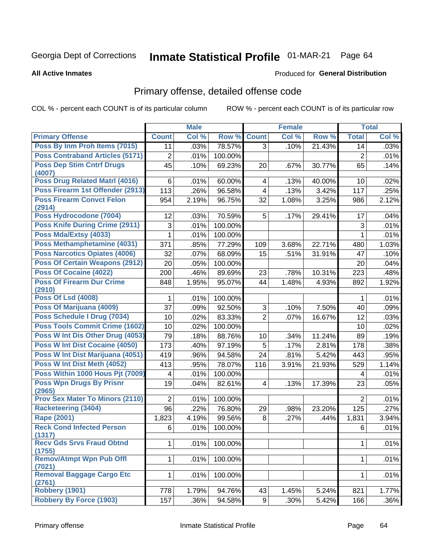# Inmate Statistical Profile 01-MAR-21 Page 64

### **All Active Inmates**

## Produced for General Distribution

# Primary offense, detailed offense code

COL % - percent each COUNT is of its particular column

|                                           |                  | <b>Male</b> |         |                         | <b>Female</b> |        |                | <b>Total</b> |
|-------------------------------------------|------------------|-------------|---------|-------------------------|---------------|--------|----------------|--------------|
| <b>Primary Offense</b>                    | <b>Count</b>     | Col %       | Row %   | <b>Count</b>            | Col %         | Row %  | <b>Total</b>   | Col %        |
| Poss By Inm Proh Items (7015)             | 11               | .03%        | 78.57%  | $\overline{3}$          | .10%          | 21.43% | 14             | .03%         |
| <b>Poss Contraband Articles (5171)</b>    | $\boldsymbol{2}$ | .01%        | 100.00% |                         |               |        | $\overline{2}$ | .01%         |
| <b>Poss Dep Stim Cntrf Drugs</b>          | 45               | .10%        | 69.23%  | 20                      | .67%          | 30.77% | 65             | .14%         |
| (4007)<br>Poss Drug Related Matrl (4016)  | 6                | .01%        | 60.00%  | $\overline{\mathbf{4}}$ | .13%          | 40.00% | 10             | .02%         |
| Poss Firearm 1st Offender (2913)          | 113              | .26%        | 96.58%  | 4                       | .13%          | 3.42%  | 117            | .25%         |
| <b>Poss Firearm Convct Felon</b>          | 954              | 2.19%       | 96.75%  | 32                      | 1.08%         | 3.25%  | 986            | 2.12%        |
| (2914)                                    |                  |             |         |                         |               |        |                |              |
| Poss Hydrocodone (7004)                   | 12               | .03%        | 70.59%  | 5                       | .17%          | 29.41% | 17             | .04%         |
| <b>Poss Knife During Crime (2911)</b>     | 3                | .01%        | 100.00% |                         |               |        | 3              | .01%         |
| Poss Mda/Extsy (4033)                     | 1                | .01%        | 100.00% |                         |               |        | 1              | .01%         |
| Poss Methamphetamine (4031)               | 371              | .85%        | 77.29%  | 109                     | 3.68%         | 22.71% | 480            | 1.03%        |
| <b>Poss Narcotics Opiates (4006)</b>      | 32               | .07%        | 68.09%  | 15                      | .51%          | 31.91% | 47             | .10%         |
| <b>Poss Of Certain Weapons (2912)</b>     | 20               | .05%        | 100.00% |                         |               |        | 20             | .04%         |
| Poss Of Cocaine (4022)                    | 200              | .46%        | 89.69%  | 23                      | .78%          | 10.31% | 223            | .48%         |
| <b>Poss Of Firearm Dur Crime</b>          | 848              | 1.95%       | 95.07%  | 44                      | 1.48%         | 4.93%  | 892            | 1.92%        |
| (2910)                                    |                  |             |         |                         |               |        |                |              |
| <b>Poss Of Lsd (4008)</b>                 | 1.               | .01%        | 100.00% |                         |               |        | 1              | .01%         |
| Poss Of Marijuana (4009)                  | 37               | .09%        | 92.50%  | 3                       | .10%          | 7.50%  | 40             | .09%         |
| Poss Schedule I Drug (7034)               | 10               | .02%        | 83.33%  | $\overline{2}$          | .07%          | 16.67% | 12             | .03%         |
| Poss Tools Commit Crime (1602)            | 10               | .02%        | 100.00% |                         |               |        | 10             | .02%         |
| Poss W Int Dis Other Drug (4053)          | 79               | .18%        | 88.76%  | 10                      | .34%          | 11.24% | 89             | .19%         |
| Poss W Int Dist Cocaine (4050)            | 173              | .40%        | 97.19%  | 5                       | .17%          | 2.81%  | 178            | .38%         |
| Poss W Int Dist Marijuana (4051)          | 419              | .96%        | 94.58%  | 24                      | .81%          | 5.42%  | 443            | .95%         |
| Poss W Int Dist Meth (4052)               | 413              | .95%        | 78.07%  | 116                     | 3.91%         | 21.93% | 529            | 1.14%        |
| Poss Within 1000 Hous Pjt (7009)          | 4                | .01%        | 100.00% |                         |               |        | 4              | .01%         |
| <b>Poss Wpn Drugs By Prisnr</b><br>(2965) | 19               | .04%        | 82.61%  | $\overline{4}$          | .13%          | 17.39% | 23             | .05%         |
| <b>Prov Sex Mater To Minors (2110)</b>    | $\overline{2}$   | .01%        | 100.00% |                         |               |        | $\overline{2}$ | .01%         |
| <b>Racketeering (3404)</b>                | 96               | .22%        | 76.80%  | 29                      | .98%          | 23.20% | 125            | .27%         |
| <b>Rape (2001)</b>                        | 1,823            | 4.19%       | 99.56%  | 8                       | .27%          | .44%   | 1,831          | 3.94%        |
| <b>Reck Cond Infected Person</b>          | 6                | .01%        | 100.00% |                         |               |        | 6              | .01%         |
| (1317)                                    |                  |             |         |                         |               |        |                |              |
| <b>Recv Gds Srvs Fraud Obtnd</b>          | 1 <sup>1</sup>   | .01%        | 100.00% |                         |               |        | 1              | .01%         |
| (1755)<br><b>Remov/Atmpt Wpn Pub Offl</b> | 1.               |             | 100.00% |                         |               |        | 1              | .01%         |
| (7021)                                    |                  | .01%        |         |                         |               |        |                |              |
| Removal Baggage Cargo Etc                 | $\mathbf{1}$     | .01%        | 100.00% |                         |               |        | 1              | .01%         |
| (2761)                                    |                  |             |         |                         |               |        |                |              |
| <b>Robbery (1901)</b>                     | 778              | 1.79%       | 94.76%  | 43                      | 1.45%         | 5.24%  | 821            | 1.77%        |
| <b>Robbery By Force (1903)</b>            | 157              | .36%        | 94.58%  | 9 <sup>1</sup>          | .30%          | 5.42%  | 166            | $.36\%$      |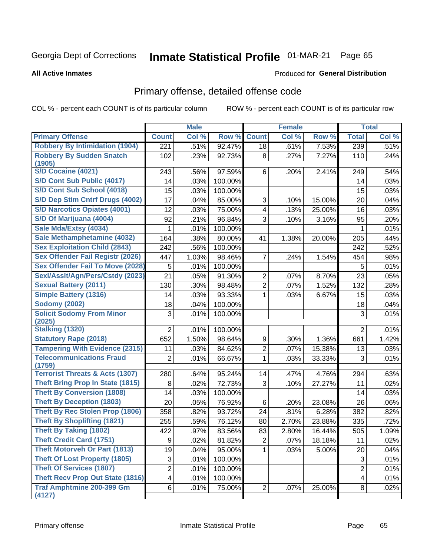# Inmate Statistical Profile 01-MAR-21 Page 65

### **All Active Inmates**

## **Produced for General Distribution**

## Primary offense, detailed offense code

COL % - percent each COUNT is of its particular column

|                                            |                  | <b>Male</b> |         |                         | <b>Female</b> |        |                         | <b>Total</b> |
|--------------------------------------------|------------------|-------------|---------|-------------------------|---------------|--------|-------------------------|--------------|
| <b>Primary Offense</b>                     | <b>Count</b>     | Col %       | Row %   | <b>Count</b>            | Col %         | Row %  | <b>Total</b>            | Col %        |
| <b>Robbery By Intimidation (1904)</b>      | $\overline{221}$ | .51%        | 92.47%  | 18                      | .61%          | 7.53%  | 239                     | .51%         |
| <b>Robbery By Sudden Snatch</b><br>(1905)  | 102              | .23%        | 92.73%  | 8                       | .27%          | 7.27%  | 110                     | .24%         |
| <b>S/D Cocaine (4021)</b>                  | 243              | .56%        | 97.59%  | 6                       | .20%          | 2.41%  | 249                     | .54%         |
| S/D Cont Sub Public (4017)                 | 14               | .03%        | 100.00% |                         |               |        | 14                      | .03%         |
| S/D Cont Sub School (4018)                 | 15               | .03%        | 100.00% |                         |               |        | 15                      | .03%         |
| S/D Dep Stim Cntrf Drugs (4002)            | 17               | .04%        | 85.00%  | 3                       | .10%          | 15.00% | 20                      | .04%         |
| <b>S/D Narcotics Opiates (4001)</b>        | 12               | .03%        | 75.00%  | $\overline{\mathbf{4}}$ | .13%          | 25.00% | 16                      | .03%         |
| S/D Of Marijuana (4004)                    | 92               | .21%        | 96.84%  | 3                       | .10%          | 3.16%  | 95                      | .20%         |
| Sale Mda/Extsy (4034)                      | 1                | .01%        | 100.00% |                         |               |        | 1                       | .01%         |
| Sale Methamphetamine (4032)                | 164              | .38%        | 80.00%  | 41                      | 1.38%         | 20.00% | 205                     | .44%         |
| <b>Sex Exploitation Child (2843)</b>       | 242              | .56%        | 100.00% |                         |               |        | 242                     | .52%         |
| <b>Sex Offender Fail Registr (2026)</b>    | 447              | 1.03%       | 98.46%  | $\overline{7}$          | .24%          | 1.54%  | 454                     | .98%         |
| <b>Sex Offender Fail To Move (2028)</b>    | 5                | .01%        | 100.00% |                         |               |        | 5                       | .01%         |
| Sexl/Asslt/Agn/Pers/Cstdy (2023)           | 21               | .05%        | 91.30%  | 2                       | .07%          | 8.70%  | 23                      | .05%         |
| <b>Sexual Battery (2011)</b>               | 130              | .30%        | 98.48%  | $\overline{2}$          | .07%          | 1.52%  | 132                     | .28%         |
| <b>Simple Battery (1316)</b>               | 14               | .03%        | 93.33%  | 1                       | .03%          | 6.67%  | 15                      | .03%         |
| <b>Sodomy (2002)</b>                       | 18               | .04%        | 100.00% |                         |               |        | 18                      | .04%         |
| <b>Solicit Sodomy From Minor</b><br>(2025) | 3                | .01%        | 100.00% |                         |               |        | 3                       | .01%         |
| <b>Stalking (1320)</b>                     | $\overline{2}$   | .01%        | 100.00% |                         |               |        | $\overline{2}$          | .01%         |
| <b>Statutory Rape (2018)</b>               | 652              | 1.50%       | 98.64%  | 9                       | .30%          | 1.36%  | 661                     | 1.42%        |
| <b>Tampering With Evidence (2315)</b>      | 11               | .03%        | 84.62%  | $\overline{2}$          | .07%          | 15.38% | 13                      | .03%         |
| <b>Telecommunications Fraud</b><br>(1759)  | 2                | .01%        | 66.67%  | $\mathbf{1}$            | .03%          | 33.33% | 3                       | .01%         |
| <b>Terrorist Threats &amp; Acts (1307)</b> | 280              | .64%        | 95.24%  | 14                      | .47%          | 4.76%  | 294                     | .63%         |
| <b>Theft Bring Prop In State (1815)</b>    | 8                | .02%        | 72.73%  | 3                       | .10%          | 27.27% | 11                      | .02%         |
| <b>Theft By Conversion (1808)</b>          | 14               | .03%        | 100.00% |                         |               |        | 14                      | .03%         |
| <b>Theft By Deception (1803)</b>           | 20               | .05%        | 76.92%  | 6                       | .20%          | 23.08% | 26                      | .06%         |
| <b>Theft By Rec Stolen Prop (1806)</b>     | 358              | .82%        | 93.72%  | 24                      | .81%          | 6.28%  | 382                     | .82%         |
| <b>Theft By Shoplifting (1821)</b>         | 255              | .59%        | 76.12%  | 80                      | 2.70%         | 23.88% | 335                     | .72%         |
| <b>Theft By Taking (1802)</b>              | 422              | .97%        | 83.56%  | 83                      | 2.80%         | 16.44% | 505                     | 1.09%        |
| <b>Theft Credit Card (1751)</b>            | 9                | .02%        | 81.82%  | $\mathbf{2}$            | .07%          | 18.18% | 11                      | .02%         |
| <b>Theft Motorveh Or Part (1813)</b>       | 19               | .04%        | 95.00%  | $\mathbf 1$             | .03%          | 5.00%  | 20                      | .04%         |
| <b>Theft Of Lost Property (1805)</b>       | 3                | .01%        | 100.00% |                         |               |        | $\sqrt{3}$              | .01%         |
| <b>Theft Of Services (1807)</b>            | $\overline{2}$   | .01%        | 100.00% |                         |               |        | $\overline{2}$          | .01%         |
| <b>Theft Recv Prop Out State (1816)</b>    | 4                | .01%        | 100.00% |                         |               |        | $\overline{\mathbf{4}}$ | .01%         |
| <b>Traf Amphtmine 200-399 Gm</b><br>(4127) | 6                | .01%        | 75.00%  | $\overline{2}$          | .07%          | 25.00% | 8                       | .02%         |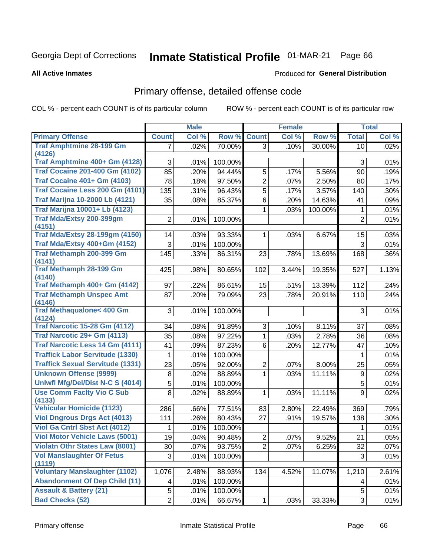# Inmate Statistical Profile 01-MAR-21 Page 66

**All Active Inmates** 

## Produced for General Distribution

# Primary offense, detailed offense code

COL % - percent each COUNT is of its particular column

|                                                 |                | <b>Male</b> |         |                         | <b>Female</b> |         |                  | <b>Total</b> |
|-------------------------------------------------|----------------|-------------|---------|-------------------------|---------------|---------|------------------|--------------|
| <b>Primary Offense</b>                          | <b>Count</b>   | Col %       | Row %   | <b>Count</b>            | Col %         | Row %   | <b>Total</b>     | Col %        |
| <b>Traf Amphtmine 28-199 Gm</b>                 | 7              | .02%        | 70.00%  | 3 <sup>1</sup>          | .10%          | 30.00%  | 10               | .02%         |
| (4126)<br>Traf Amphtmine 400+ Gm (4128)         |                |             |         |                         |               |         |                  |              |
| <b>Traf Cocaine 201-400 Gm (4102)</b>           | 3              | .01%        | 100.00% |                         |               |         | 3                | .01%         |
|                                                 | 85             | .20%        | 94.44%  | 5                       | .17%          | 5.56%   | 90               | .19%         |
| <b>Traf Cocaine 401+ Gm (4103)</b>              | 78             | .18%        | 97.50%  | $\overline{2}$          | .07%          | 2.50%   | 80               | .17%         |
| Traf Cocaine Less 200 Gm (4101)                 | 135            | .31%        | 96.43%  | 5                       | .17%          | 3.57%   | 140              | .30%         |
| <b>Traf Marijna 10-2000 Lb (4121)</b>           | 35             | .08%        | 85.37%  | 6                       | .20%          | 14.63%  | 41               | .09%         |
| <b>Traf Marijna 10001+ Lb (4123)</b>            |                |             |         | 1                       | .03%          | 100.00% | 1                | .01%         |
| Traf Mda/Extsy 200-399gm                        | $\overline{2}$ | .01%        | 100.00% |                         |               |         | $\overline{2}$   | .01%         |
| (4151)<br><b>Traf Mda/Extsy 28-199gm (4150)</b> | 14             | .03%        | 93.33%  | $\mathbf{1}$            | .03%          | 6.67%   | 15               | .03%         |
| Traf Mda/Extsy 400+Gm (4152)                    | 3              | .01%        | 100.00% |                         |               |         | 3                | .01%         |
| Traf Methamph 200-399 Gm                        | 145            | .33%        | 86.31%  | 23                      | .78%          | 13.69%  | 168              | .36%         |
| (4141)                                          |                |             |         |                         |               |         |                  |              |
| <b>Traf Methamph 28-199 Gm</b>                  | 425            | .98%        | 80.65%  | 102                     | 3.44%         | 19.35%  | 527              | 1.13%        |
| (4140)                                          |                |             |         |                         |               |         |                  |              |
| Traf Methamph 400+ Gm (4142)                    | 97             | .22%        | 86.61%  | 15                      | .51%          | 13.39%  | 112              | .24%         |
| <b>Traf Methamph Unspec Amt</b>                 | 87             | .20%        | 79.09%  | 23                      | .78%          | 20.91%  | 110              | .24%         |
| (4146)<br><b>Traf Methaqualone&lt; 400 Gm</b>   |                |             |         |                         |               |         |                  |              |
| (4124)                                          | 3              | .01%        | 100.00% |                         |               |         | 3                | .01%         |
| <b>Traf Narcotic 15-28 Gm (4112)</b>            | 34             | .08%        | 91.89%  | 3                       | .10%          | 8.11%   | 37               | .08%         |
| Traf Narcotic 29+ Gm (4113)                     | 35             | .08%        | 97.22%  | $\mathbf{1}$            | .03%          | 2.78%   | 36               | .08%         |
| <b>Traf Narcotic Less 14 Gm (4111)</b>          | 41             | .09%        | 87.23%  | 6                       | .20%          | 12.77%  | 47               | .10%         |
| <b>Traffick Labor Servitude (1330)</b>          | 1              | .01%        | 100.00% |                         |               |         | 1                | .01%         |
| <b>Traffick Sexual Servitude (1331)</b>         | 23             | .05%        | 92.00%  | $\overline{2}$          | .07%          | 8.00%   | 25               | .05%         |
| <b>Unknown Offense (9999)</b>                   | $\,8\,$        | .02%        | 88.89%  | 1                       | .03%          | 11.11%  | $\boldsymbol{9}$ | .02%         |
| <b>Uniwfl Mfg/Del/Dist N-C S (4014)</b>         | 5              | .01%        | 100.00% |                         |               |         | 5                | .01%         |
| <b>Use Comm Facity Vio C Sub</b>                | 8              | .02%        | 88.89%  | 1                       | .03%          | 11.11%  | 9                | .02%         |
| (4133)                                          |                |             |         |                         |               |         |                  |              |
| <b>Vehicular Homicide (1123)</b>                | 286            | .66%        | 77.51%  | 83                      | 2.80%         | 22.49%  | 369              | .79%         |
| <b>Viol Dngrous Drgs Act (4013)</b>             | 111            | .26%        | 80.43%  | 27                      | .91%          | 19.57%  | 138              | .30%         |
| Viol Ga Cntrl Sbst Act (4012)                   | 1              | .01%        | 100.00% |                         |               |         | 1                | .01%         |
| Viol Motor Vehicle Laws (5001)                  | 19             | .04%        | 90.48%  | $\overline{\mathbf{c}}$ | .07%          | 9.52%   | 21               | .05%         |
| <b>Violatn Othr States Law (8001)</b>           | 30             | .07%        | 93.75%  | $\overline{2}$          | .07%          | 6.25%   | 32               | .07%         |
| <b>Vol Manslaughter Of Fetus</b>                | 3              | .01%        | 100.00% |                         |               |         | 3                | .01%         |
| (1119)<br><b>Voluntary Manslaughter (1102)</b>  | 1,076          | 2.48%       | 88.93%  | 134                     | 4.52%         | 11.07%  | 1,210            | 2.61%        |
| <b>Abandonment Of Dep Child (11)</b>            | 4              | .01%        | 100.00% |                         |               |         | 4                | .01%         |
| <b>Assault &amp; Battery (21)</b>               | 5              | .01%        | 100.00% |                         |               |         | 5                | .01%         |
| <b>Bad Checks (52)</b>                          | $\overline{2}$ | .01%        | 66.67%  | $\mathbf{1}$            | .03%          | 33.33%  | 3                | .01%         |
|                                                 |                |             |         |                         |               |         |                  |              |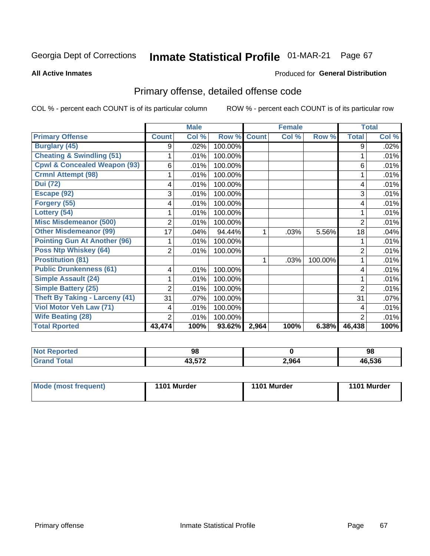# Inmate Statistical Profile 01-MAR-21 Page 67

**All Active Inmates** 

## **Produced for General Distribution**

# Primary offense, detailed offense code

COL % - percent each COUNT is of its particular column

|                                         |                | <b>Male</b> |         |              | <b>Female</b>             |         |                | <b>Total</b> |
|-----------------------------------------|----------------|-------------|---------|--------------|---------------------------|---------|----------------|--------------|
| <b>Primary Offense</b>                  | <b>Count</b>   | Col %       | Row %   | <b>Count</b> | $\overline{\text{Col}}$ % | Row %   | <b>Total</b>   | Col %        |
| <b>Burglary (45)</b>                    | 9              | .02%        | 100.00% |              |                           |         | 9              | .02%         |
| <b>Cheating &amp; Swindling (51)</b>    |                | .01%        | 100.00% |              |                           |         |                | .01%         |
| <b>Cpwl &amp; Concealed Weapon (93)</b> | 6              | .01%        | 100.00% |              |                           |         | 6              | .01%         |
| <b>Crmnl Attempt (98)</b>               |                | .01%        | 100.00% |              |                           |         |                | .01%         |
| <b>Dui</b> (72)                         | 4              | .01%        | 100.00% |              |                           |         | 4              | .01%         |
| Escape (92)                             | 3              | .01%        | 100.00% |              |                           |         | 3              | .01%         |
| Forgery (55)                            | 4              | .01%        | 100.00% |              |                           |         | 4              | .01%         |
| Lottery (54)                            |                | .01%        | 100.00% |              |                           |         |                | .01%         |
| <b>Misc Misdemeanor (500)</b>           | $\overline{c}$ | .01%        | 100.00% |              |                           |         | $\overline{2}$ | .01%         |
| <b>Other Misdemeanor (99)</b>           | 17             | .04%        | 94.44%  | 1            | .03%                      | 5.56%   | 18             | .04%         |
| <b>Pointing Gun At Another (96)</b>     |                | .01%        | 100.00% |              |                           |         |                | .01%         |
| <b>Poss Ntp Whiskey (64)</b>            | $\overline{2}$ | .01%        | 100.00% |              |                           |         | $\overline{2}$ | .01%         |
| <b>Prostitution (81)</b>                |                |             |         | 1            | .03%                      | 100.00% |                | .01%         |
| <b>Public Drunkenness (61)</b>          | 4              | .01%        | 100.00% |              |                           |         | 4              | .01%         |
| <b>Simple Assault (24)</b>              |                | .01%        | 100.00% |              |                           |         |                | .01%         |
| <b>Simple Battery (25)</b>              | 2              | .01%        | 100.00% |              |                           |         | $\overline{2}$ | .01%         |
| <b>Theft By Taking - Larceny (41)</b>   | 31             | .07%        | 100.00% |              |                           |         | 31             | .07%         |
| Viol Motor Veh Law (71)                 | 4              | .01%        | 100.00% |              |                           |         | 4              | .01%         |
| <b>Wife Beating (28)</b>                | $\overline{2}$ | .01%        | 100.00% |              |                           |         | $\overline{2}$ | .01%         |
| <b>Total Rported</b>                    | 43,474         | 100%        | 93.62%  | 2,964        | 100%                      | 6.38%   | 46,438         | 100%         |

| NO1<br>тео | 98         |       | 98     |
|------------|------------|-------|--------|
|            | $\sim$ $-$ | 2,964 | 46,536 |

| Mode (most frequent) | 1101 Murder | 1101 Murder | 1101 Murder |
|----------------------|-------------|-------------|-------------|
|                      |             |             |             |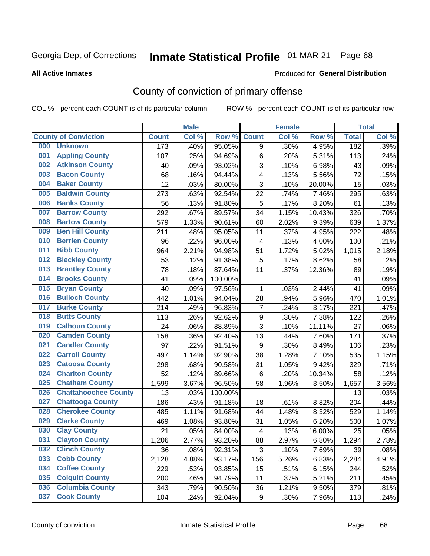# Inmate Statistical Profile 01-MAR-21 Page 68

Produced for General Distribution

### **All Active Inmates**

# County of conviction of primary offense

COL % - percent each COUNT is of its particular column

|     |                             |              | <b>Male</b> |         |                         | <b>Female</b> |        |              | <b>Total</b> |
|-----|-----------------------------|--------------|-------------|---------|-------------------------|---------------|--------|--------------|--------------|
|     | <b>County of Conviction</b> | <b>Count</b> | Col %       | Row %   | <b>Count</b>            | Col %         | Row %  | <b>Total</b> | Col %        |
| 000 | <b>Unknown</b>              | 173          | .40%        | 95.05%  | 9                       | .30%          | 4.95%  | 182          | .39%         |
| 001 | <b>Appling County</b>       | 107          | .25%        | 94.69%  | 6                       | .20%          | 5.31%  | 113          | .24%         |
| 002 | <b>Atkinson County</b>      | 40           | .09%        | 93.02%  | $\sqrt{3}$              | .10%          | 6.98%  | 43           | .09%         |
| 003 | <b>Bacon County</b>         | 68           | .16%        | 94.44%  | 4                       | .13%          | 5.56%  | 72           | .15%         |
| 004 | <b>Baker County</b>         | 12           | .03%        | 80.00%  | 3                       | .10%          | 20.00% | 15           | .03%         |
| 005 | <b>Baldwin County</b>       | 273          | .63%        | 92.54%  | 22                      | .74%          | 7.46%  | 295          | .63%         |
| 006 | <b>Banks County</b>         | 56           | .13%        | 91.80%  | $\mathbf 5$             | .17%          | 8.20%  | 61           | .13%         |
| 007 | <b>Barrow County</b>        | 292          | .67%        | 89.57%  | 34                      | 1.15%         | 10.43% | 326          | .70%         |
| 008 | <b>Bartow County</b>        | 579          | 1.33%       | 90.61%  | 60                      | 2.02%         | 9.39%  | 639          | 1.37%        |
| 009 | <b>Ben Hill County</b>      | 211          | .48%        | 95.05%  | 11                      | .37%          | 4.95%  | 222          | .48%         |
| 010 | <b>Berrien County</b>       | 96           | .22%        | 96.00%  | $\overline{\mathbf{4}}$ | .13%          | 4.00%  | 100          | .21%         |
| 011 | <b>Bibb County</b>          | 964          | 2.21%       | 94.98%  | 51                      | 1.72%         | 5.02%  | 1,015        | 2.18%        |
| 012 | <b>Bleckley County</b>      | 53           | .12%        | 91.38%  | $\mathbf 5$             | .17%          | 8.62%  | 58           | .12%         |
| 013 | <b>Brantley County</b>      | 78           | .18%        | 87.64%  | 11                      | .37%          | 12.36% | 89           | .19%         |
| 014 | <b>Brooks County</b>        | 41           | .09%        | 100.00% |                         |               |        | 41           | .09%         |
| 015 | <b>Bryan County</b>         | 40           | .09%        | 97.56%  | 1                       | .03%          | 2.44%  | 41           | .09%         |
| 016 | <b>Bulloch County</b>       | 442          | 1.01%       | 94.04%  | 28                      | .94%          | 5.96%  | 470          | 1.01%        |
| 017 | <b>Burke County</b>         | 214          | .49%        | 96.83%  | $\overline{7}$          | .24%          | 3.17%  | 221          | .47%         |
| 018 | <b>Butts County</b>         | 113          | .26%        | 92.62%  | $\boldsymbol{9}$        | .30%          | 7.38%  | 122          | .26%         |
| 019 | <b>Calhoun County</b>       | 24           | .06%        | 88.89%  | 3                       | .10%          | 11.11% | 27           | .06%         |
| 020 | <b>Camden County</b>        | 158          | .36%        | 92.40%  | 13                      | .44%          | 7.60%  | 171          | .37%         |
| 021 | <b>Candler County</b>       | 97           | .22%        | 91.51%  | 9                       | .30%          | 8.49%  | 106          | .23%         |
| 022 | <b>Carroll County</b>       | 497          | 1.14%       | 92.90%  | 38                      | 1.28%         | 7.10%  | 535          | 1.15%        |
| 023 | <b>Catoosa County</b>       | 298          | .68%        | 90.58%  | 31                      | 1.05%         | 9.42%  | 329          | .71%         |
| 024 | <b>Charlton County</b>      | 52           | .12%        | 89.66%  | 6                       | .20%          | 10.34% | 58           | .12%         |
| 025 | <b>Chatham County</b>       | 1,599        | 3.67%       | 96.50%  | 58                      | 1.96%         | 3.50%  | 1,657        | 3.56%        |
| 026 | <b>Chattahoochee County</b> | 13           | .03%        | 100.00% |                         |               |        | 13           | .03%         |
| 027 | <b>Chattooga County</b>     | 186          | .43%        | 91.18%  | 18                      | .61%          | 8.82%  | 204          | .44%         |
| 028 | <b>Cherokee County</b>      | 485          | 1.11%       | 91.68%  | 44                      | 1.48%         | 8.32%  | 529          | 1.14%        |
| 029 | <b>Clarke County</b>        | 469          | 1.08%       | 93.80%  | 31                      | 1.05%         | 6.20%  | 500          | 1.07%        |
| 030 | <b>Clay County</b>          | 21           | .05%        | 84.00%  | $\overline{\mathbf{4}}$ | .13%          | 16.00% | 25           | .05%         |
| 031 | <b>Clayton County</b>       | 1,206        | 2.77%       | 93.20%  | 88                      | 2.97%         | 6.80%  | 1,294        | 2.78%        |
| 032 | <b>Clinch County</b>        | 36           | .08%        | 92.31%  | 3                       | .10%          | 7.69%  | 39           | .08%         |
| 033 | <b>Cobb County</b>          | 2,128        | 4.88%       | 93.17%  | 156                     | 5.26%         | 6.83%  | 2,284        | 4.91%        |
| 034 | <b>Coffee County</b>        | 229          | .53%        | 93.85%  | 15                      | .51%          | 6.15%  | 244          | .52%         |
| 035 | <b>Colquitt County</b>      | 200          | .46%        | 94.79%  | 11                      | .37%          | 5.21%  | 211          | .45%         |
| 036 | <b>Columbia County</b>      | 343          | .79%        | 90.50%  | 36                      | 1.21%         | 9.50%  | 379          | .81%         |
| 037 | <b>Cook County</b>          | 104          | .24%        | 92.04%  | 9                       | .30%          | 7.96%  | 113          | .24%         |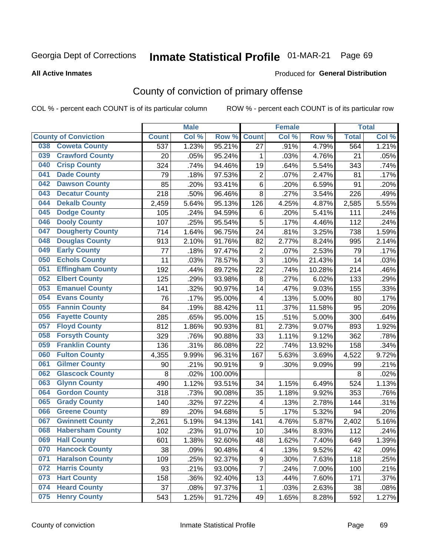# Inmate Statistical Profile 01-MAR-21 Page 69

**Produced for General Distribution** 

### **All Active Inmates**

# County of conviction of primary offense

COL % - percent each COUNT is of its particular column

|                                |              | <b>Male</b> |         |                         | <b>Female</b> |        |              | <b>Total</b> |
|--------------------------------|--------------|-------------|---------|-------------------------|---------------|--------|--------------|--------------|
| <b>County of Conviction</b>    | <b>Count</b> | Col %       | Row %   | <b>Count</b>            | Col %         | Row %  | <b>Total</b> | Col %        |
| <b>Coweta County</b><br>038    | 537          | 1.23%       | 95.21%  | 27                      | .91%          | 4.79%  | 564          | 1.21%        |
| <b>Crawford County</b><br>039  | 20           | .05%        | 95.24%  | 1                       | .03%          | 4.76%  | 21           | .05%         |
| <b>Crisp County</b><br>040     | 324          | .74%        | 94.46%  | 19                      | .64%          | 5.54%  | 343          | .74%         |
| <b>Dade County</b><br>041      | 79           | .18%        | 97.53%  | $\overline{2}$          | .07%          | 2.47%  | 81           | .17%         |
| <b>Dawson County</b><br>042    | 85           | .20%        | 93.41%  | 6                       | .20%          | 6.59%  | 91           | .20%         |
| 043<br><b>Decatur County</b>   | 218          | .50%        | 96.46%  | 8                       | .27%          | 3.54%  | 226          | .49%         |
| <b>Dekalb County</b><br>044    | 2,459        | 5.64%       | 95.13%  | 126                     | 4.25%         | 4.87%  | 2,585        | 5.55%        |
| <b>Dodge County</b><br>045     | 105          | .24%        | 94.59%  | 6                       | .20%          | 5.41%  | 111          | .24%         |
| <b>Dooly County</b><br>046     | 107          | .25%        | 95.54%  | 5                       | .17%          | 4.46%  | 112          | .24%         |
| 047<br><b>Dougherty County</b> | 714          | 1.64%       | 96.75%  | 24                      | .81%          | 3.25%  | 738          | 1.59%        |
| <b>Douglas County</b><br>048   | 913          | 2.10%       | 91.76%  | 82                      | 2.77%         | 8.24%  | 995          | 2.14%        |
| <b>Early County</b><br>049     | 77           | .18%        | 97.47%  | $\mathbf 2$             | .07%          | 2.53%  | 79           | .17%         |
| <b>Echols County</b><br>050    | 11           | .03%        | 78.57%  | $\overline{3}$          | .10%          | 21.43% | 14           | .03%         |
| 051<br><b>Effingham County</b> | 192          | .44%        | 89.72%  | 22                      | .74%          | 10.28% | 214          | .46%         |
| <b>Elbert County</b><br>052    | 125          | .29%        | 93.98%  | 8                       | .27%          | 6.02%  | 133          | .29%         |
| <b>Emanuel County</b><br>053   | 141          | .32%        | 90.97%  | 14                      | .47%          | 9.03%  | 155          | .33%         |
| <b>Evans County</b><br>054     | 76           | .17%        | 95.00%  | $\overline{\mathbf{4}}$ | .13%          | 5.00%  | 80           | .17%         |
| <b>Fannin County</b><br>055    | 84           | .19%        | 88.42%  | 11                      | .37%          | 11.58% | 95           | .20%         |
| <b>Fayette County</b><br>056   | 285          | .65%        | 95.00%  | 15                      | .51%          | 5.00%  | 300          | .64%         |
| <b>Floyd County</b><br>057     | 812          | 1.86%       | 90.93%  | 81                      | 2.73%         | 9.07%  | 893          | 1.92%        |
| <b>Forsyth County</b><br>058   | 329          | .76%        | 90.88%  | 33                      | 1.11%         | 9.12%  | 362          | .78%         |
| <b>Franklin County</b><br>059  | 136          | .31%        | 86.08%  | 22                      | .74%          | 13.92% | 158          | .34%         |
| <b>Fulton County</b><br>060    | 4,355        | 9.99%       | 96.31%  | 167                     | 5.63%         | 3.69%  | 4,522        | 9.72%        |
| <b>Gilmer County</b><br>061    | 90           | .21%        | 90.91%  | 9                       | .30%          | 9.09%  | 99           | .21%         |
| <b>Glascock County</b><br>062  | 8            | .02%        | 100.00% |                         |               |        | 8            | .02%         |
| 063<br><b>Glynn County</b>     | 490          | 1.12%       | 93.51%  | 34                      | 1.15%         | 6.49%  | 524          | 1.13%        |
| <b>Gordon County</b><br>064    | 318          | .73%        | 90.08%  | 35                      | 1.18%         | 9.92%  | 353          | .76%         |
| <b>Grady County</b><br>065     | 140          | .32%        | 97.22%  | $\overline{\mathbf{4}}$ | .13%          | 2.78%  | 144          | .31%         |
| <b>Greene County</b><br>066    | 89           | .20%        | 94.68%  | 5                       | .17%          | 5.32%  | 94           | .20%         |
| <b>Gwinnett County</b><br>067  | 2,261        | 5.19%       | 94.13%  | 141                     | 4.76%         | 5.87%  | 2,402        | 5.16%        |
| <b>Habersham County</b><br>068 | 102          | .23%        | 91.07%  | 10                      | .34%          | 8.93%  | 112          | .24%         |
| 069<br><b>Hall County</b>      | 601          | 1.38%       | 92.60%  | 48                      | 1.62%         | 7.40%  | 649          | 1.39%        |
| <b>Hancock County</b><br>070   | 38           | .09%        | 90.48%  | 4                       | .13%          | 9.52%  | 42           | .09%         |
| <b>Haralson County</b><br>071  | 109          | .25%        | 92.37%  | 9                       | .30%          | 7.63%  | 118          | .25%         |
| 072<br><b>Harris County</b>    | 93           | .21%        | 93.00%  | $\overline{7}$          | .24%          | 7.00%  | 100          | .21%         |
| <b>Hart County</b><br>073      | 158          | .36%        | 92.40%  | 13                      | .44%          | 7.60%  | 171          | .37%         |
| <b>Heard County</b><br>074     | 37           | .08%        | 97.37%  | $\mathbf 1$             | .03%          | 2.63%  | 38           | .08%         |
| <b>Henry County</b><br>075     | 543          | 1.25%       | 91.72%  | 49                      | 1.65%         | 8.28%  | 592          | 1.27%        |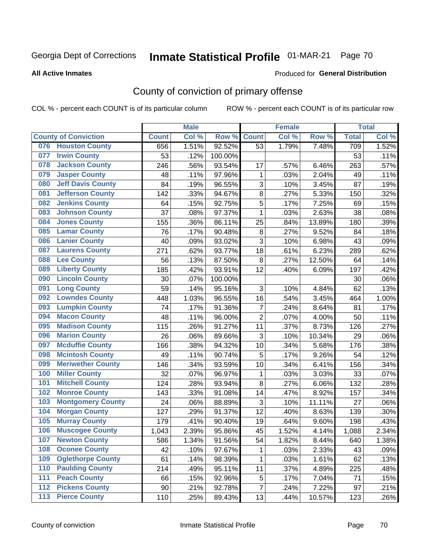# Inmate Statistical Profile 01-MAR-21 Page 70

### **All Active Inmates**

## **Produced for General Distribution**

# County of conviction of primary offense

COL % - percent each COUNT is of its particular column

|       |                             |              | <b>Male</b> |           |                | <b>Female</b> |        |              | <b>Total</b> |
|-------|-----------------------------|--------------|-------------|-----------|----------------|---------------|--------|--------------|--------------|
|       | <b>County of Conviction</b> | <b>Count</b> | Col %       | Row %     | <b>Count</b>   | Col %         | Row %  | <b>Total</b> | Col %        |
| 076   | <b>Houston County</b>       | 656          | 1.51%       | 92.52%    | 53             | 1.79%         | 7.48%  | 709          | 1.52%        |
| 077   | <b>Irwin County</b>         | 53           | .12%        | 100.00%   |                |               |        | 53           | .11%         |
| 078   | <b>Jackson County</b>       | 246          | .56%        | 93.54%    | 17             | .57%          | 6.46%  | 263          | .57%         |
| 079   | <b>Jasper County</b>        | 48           | .11%        | 97.96%    | 1              | .03%          | 2.04%  | 49           | .11%         |
| 080   | <b>Jeff Davis County</b>    | 84           | .19%        | 96.55%    | 3              | .10%          | 3.45%  | 87           | .19%         |
| 081   | <b>Jefferson County</b>     | 142          | .33%        | 94.67%    | 8              | .27%          | 5.33%  | 150          | .32%         |
| 082   | <b>Jenkins County</b>       | 64           | .15%        | 92.75%    | 5              | .17%          | 7.25%  | 69           | .15%         |
| 083   | <b>Johnson County</b>       | 37           | .08%        | 97.37%    | 1              | .03%          | 2.63%  | 38           | .08%         |
| 084   | <b>Jones County</b>         | 155          | .36%        | 86.11%    | 25             | .84%          | 13.89% | 180          | .39%         |
| 085   | <b>Lamar County</b>         | 76           | .17%        | 90.48%    | 8              | .27%          | 9.52%  | 84           | .18%         |
| 086   | <b>Lanier County</b>        | 40           | .09%        | 93.02%    | $\overline{3}$ | .10%          | 6.98%  | 43           | .09%         |
| 087   | <b>Laurens County</b>       | 271          | .62%        | 93.77%    | 18             | .61%          | 6.23%  | 289          | .62%         |
| 088   | <b>Lee County</b>           | 56           | .13%        | 87.50%    | $\,8\,$        | .27%          | 12.50% | 64           | .14%         |
| 089   | <b>Liberty County</b>       | 185          | .42%        | 93.91%    | 12             | .40%          | 6.09%  | 197          | .42%         |
| 090   | <b>Lincoln County</b>       | 30           | .07%        | 100.00%   |                |               |        | 30           | .06%         |
| 091   | <b>Long County</b>          | 59           | .14%        | 95.16%    | 3              | .10%          | 4.84%  | 62           | .13%         |
| 092   | <b>Lowndes County</b>       | 448          | 1.03%       | 96.55%    | 16             | .54%          | 3.45%  | 464          | 1.00%        |
| 093   | <b>Lumpkin County</b>       | 74           | .17%        | 91.36%    | $\overline{7}$ | .24%          | 8.64%  | 81           | .17%         |
| 094   | <b>Macon County</b>         | 48           | .11%        | 96.00%    | $\overline{2}$ | .07%          | 4.00%  | 50           | .11%         |
| 095   | <b>Madison County</b>       | 115          | .26%        | 91.27%    | 11             | .37%          | 8.73%  | 126          | .27%         |
| 096   | <b>Marion County</b>        | 26           | .06%        | 89.66%    | 3              | .10%          | 10.34% | 29           | .06%         |
| 097   | <b>Mcduffie County</b>      | 166          | .38%        | 94.32%    | 10             | .34%          | 5.68%  | 176          | .38%         |
| 098   | <b>Mcintosh County</b>      | 49           | .11%        | 90.74%    | 5              | .17%          | 9.26%  | 54           | .12%         |
| 099   | <b>Meriwether County</b>    | 146          | .34%        | 93.59%    | 10             | .34%          | 6.41%  | 156          | .34%         |
| 100   | <b>Miller County</b>        | 32           | .07%        | 96.97%    | 1              | .03%          | 3.03%  | 33           | .07%         |
| 101   | <b>Mitchell County</b>      | 124          | .28%        | 93.94%    | $\,8\,$        | .27%          | 6.06%  | 132          | .28%         |
| 102   | <b>Monroe County</b>        | 143          | .33%        | 91.08%    | 14             | .47%          | 8.92%  | 157          | .34%         |
| 103   | <b>Montgomery County</b>    | 24           | .06%        | 88.89%    | 3              | .10%          | 11.11% | 27           | .06%         |
| 104   | <b>Morgan County</b>        | 127          | .29%        | 91.37%    | 12             | .40%          | 8.63%  | 139          | .30%         |
| 105   | <b>Murray County</b>        | 179          | .41%        | $90.40\%$ | 19             | .64%          | 9.60%  | 198          | .43%         |
| 106   | <b>Muscogee County</b>      | 1,043        | 2.39%       | 95.86%    | 45             | 1.52%         | 4.14%  | 1,088        | 2.34%        |
| 107   | <b>Newton County</b>        | 586          | 1.34%       | 91.56%    | 54             | 1.82%         | 8.44%  | 640          | 1.38%        |
| 108   | <b>Oconee County</b>        | 42           | .10%        | 97.67%    | 1              | .03%          | 2.33%  | 43           | .09%         |
| 109   | <b>Oglethorpe County</b>    | 61           | .14%        | 98.39%    | 1              | .03%          | 1.61%  | 62           | .13%         |
| 110   | <b>Paulding County</b>      | 214          | .49%        | 95.11%    | 11             | .37%          | 4.89%  | 225          | .48%         |
| 111   | <b>Peach County</b>         | 66           | .15%        | 92.96%    | 5              | .17%          | 7.04%  | 71           | .15%         |
| 112   | <b>Pickens County</b>       | 90           | .21%        | 92.78%    | $\overline{7}$ | .24%          | 7.22%  | 97           | .21%         |
| $113$ | <b>Pierce County</b>        | 110          | .25%        | 89.43%    | 13             | .44%          | 10.57% | 123          | .26%         |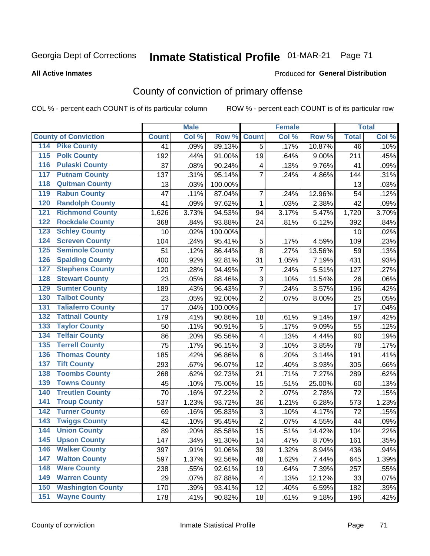**All Active Inmates** 

#### **Inmate Statistical Profile 01-MAR-21** Page 71

Produced for General Distribution

## County of conviction of primary offense

COL % - percent each COUNT is of its particular column

|                                          |              | <b>Male</b> |         |                         | <b>Female</b> |        |              | <b>Total</b> |
|------------------------------------------|--------------|-------------|---------|-------------------------|---------------|--------|--------------|--------------|
| <b>County of Conviction</b>              | <b>Count</b> | Col %       | Row %   | <b>Count</b>            | Col %         | Row %  | <b>Total</b> | Col %        |
| <b>Pike County</b><br>114                | 41           | .09%        | 89.13%  | 5                       | .17%          | 10.87% | 46           | .10%         |
| <b>Polk County</b><br>$115$              | 192          | .44%        | 91.00%  | 19                      | .64%          | 9.00%  | 211          | .45%         |
| <b>Pulaski County</b><br>116             | 37           | .08%        | 90.24%  | 4                       | .13%          | 9.76%  | 41           | .09%         |
| <b>Putnam County</b><br>117              | 137          | .31%        | 95.14%  | $\overline{7}$          | .24%          | 4.86%  | 144          | .31%         |
| <b>Quitman County</b><br>118             | 13           | .03%        | 100.00% |                         |               |        | 13           | .03%         |
| <b>Rabun County</b><br>119               | 47           | .11%        | 87.04%  | $\overline{7}$          | .24%          | 12.96% | 54           | .12%         |
| <b>Randolph County</b><br>120            | 41           | .09%        | 97.62%  | 1                       | .03%          | 2.38%  | 42           | .09%         |
| <b>Richmond County</b><br>121            | 1,626        | 3.73%       | 94.53%  | 94                      | 3.17%         | 5.47%  | 1,720        | 3.70%        |
| <b>Rockdale County</b><br>122            | 368          | .84%        | 93.88%  | 24                      | .81%          | 6.12%  | 392          | .84%         |
| <b>Schley County</b><br>123              | 10           | .02%        | 100.00% |                         |               |        | 10           | .02%         |
| <b>Screven County</b><br>124             | 104          | .24%        | 95.41%  | 5                       | .17%          | 4.59%  | 109          | .23%         |
| <b>Seminole County</b><br>125            | 51           | .12%        | 86.44%  | 8                       | .27%          | 13.56% | 59           | .13%         |
| <b>Spalding County</b><br>126            | 400          | .92%        | 92.81%  | 31                      | 1.05%         | 7.19%  | 431          | .93%         |
| <b>Stephens County</b><br>127            | 120          | .28%        | 94.49%  | $\overline{7}$          | .24%          | 5.51%  | 127          | .27%         |
| <b>Stewart County</b><br>128             | 23           | .05%        | 88.46%  | 3                       | .10%          | 11.54% | 26           | .06%         |
| <b>Sumter County</b><br>129              | 189          | .43%        | 96.43%  | $\overline{7}$          | .24%          | 3.57%  | 196          | .42%         |
| <b>Talbot County</b><br>130              | 23           | .05%        | 92.00%  | $\overline{2}$          | .07%          | 8.00%  | 25           | .05%         |
| <b>Taliaferro County</b><br>131          | 17           | .04%        | 100.00% |                         |               |        | 17           | .04%         |
| <b>Tattnall County</b><br>132            | 179          | .41%        | 90.86%  | 18                      | .61%          | 9.14%  | 197          | .42%         |
| <b>Taylor County</b><br>133              | 50           | .11%        | 90.91%  | 5                       | .17%          | 9.09%  | 55           | .12%         |
| <b>Telfair County</b><br>134             | 86           | .20%        | 95.56%  | 4                       | .13%          | 4.44%  | 90           | .19%         |
| <b>Terrell County</b><br>135             | 75           | .17%        | 96.15%  | 3                       | .10%          | 3.85%  | 78           | .17%         |
| <b>Thomas County</b><br>136              | 185          | .42%        | 96.86%  | 6                       | .20%          | 3.14%  | 191          | .41%         |
| <b>Tift County</b><br>137                | 293          | .67%        | 96.07%  | 12                      | .40%          | 3.93%  | 305          | .66%         |
| <b>Toombs County</b><br>138              | 268          | .62%        | 92.73%  | 21                      | .71%          | 7.27%  | 289          | .62%         |
| <b>Towns County</b><br>139               | 45           | .10%        | 75.00%  | 15                      | .51%          | 25.00% | 60           | .13%         |
| <b>Treutlen County</b><br>140            | 70           | .16%        | 97.22%  | $\overline{2}$          | .07%          | 2.78%  | 72           | .15%         |
| 141<br><b>Troup County</b>               | 537          | 1.23%       | 93.72%  | 36                      | 1.21%         | 6.28%  | 573          | 1.23%        |
| <b>Turner County</b><br>$\overline{142}$ | 69           | .16%        | 95.83%  | 3                       | .10%          | 4.17%  | 72           | .15%         |
| <b>Twiggs County</b><br>143              | 42           | .10%        | 95.45%  | $\overline{2}$          | .07%          | 4.55%  | 44           | .09%         |
| <b>Union County</b><br>144               | 89           | .20%        | 85.58%  | 15                      | .51%          | 14.42% | 104          | .22%         |
| 145<br><b>Upson County</b>               | 147          | .34%        | 91.30%  | 14                      | .47%          | 8.70%  | 161          | .35%         |
| <b>Walker County</b><br>146              | 397          | .91%        | 91.06%  | 39                      | 1.32%         | 8.94%  | 436          | .94%         |
| <b>Walton County</b><br>147              | 597          | 1.37%       | 92.56%  | 48                      | 1.62%         | 7.44%  | 645          | 1.39%        |
| <b>Ware County</b><br>148                | 238          | .55%        | 92.61%  | 19                      | .64%          | 7.39%  | 257          | .55%         |
| <b>Warren County</b><br>149              | 29           | .07%        | 87.88%  | $\overline{\mathbf{4}}$ | .13%          | 12.12% | 33           | .07%         |
| <b>Washington County</b><br>150          | 170          | .39%        | 93.41%  | 12                      | .40%          | 6.59%  | 182          | .39%         |
| <b>Wayne County</b><br>151               | 178          | .41%        | 90.82%  | 18                      | .61%          | 9.18%  | 196          | .42%         |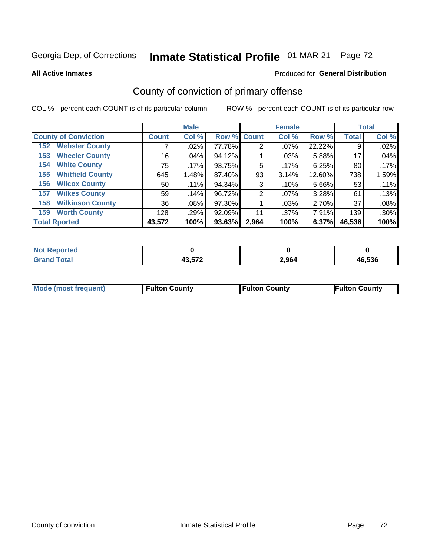# Inmate Statistical Profile 01-MAR-21 Page 72

**All Active Inmates** 

## **Produced for General Distribution**

# County of conviction of primary offense

COL % - percent each COUNT is of its particular column

|                                |              | <b>Male</b> |             |       | <b>Female</b> |        |              | <b>Total</b> |
|--------------------------------|--------------|-------------|-------------|-------|---------------|--------|--------------|--------------|
| <b>County of Conviction</b>    | <b>Count</b> | Col %       | Row % Count |       | Col %         | Row %  | <b>Total</b> | Col %        |
| <b>Webster County</b><br>152   |              | $.02\%$     | 77.78%      | 2     | $.07\%$       | 22.22% | 9            | .02%         |
| <b>Wheeler County</b><br>153   | 16           | .04%        | 94.12%      |       | .03%          | 5.88%  | 17           | .04%         |
| <b>White County</b><br>154     | 75           | $.17\%$     | 93.75%      | 5     | $.17\%$       | 6.25%  | 80           | $.17\%$      |
| <b>Whitfield County</b><br>155 | 645          | 1.48%       | 87.40%      | 93    | 3.14%         | 12.60% | 738          | 1.59%        |
| <b>Wilcox County</b><br>156    | 50           | .11%        | 94.34%      | 3     | .10%          | 5.66%  | 53           | .11%         |
| <b>Wilkes County</b><br>157    | 59           | .14%        | 96.72%      | 2     | $.07\%$       | 3.28%  | 61           | .13%         |
| <b>Wilkinson County</b><br>158 | 36           | $.08\%$     | 97.30%      |       | .03%          | 2.70%  | 37           | .08%         |
| <b>Worth County</b><br>159     | 128          | .29%        | 92.09%      | 11    | .37%          | 7.91%  | 139          | .30%         |
| <b>Total Rported</b>           | 43,572       | 100%        | 93.63%      | 2,964 | 100%          | 6.37%  | 46,536       | 100%         |

| <b>Not Reported</b> |                           |       |        |
|---------------------|---------------------------|-------|--------|
| <b>Total</b>        | 12 ドフつ<br>40.J <i>i</i> 4 | 2,964 | 46,536 |

| <b>Mode (most frequent)</b> | <b>Fulton County</b> | <b>Fulton County</b> | <b>Fulton County</b> |
|-----------------------------|----------------------|----------------------|----------------------|
|                             |                      |                      |                      |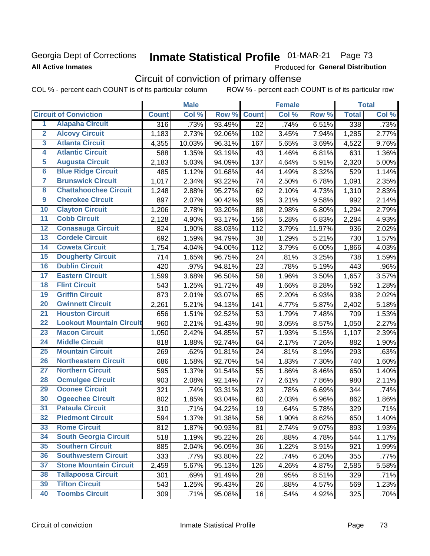## Georgia Dept of Corrections **All Active Inmates**

# Inmate Statistical Profile 01-MAR-21 Page 73

Produced for General Distribution

# Circuit of conviction of primary offense

COL % - percent each COUNT is of its particular column ROW % - percent each COUNT is of its particular row

|                         |                                 | <b>Male</b>      |        |        | <b>Female</b>   |       |        | <b>Total</b> |       |
|-------------------------|---------------------------------|------------------|--------|--------|-----------------|-------|--------|--------------|-------|
|                         | <b>Circuit of Conviction</b>    | <b>Count</b>     | Col %  | Row %  | <b>Count</b>    | Col % | Row %  | <b>Total</b> | Col % |
| 1                       | <b>Alapaha Circuit</b>          | $\overline{316}$ | .73%   | 93.49% | $\overline{22}$ | .74%  | 6.51%  | 338          | .73%  |
| $\overline{2}$          | <b>Alcovy Circuit</b>           | 1,183            | 2.73%  | 92.06% | 102             | 3.45% | 7.94%  | 1,285        | 2.77% |
| $\overline{\mathbf{3}}$ | <b>Atlanta Circuit</b>          | 4,355            | 10.03% | 96.31% | 167             | 5.65% | 3.69%  | 4,522        | 9.76% |
| 4                       | <b>Atlantic Circuit</b>         | 588              | 1.35%  | 93.19% | 43              | 1.46% | 6.81%  | 631          | 1.36% |
| $\overline{5}$          | <b>Augusta Circuit</b>          | 2,183            | 5.03%  | 94.09% | 137             | 4.64% | 5.91%  | 2,320        | 5.00% |
| $\overline{6}$          | <b>Blue Ridge Circuit</b>       | 485              | 1.12%  | 91.68% | 44              | 1.49% | 8.32%  | 529          | 1.14% |
| $\overline{\mathbf{7}}$ | <b>Brunswick Circuit</b>        | 1,017            | 2.34%  | 93.22% | 74              | 2.50% | 6.78%  | 1,091        | 2.35% |
| 8                       | <b>Chattahoochee Circuit</b>    | 1,248            | 2.88%  | 95.27% | 62              | 2.10% | 4.73%  | 1,310        | 2.83% |
| $\overline{9}$          | <b>Cherokee Circuit</b>         | 897              | 2.07%  | 90.42% | 95              | 3.21% | 9.58%  | 992          | 2.14% |
| 10                      | <b>Clayton Circuit</b>          | 1,206            | 2.78%  | 93.20% | 88              | 2.98% | 6.80%  | 1,294        | 2.79% |
| $\overline{11}$         | <b>Cobb Circuit</b>             | 2,128            | 4.90%  | 93.17% | 156             | 5.28% | 6.83%  | 2,284        | 4.93% |
| $\overline{12}$         | <b>Conasauga Circuit</b>        | 824              | 1.90%  | 88.03% | 112             | 3.79% | 11.97% | 936          | 2.02% |
| 13                      | <b>Cordele Circuit</b>          | 692              | 1.59%  | 94.79% | 38              | 1.29% | 5.21%  | 730          | 1.57% |
| 14                      | <b>Coweta Circuit</b>           | 1,754            | 4.04%  | 94.00% | 112             | 3.79% | 6.00%  | 1,866        | 4.03% |
| 15                      | <b>Dougherty Circuit</b>        | 714              | 1.65%  | 96.75% | 24              | .81%  | 3.25%  | 738          | 1.59% |
| 16                      | <b>Dublin Circuit</b>           | 420              | .97%   | 94.81% | 23              | .78%  | 5.19%  | 443          | .96%  |
| 17                      | <b>Eastern Circuit</b>          | 1,599            | 3.68%  | 96.50% | 58              | 1.96% | 3.50%  | 1,657        | 3.57% |
| 18                      | <b>Flint Circuit</b>            | 543              | 1.25%  | 91.72% | 49              | 1.66% | 8.28%  | 592          | 1.28% |
| 19                      | <b>Griffin Circuit</b>          | 873              | 2.01%  | 93.07% | 65              | 2.20% | 6.93%  | 938          | 2.02% |
| $\overline{20}$         | <b>Gwinnett Circuit</b>         | 2,261            | 5.21%  | 94.13% | 141             | 4.77% | 5.87%  | 2,402        | 5.18% |
| $\overline{21}$         | <b>Houston Circuit</b>          | 656              | 1.51%  | 92.52% | 53              | 1.79% | 7.48%  | 709          | 1.53% |
| $\overline{22}$         | <b>Lookout Mountain Circuit</b> | 960              | 2.21%  | 91.43% | 90              | 3.05% | 8.57%  | 1,050        | 2.27% |
| 23                      | <b>Macon Circuit</b>            | 1,050            | 2.42%  | 94.85% | 57              | 1.93% | 5.15%  | 1,107        | 2.39% |
| $\overline{24}$         | <b>Middle Circuit</b>           | 818              | 1.88%  | 92.74% | 64              | 2.17% | 7.26%  | 882          | 1.90% |
| 25                      | <b>Mountain Circuit</b>         | 269              | .62%   | 91.81% | 24              | .81%  | 8.19%  | 293          | .63%  |
| 26                      | <b>Northeastern Circuit</b>     | 686              | 1.58%  | 92.70% | 54              | 1.83% | 7.30%  | 740          | 1.60% |
| $\overline{27}$         | <b>Northern Circuit</b>         | 595              | 1.37%  | 91.54% | 55              | 1.86% | 8.46%  | 650          | 1.40% |
| 28                      | <b>Ocmulgee Circuit</b>         | 903              | 2.08%  | 92.14% | 77              | 2.61% | 7.86%  | 980          | 2.11% |
| 29                      | <b>Oconee Circuit</b>           | 321              | .74%   | 93.31% | 23              | .78%  | 6.69%  | 344          | .74%  |
| 30                      | <b>Ogeechee Circuit</b>         | 802              | 1.85%  | 93.04% | 60              | 2.03% | 6.96%  | 862          | 1.86% |
| $\overline{31}$         | <b>Pataula Circuit</b>          | 310              | .71%   | 94.22% | 19              | .64%  | 5.78%  | 329          | .71%  |
| 32                      | <b>Piedmont Circuit</b>         | 594              | 1.37%  | 91.38% | 56              | 1.90% | 8.62%  | 650          | 1.40% |
| 33                      | <b>Rome Circuit</b>             | 812              | 1.87%  | 90.93% | 81              | 2.74% | 9.07%  | 893          | 1.93% |
| 34                      | <b>South Georgia Circuit</b>    | 518              | 1.19%  | 95.22% | 26              | .88%  | 4.78%  | 544          | 1.17% |
| 35                      | <b>Southern Circuit</b>         | 885              | 2.04%  | 96.09% | 36              | 1.22% | 3.91%  | 921          | 1.99% |
| 36                      | <b>Southwestern Circuit</b>     | 333              | .77%   | 93.80% | 22              | .74%  | 6.20%  | 355          | .77%  |
| 37                      | <b>Stone Mountain Circuit</b>   | 2,459            | 5.67%  | 95.13% | 126             | 4.26% | 4.87%  | 2,585        | 5.58% |
| 38                      | <b>Tallapoosa Circuit</b>       | 301              | .69%   | 91.49% | 28              | .95%  | 8.51%  | 329          | .71%  |
| 39                      | <b>Tifton Circuit</b>           | 543              | 1.25%  | 95.43% | 26              | .88%  | 4.57%  | 569          | 1.23% |
| 40                      | <b>Toombs Circuit</b>           | 309              | .71%   | 95.08% | 16              | .54%  | 4.92%  | 325          | .70%  |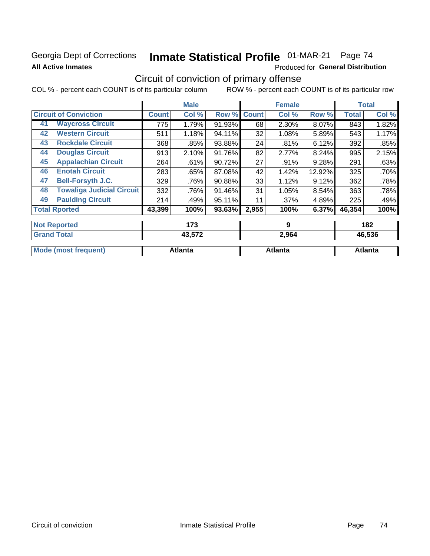### **Georgia Dept of Corrections All Active Inmates**

# Inmate Statistical Profile 01-MAR-21 Page 74

Produced for General Distribution

# Circuit of conviction of primary offense

|                              |                                  |              | <b>Male</b> |        |              | <b>Female</b> |        |              | <b>Total</b> |
|------------------------------|----------------------------------|--------------|-------------|--------|--------------|---------------|--------|--------------|--------------|
| <b>Circuit of Conviction</b> |                                  | <b>Count</b> | Col %       | Row %  | <b>Count</b> | Col %         | Row %  | <b>Total</b> | Col %        |
| 41                           | <b>Waycross Circuit</b>          | 775          | 1.79%       | 91.93% | 68           | 2.30%         | 8.07%  | 843          | 1.82%        |
| 42                           | <b>Western Circuit</b>           | 511          | 1.18%       | 94.11% | 32           | 1.08%         | 5.89%  | 543          | 1.17%        |
| 43                           | <b>Rockdale Circuit</b>          | 368          | .85%        | 93.88% | 24           | .81%          | 6.12%  | 392          | .85%         |
| 44                           | <b>Douglas Circuit</b>           | 913          | 2.10%       | 91.76% | 82           | 2.77%         | 8.24%  | 995          | 2.15%        |
| 45                           | <b>Appalachian Circuit</b>       | 264          | .61%        | 90.72% | 27           | .91%          | 9.28%  | 291          | .63%         |
| 46                           | <b>Enotah Circuit</b>            | 283          | .65%        | 87.08% | 42           | 1.42%         | 12.92% | 325          | .70%         |
| 47                           | <b>Bell-Forsyth J.C.</b>         | 329          | .76%        | 90.88% | 33           | 1.12%         | 9.12%  | 362          | .78%         |
| 48                           | <b>Towaliga Judicial Circuit</b> | 332          | .76%        | 91.46% | 31           | 1.05%         | 8.54%  | 363          | .78%         |
| 49                           | <b>Paulding Circuit</b>          | 214          | .49%        | 95.11% | 11           | .37%          | 4.89%  | 225          | .49%         |
| <b>Total Rported</b>         |                                  | 43,399       | 100%        | 93.63% | 2,955        | 100%          | 6.37%  | 46,354       | 100%         |
|                              |                                  |              |             |        |              |               |        |              |              |
| <b>Not Reported</b>          |                                  |              | 173         |        |              | 9             |        |              | 182          |
| <b>Grand Total</b>           |                                  |              | 43,572      |        |              | 2,964         |        |              | 46,536       |

| <b>Mode (most</b><br>וזחפווו<br>ron | <b>Atlanta</b> | Atlanta | <b>Atlanta</b> |
|-------------------------------------|----------------|---------|----------------|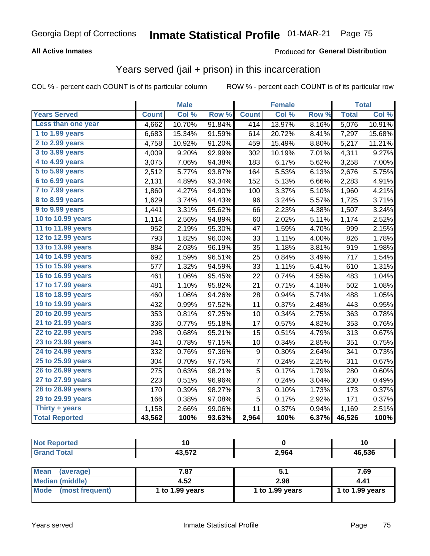#### **All Active Inmates**

#### Produced for **General Distribution**

### Years served (jail + prison) in this incarceration

|                              |              | <b>Male</b> |        |              | <b>Female</b> |       |              | <b>Total</b> |
|------------------------------|--------------|-------------|--------|--------------|---------------|-------|--------------|--------------|
| <b>Years Served</b>          | <b>Count</b> | Col %       | Row %  | <b>Count</b> | Col %         | Row % | <b>Total</b> | Col %        |
| Less than one year           | 4,662        | 10.70%      | 91.84% | 414          | 13.97%        | 8.16% | 5,076        | 10.91%       |
| 1 to 1.99 years              | 6,683        | 15.34%      | 91.59% | 614          | 20.72%        | 8.41% | 7,297        | 15.68%       |
| 2 to 2.99 years              | 4,758        | 10.92%      | 91.20% | 459          | 15.49%        | 8.80% | 5,217        | 11.21%       |
| $3$ to $3.99$ years          | 4,009        | 9.20%       | 92.99% | 302          | 10.19%        | 7.01% | 4,311        | 9.27%        |
| $\overline{4}$ to 4.99 years | 3,075        | 7.06%       | 94.38% | 183          | 6.17%         | 5.62% | 3,258        | 7.00%        |
| $\overline{5}$ to 5.99 years | 2,512        | 5.77%       | 93.87% | 164          | 5.53%         | 6.13% | 2,676        | 5.75%        |
| $6$ to $6.99$ years          | 2,131        | 4.89%       | 93.34% | 152          | 5.13%         | 6.66% | 2,283        | 4.91%        |
| 7 to 7.99 years              | 1,860        | 4.27%       | 94.90% | 100          | 3.37%         | 5.10% | 1,960        | 4.21%        |
| 8 to 8.99 years              | 1,629        | 3.74%       | 94.43% | 96           | 3.24%         | 5.57% | 1,725        | 3.71%        |
| 9 to 9.99 years              | 1,441        | 3.31%       | 95.62% | 66           | 2.23%         | 4.38% | 1,507        | 3.24%        |
| 10 to 10.99 years            | 1,114        | 2.56%       | 94.89% | 60           | 2.02%         | 5.11% | 1,174        | 2.52%        |
| 11 to 11.99 years            | 952          | 2.19%       | 95.30% | 47           | 1.59%         | 4.70% | 999          | 2.15%        |
| 12 to 12.99 years            | 793          | 1.82%       | 96.00% | 33           | 1.11%         | 4.00% | 826          | 1.78%        |
| 13 to 13.99 years            | 884          | 2.03%       | 96.19% | 35           | 1.18%         | 3.81% | 919          | 1.98%        |
| 14 to 14.99 years            | 692          | 1.59%       | 96.51% | 25           | 0.84%         | 3.49% | 717          | 1.54%        |
| 15 to 15.99 years            | 577          | 1.32%       | 94.59% | 33           | 1.11%         | 5.41% | 610          | 1.31%        |
| 16 to 16.99 years            | 461          | 1.06%       | 95.45% | 22           | 0.74%         | 4.55% | 483          | 1.04%        |
| 17 to 17.99 years            | 481          | 1.10%       | 95.82% | 21           | 0.71%         | 4.18% | 502          | 1.08%        |
| 18 to 18.99 years            | 460          | 1.06%       | 94.26% | 28           | 0.94%         | 5.74% | 488          | 1.05%        |
| 19 to 19.99 years            | 432          | 0.99%       | 97.52% | 11           | 0.37%         | 2.48% | 443          | 0.95%        |
| 20 to 20.99 years            | 353          | 0.81%       | 97.25% | 10           | 0.34%         | 2.75% | 363          | 0.78%        |
| 21 to 21.99 years            | 336          | 0.77%       | 95.18% | 17           | 0.57%         | 4.82% | 353          | 0.76%        |
| 22 to 22.99 years            | 298          | 0.68%       | 95.21% | 15           | 0.51%         | 4.79% | 313          | 0.67%        |
| 23 to 23.99 years            | 341          | 0.78%       | 97.15% | 10           | 0.34%         | 2.85% | 351          | 0.75%        |
| 24 to 24.99 years            | 332          | 0.76%       | 97.36% | 9            | 0.30%         | 2.64% | 341          | 0.73%        |
| 25 to 25.99 years            | 304          | 0.70%       | 97.75% | 7            | 0.24%         | 2.25% | 311          | 0.67%        |
| 26 to 26.99 years            | 275          | 0.63%       | 98.21% | 5            | 0.17%         | 1.79% | 280          | 0.60%        |
| 27 to 27.99 years            | 223          | 0.51%       | 96.96% | 7            | 0.24%         | 3.04% | 230          | 0.49%        |
| 28 to 28.99 years            | 170          | 0.39%       | 98.27% | 3            | 0.10%         | 1.73% | 173          | 0.37%        |
| 29 to 29.99 years            | 166          | 0.38%       | 97.08% | 5            | 0.17%         | 2.92% | 171          | 0.37%        |
| Thirty + years               | 1,158        | 2.66%       | 99.06% | 11           | 0.37%         | 0.94% | 1,169        | 2.51%        |
| <b>Total Reported</b>        | 43,562       | 100%        | 93.63% | 2,964        | 100%          | 6.37% | 46,526       | 100%         |

| <b>Not Reported</b>      | 10              |                 | 10              |
|--------------------------|-----------------|-----------------|-----------------|
| <b>Grand Total</b>       | 43,572          | 2,964           | 46,536          |
|                          |                 |                 |                 |
| <b>Mean</b><br>(average) | 7.87            | 5.1             | 7.69            |
| <b>Median (middle)</b>   | 4.52            | 2.98            | 4.41            |
| Mode (most frequent)     | 1 to 1.99 years | 1 to 1.99 years | 1 to 1.99 years |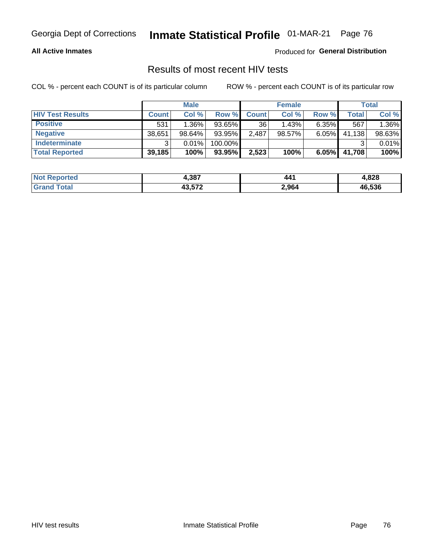#### **All Active Inmates**

Produced for **General Distribution**

### Results of most recent HIV tests

|                         |              | <b>Male</b> |         |              | <b>Female</b> |          |        | Total  |
|-------------------------|--------------|-------------|---------|--------------|---------------|----------|--------|--------|
| <b>HIV Test Results</b> | <b>Count</b> | Col%        | Row %I  | <b>Count</b> | Col %         | Row %    | Total  | Col %  |
| <b>Positive</b>         | 531          | $1.36\%$    | 93.65%  | 36           | 1.43%         | $6.35\%$ | 567    | 1.36%  |
| <b>Negative</b>         | 38,651       | 98.64%      | 93.95%  | 2,487        | 98.57%        | $6.05\%$ | 41,138 | 98.63% |
| Indeterminate           | າ            | 0.01%       | 100.00% |              |               |          |        | 0.01%  |
| <b>Total Reported</b>   | 39,185       | 100%        | 93.95%  | 2,523        | 100%          | 6.05%    | 41,708 | 100%   |

| <b>Not Reported</b> | 4,387  | 441   | 4,828  |
|---------------------|--------|-------|--------|
| Total<br>Gran       | 43,572 | 2,964 | 46,536 |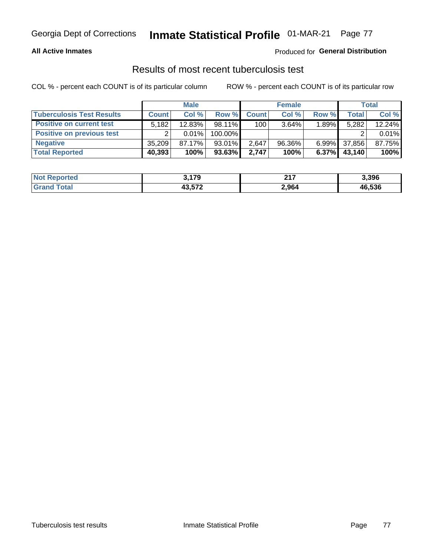#### **All Active Inmates**

#### Produced for **General Distribution**

### Results of most recent tuberculosis test

|                                  |              | <b>Male</b> |           |              | <b>Female</b> |          |              | Total  |
|----------------------------------|--------------|-------------|-----------|--------------|---------------|----------|--------------|--------|
| <b>Tuberculosis Test Results</b> | <b>Count</b> | Col %       | Row %     | <b>Count</b> | Col %         | Row %    | <b>Total</b> | Col %  |
| <b>Positive on current test</b>  | 5,182        | 12.83%      | 98.11%    | 100          | $3.64\%$      | 1.89%    | 5,282        | 12.24% |
| <b>Positive on previous test</b> |              | 0.01%       | 100.00%   |              |               |          |              | 0.01%  |
| <b>Negative</b>                  | 35.209       | 87.17%      | $93.01\%$ | 2.647        | 96.36%        | $6.99\%$ | 37,856       | 87.75% |
| <b>Total Reported</b>            | 40,393       | 100%        | 93.63%    | 2.747        | 100%          | $6.37\%$ | 43,140       | 100%   |

| <b>Not Reported</b> | 3,179  | <b>047</b><br>4 I I | 3,396  |
|---------------------|--------|---------------------|--------|
| Total<br>Gran       | 43,572 | 2,964               | 46,536 |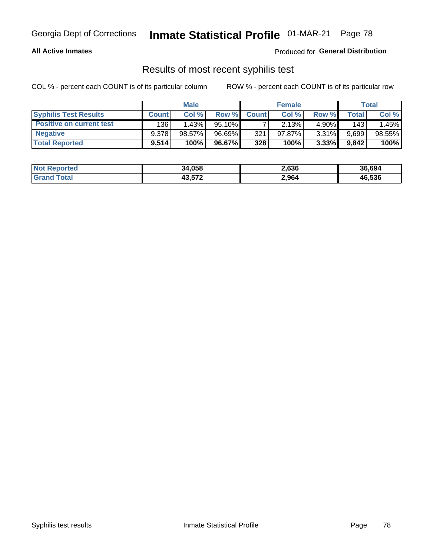#### **All Active Inmates**

Produced for **General Distribution**

### Results of most recent syphilis test

|                                 |              | <b>Male</b> |           |              | <b>Female</b> |          |       | Total  |
|---------------------------------|--------------|-------------|-----------|--------------|---------------|----------|-------|--------|
| <b>Syphilis Test Results</b>    | <b>Count</b> | Col%        | Row %     | <b>Count</b> | Col %         | Row %I   | Total | Col %  |
| <b>Positive on current test</b> | 136          | 1.43%       | $95.10\%$ |              | 2.13%         | $4.90\%$ | 143   | 1.45%  |
| <b>Negative</b>                 | 9.378        | $98.57\%$   | 96.69%    | 321          | $97.87\%$     | 3.31%    | 9,699 | 98.55% |
| <b>Total Reported</b>           | 9,514        | 100%        | 96.67%    | 328          | 100%          | $3.33\%$ | 9,842 | 100%   |

| <b>Not Reported</b> | 34,058 | 2,636 | 36,694 |
|---------------------|--------|-------|--------|
| <b>Grand Total</b>  | 43,572 | 2,964 | 46,536 |